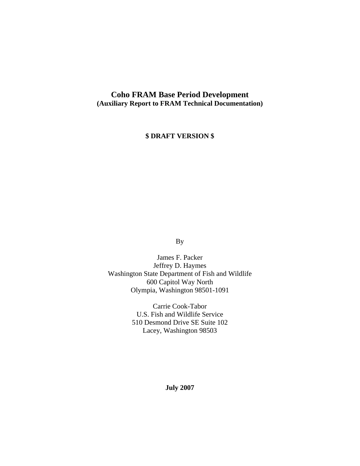#### **Coho FRAM Base Period Development (Auxiliary Report to FRAM Technical Documentation)**

#### **\$ DRAFT VERSION \$**

By

James F. Packer Jeffrey D. Haymes Washington State Department of Fish and Wildlife 600 Capitol Way North Olympia, Washington 98501-1091

> Carrie Cook-Tabor U.S. Fish and Wildlife Service 510 Desmond Drive SE Suite 102 Lacey, Washington 98503

> > **July 2007**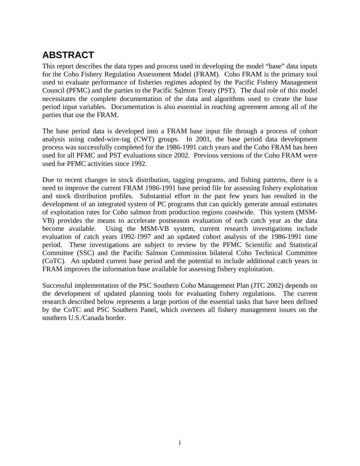## **ABSTRACT**

This report describes the data types and process used in developing the model "base" data inputs for the Coho Fishery Regulation Assessment Model (FRAM). Coho FRAM is the primary tool used to evaluate performance of fisheries regimes adopted by the Pacific Fishery Management Council (PFMC) and the parties to the Pacific Salmon Treaty (PST). The dual role of this model necessitates the complete documentation of the data and algorithms used to create the base period input variables. Documentation is also essential in reaching agreement among all of the parties that use the FRAM.

The base period data is developed into a FRAM base input file through a process of cohort analysis using coded-wire-tag (CWT) groups. In 2001, the base period data development process was successfully completed for the 1986-1991 catch years and the Coho FRAM has been used for all PFMC and PST evaluations since 2002. Previous versions of the Coho FRAM were used for PFMC activities since 1992.

Due to recent changes in stock distribution, tagging programs, and fishing patterns, there is a need to improve the current FRAM 1986-1991 base period file for assessing fishery exploitation and stock distribution profiles. Substantial effort in the past few years has resulted in the development of an integrated system of PC programs that can quickly generate annual estimates of exploitation rates for Coho salmon from production regions coastwide. This system (MSM-VB) provides the means to accelerate postseason evaluation of each catch year as the data become available. Using the MSM-VB system, current research investigations include evaluation of catch years 1992-1997 and an updated cohort analysis of the 1986-1991 time period. These investigations are subject to review by the PFMC Scientific and Statistical Committee (SSC) and the Pacific Salmon Commission bilateral Coho Technical Committee (CoTC). An updated current base period and the potential to include additional catch years in FRAM improves the information base available for assessing fishery exploitation.

Successful implementation of the PSC Southern Coho Management Plan (JTC 2002) depends on the development of updated planning tools for evaluating fishery regulations. The current research described below represents a large portion of the essential tasks that have been defined by the CoTC and PSC Southern Panel, which oversees all fishery management issues on the southern U.S./Canada border.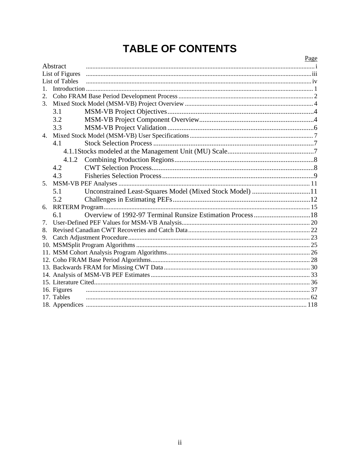# **TABLE OF CONTENTS**

|         |                 |                                                          | Page |
|---------|-----------------|----------------------------------------------------------|------|
|         | Abstract        |                                                          |      |
|         | List of Figures |                                                          |      |
|         | List of Tables  |                                                          |      |
| 1       |                 |                                                          |      |
| 2.      |                 |                                                          |      |
| $3_{-}$ |                 |                                                          |      |
|         | 3.1             |                                                          |      |
|         | 3.2             |                                                          |      |
|         | 3.3             |                                                          |      |
|         |                 |                                                          |      |
|         | 4.1             |                                                          |      |
|         |                 |                                                          |      |
|         | 4.1.2           |                                                          |      |
|         | 4.2             |                                                          |      |
|         | 4.3             |                                                          |      |
| 5.      |                 |                                                          |      |
|         | 5.1             | Unconstrained Least-Squares Model (Mixed Stock Model) 11 |      |
|         | 5.2             |                                                          |      |
| 6.      |                 |                                                          |      |
|         | 6.1             |                                                          |      |
| 7.      |                 |                                                          |      |
| 8.      |                 |                                                          |      |
| 9.      |                 |                                                          |      |
|         |                 |                                                          |      |
|         |                 |                                                          |      |
|         |                 |                                                          |      |
|         |                 |                                                          |      |
|         |                 |                                                          |      |
|         |                 |                                                          |      |
|         | 16. Figures     |                                                          |      |
|         | 17. Tables      |                                                          |      |
|         |                 |                                                          |      |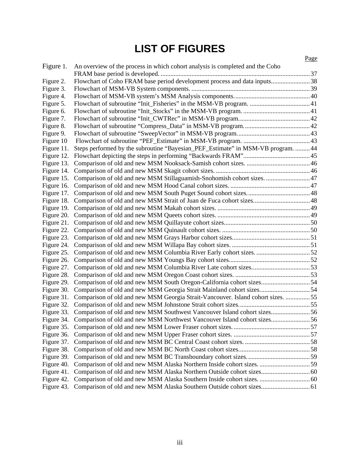# **LIST OF FIGURES**

|            |                                                                                  | Page |
|------------|----------------------------------------------------------------------------------|------|
| Figure 1.  | An overview of the process in which cohort analysis is completed and the Coho    |      |
|            |                                                                                  |      |
| Figure 2.  | Flowchart of Coho FRAM base period development process and data inputs38         |      |
| Figure 3.  |                                                                                  |      |
| Figure 4.  |                                                                                  |      |
| Figure 5.  |                                                                                  |      |
| Figure 6.  |                                                                                  |      |
| Figure 7.  |                                                                                  |      |
| Figure 8.  |                                                                                  |      |
| Figure 9.  |                                                                                  |      |
| Figure 10  |                                                                                  |      |
| Figure 11. | Steps performed by the subroutine "Bayesian_PEF_Estimate" in MSM-VB program.  44 |      |
| Figure 12. |                                                                                  |      |
| Figure 13. |                                                                                  |      |
| Figure 14. |                                                                                  |      |
| Figure 15. | Comparison of old and new MSM Stillaguamish-Snohomish cohort sizes 47            |      |
| Figure 16. |                                                                                  |      |
| Figure 17. |                                                                                  |      |
| Figure 18. |                                                                                  |      |
| Figure 19. |                                                                                  |      |
| Figure 20. |                                                                                  |      |
| Figure 21. |                                                                                  |      |
| Figure 22. |                                                                                  |      |
| Figure 23. |                                                                                  |      |
| Figure 24. |                                                                                  |      |
| Figure 25. | Comparison of old and new MSM Columbia River Early cohort sizes. 52              |      |
| Figure 26. |                                                                                  |      |
| Figure 27. |                                                                                  |      |
| Figure 28. |                                                                                  |      |
| Figure 29. | Comparison of old and new MSM South Oregon-California cohort sizes54             |      |
| Figure 30. | Comparison of old and new MSM Georgia Strait Mainland cohort sizes 54            |      |
| Figure 31. | Comparison of old and new MSM Georgia Strait-Vancouver. Island cohort sizes.  55 |      |
| Figure 32. |                                                                                  |      |
| Figure 33. | Comparison of old and new MSM Southwest Vancouver Island cohort sizes56          |      |
| Figure 34. | Comparison of old and new MSM Northwest Vancouver Island cohort sizes56          |      |
| Figure 35. |                                                                                  |      |
| Figure 36. |                                                                                  |      |
| Figure 37. |                                                                                  |      |
| Figure 38. |                                                                                  |      |
| Figure 39. |                                                                                  |      |
| Figure 40. | Comparison of old and new MSM Alaska Northern Inside cohort sizes. 59            |      |
| Figure 41. | Comparison of old and new MSM Alaska Northern Outside cohort sizes 60            |      |
| Figure 42. | Comparison of old and new MSM Alaska Southern Inside cohort sizes.  60           |      |
| Figure 43. | Comparison of old and new MSM Alaska Southern Outside cohort sizes 61            |      |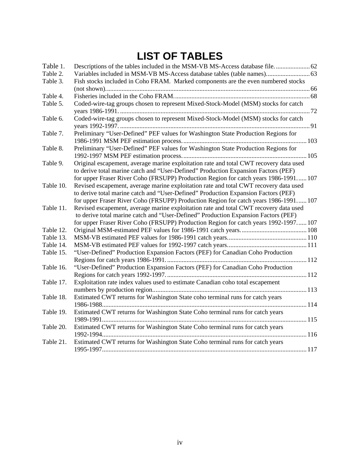# **LIST OF TABLES**

| Table 1.  | Descriptions of the tables included in the MSM-VB MS-Access database file 62           |
|-----------|----------------------------------------------------------------------------------------|
| Table 2.  | Variables included in MSM-VB MS-Access database tables (table names) 63                |
| Table 3.  | Fish stocks included in Coho FRAM. Marked components are the even numbered stocks      |
|           |                                                                                        |
| Table 4.  |                                                                                        |
| Table 5.  | Coded-wire-tag groups chosen to represent Mixed-Stock-Model (MSM) stocks for catch     |
|           |                                                                                        |
| Table 6.  | Coded-wire-tag groups chosen to represent Mixed-Stock-Model (MSM) stocks for catch     |
|           |                                                                                        |
| Table 7.  | Preliminary "User-Defined" PEF values for Washington State Production Regions for      |
|           |                                                                                        |
| Table 8.  | Preliminary "User-Defined" PEF values for Washington State Production Regions for      |
|           |                                                                                        |
| Table 9.  | Original escapement, average marine exploitation rate and total CWT recovery data used |
|           | to derive total marine catch and "User-Defined" Production Expansion Factors (PEF)     |
|           | for upper Fraser River Coho (FRSUPP) Production Region for catch years 1986-1991 107   |
| Table 10. | Revised escapement, average marine exploitation rate and total CWT recovery data used  |
|           | to derive total marine catch and "User-Defined" Production Expansion Factors (PEF)     |
|           | for upper Fraser River Coho (FRSUPP) Production Region for catch years 1986-1991 107   |
| Table 11. | Revised escapement, average marine exploitation rate and total CWT recovery data used  |
|           | to derive total marine catch and "User-Defined" Production Expansion Factors (PEF)     |
|           | for upper Fraser River Coho (FRSUPP) Production Region for catch years 1992-1997 107   |
| Table 12. |                                                                                        |
| Table 13. |                                                                                        |
| Table 14. |                                                                                        |
| Table 15. | "User-Defined" Production Expansion Factors (PEF) for Canadian Coho Production         |
|           |                                                                                        |
| Table 16. | "User-Defined" Production Expansion Factors (PEF) for Canadian Coho Production         |
|           |                                                                                        |
| Table 17. | Exploitation rate index values used to estimate Canadian coho total escapement         |
|           |                                                                                        |
| Table 18. | Estimated CWT returns for Washington State coho terminal runs for catch years          |
|           |                                                                                        |
| Table 19. | Estimated CWT returns for Washington State Coho terminal runs for catch years          |
|           |                                                                                        |
| Table 20. | Estimated CWT returns for Washington State Coho terminal runs for catch years          |
|           |                                                                                        |
| Table 21. | Estimated CWT returns for Washington State Coho terminal runs for catch years          |
|           |                                                                                        |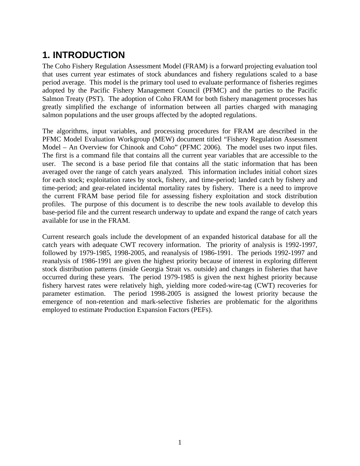## **1. INTRODUCTION**

The Coho Fishery Regulation Assessment Model (FRAM) is a forward projecting evaluation tool that uses current year estimates of stock abundances and fishery regulations scaled to a base period average. This model is the primary tool used to evaluate performance of fisheries regimes adopted by the Pacific Fishery Management Council (PFMC) and the parties to the Pacific Salmon Treaty (PST). The adoption of Coho FRAM for both fishery management processes has greatly simplified the exchange of information between all parties charged with managing salmon populations and the user groups affected by the adopted regulations.

The algorithms, input variables, and processing procedures for FRAM are described in the PFMC Model Evaluation Workgroup (MEW) document titled "Fishery Regulation Assessment Model – An Overview for Chinook and Coho" (PFMC 2006). The model uses two input files. The first is a command file that contains all the current year variables that are accessible to the user. The second is a base period file that contains all the static information that has been averaged over the range of catch years analyzed. This information includes initial cohort sizes for each stock; exploitation rates by stock, fishery, and time-period; landed catch by fishery and time-period; and gear-related incidental mortality rates by fishery. There is a need to improve the current FRAM base period file for assessing fishery exploitation and stock distribution profiles. The purpose of this document is to describe the new tools available to develop this base-period file and the current research underway to update and expand the range of catch years available for use in the FRAM.

Current research goals include the development of an expanded historical database for all the catch years with adequate CWT recovery information. The priority of analysis is 1992-1997, followed by 1979-1985, 1998-2005, and reanalysis of 1986-1991. The periods 1992-1997 and reanalysis of 1986-1991 are given the highest priority because of interest in exploring different stock distribution patterns (inside Georgia Strait vs. outside) and changes in fisheries that have occurred during these years. The period 1979-1985 is given the next highest priority because fishery harvest rates were relatively high, yielding more coded-wire-tag (CWT) recoveries for parameter estimation. The period 1998-2005 is assigned the lowest priority because the emergence of non-retention and mark-selective fisheries are problematic for the algorithms employed to estimate Production Expansion Factors (PEFs).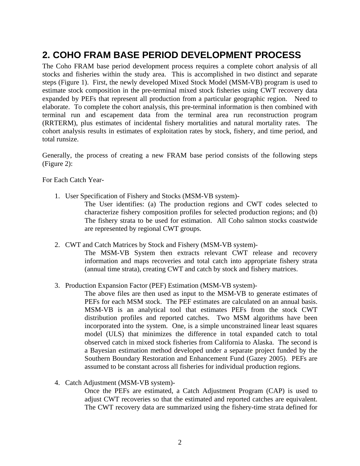## **2. COHO FRAM BASE PERIOD DEVELOPMENT PROCESS**

The Coho FRAM base period development process requires a complete cohort analysis of all stocks and fisheries within the study area. This is accomplished in two distinct and separate steps (Figure 1). First, the newly developed Mixed Stock Model (MSM-VB) program is used to estimate stock composition in the pre-terminal mixed stock fisheries using CWT recovery data expanded by PEFs that represent all production from a particular geographic region. Need to elaborate. To complete the cohort analysis, this pre-terminal information is then combined with terminal run and escapement data from the terminal area run reconstruction program (RRTERM), plus estimates of incidental fishery mortalities and natural mortality rates. The cohort analysis results in estimates of exploitation rates by stock, fishery, and time period, and total runsize.

Generally, the process of creating a new FRAM base period consists of the following steps (Figure 2):

For Each Catch Year-

1. User Specification of Fishery and Stocks (MSM-VB system)-

The User identifies: (a) The production regions and CWT codes selected to characterize fishery composition profiles for selected production regions; and (b) The fishery strata to be used for estimation. All Coho salmon stocks coastwide are represented by regional CWT groups.

2. CWT and Catch Matrices by Stock and Fishery (MSM-VB system)-

The MSM-VB System then extracts relevant CWT release and recovery information and maps recoveries and total catch into appropriate fishery strata (annual time strata), creating CWT and catch by stock and fishery matrices.

3. Production Expansion Factor (PEF) Estimation (MSM-VB system)-

The above files are then used as input to the MSM-VB to generate estimates of PEFs for each MSM stock. The PEF estimates are calculated on an annual basis. MSM-VB is an analytical tool that estimates PEFs from the stock CWT distribution profiles and reported catches. Two MSM algorithms have been incorporated into the system. One, is a simple unconstrained linear least squares model (ULS) that minimizes the difference in total expanded catch to total observed catch in mixed stock fisheries from California to Alaska. The second is a Bayesian estimation method developed under a separate project funded by the Southern Boundary Restoration and Enhancement Fund (Gazey 2005). PEFs are assumed to be constant across all fisheries for individual production regions.

4. Catch Adjustment (MSM-VB system)-

Once the PEFs are estimated, a Catch Adjustment Program (CAP) is used to adjust CWT recoveries so that the estimated and reported catches are equivalent. The CWT recovery data are summarized using the fishery-time strata defined for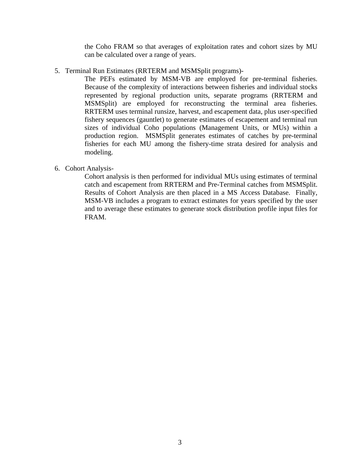the Coho FRAM so that averages of exploitation rates and cohort sizes by MU can be calculated over a range of years.

5. Terminal Run Estimates (RRTERM and MSMSplit programs)-

The PEFs estimated by MSM-VB are employed for pre-terminal fisheries. Because of the complexity of interactions between fisheries and individual stocks represented by regional production units, separate programs (RRTERM and MSMSplit) are employed for reconstructing the terminal area fisheries. RRTERM uses terminal runsize, harvest, and escapement data, plus user-specified fishery sequences (gauntlet) to generate estimates of escapement and terminal run sizes of individual Coho populations (Management Units, or MUs) within a production region. MSMSplit generates estimates of catches by pre-terminal fisheries for each MU among the fishery-time strata desired for analysis and modeling.

6. Cohort Analysis-

Cohort analysis is then performed for individual MUs using estimates of terminal catch and escapement from RRTERM and Pre-Terminal catches from MSMSplit. Results of Cohort Analysis are then placed in a MS Access Database. Finally, MSM-VB includes a program to extract estimates for years specified by the user and to average these estimates to generate stock distribution profile input files for FRAM.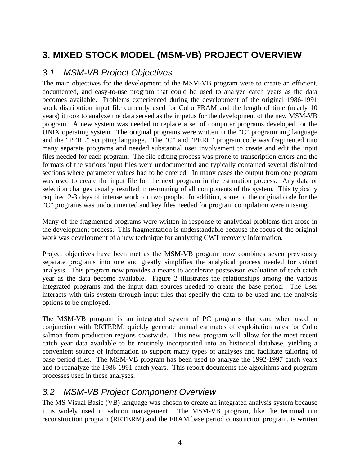## **3. MIXED STOCK MODEL (MSM-VB) PROJECT OVERVIEW**

### *3.1 MSM-VB Project Objectives*

The main objectives for the development of the MSM-VB program were to create an efficient, documented, and easy-to-use program that could be used to analyze catch years as the data becomes available. Problems experienced during the development of the original 1986-1991 stock distribution input file currently used for Coho FRAM and the length of time (nearly 10 years) it took to analyze the data served as the impetus for the development of the new MSM-VB program. A new system was needed to replace a set of computer programs developed for the UNIX operating system. The original programs were written in the "C" programming language and the "PERL" scripting language. The "C" and "PERL" program code was fragmented into many separate programs and needed substantial user involvement to create and edit the input files needed for each program. The file editing process was prone to transcription errors and the formats of the various input files were undocumented and typically contained several disjointed sections where parameter values had to be entered. In many cases the output from one program was used to create the input file for the next program in the estimation process. Any data or selection changes usually resulted in re-running of all components of the system. This typically required 2-3 days of intense work for two people. In addition, some of the original code for the "C" programs was undocumented and key files needed for program compilation were missing.

Many of the fragmented programs were written in response to analytical problems that arose in the development process. This fragmentation is understandable because the focus of the original work was development of a new technique for analyzing CWT recovery information.

Project objectives have been met as the MSM-VB program now combines seven previously separate programs into one and greatly simplifies the analytical process needed for cohort analysis. This program now provides a means to accelerate postseason evaluation of each catch year as the data become available. Figure 2 illustrates the relationships among the various integrated programs and the input data sources needed to create the base period. The User interacts with this system through input files that specify the data to be used and the analysis options to be employed.

The MSM-VB program is an integrated system of PC programs that can, when used in conjunction with RRTERM, quickly generate annual estimates of exploitation rates for Coho salmon from production regions coastwide. This new program will allow for the most recent catch year data available to be routinely incorporated into an historical database, yielding a convenient source of information to support many types of analyses and facilitate tailoring of base period files. The MSM-VB program has been used to analyze the 1992-1997 catch years and to reanalyze the 1986-1991 catch years. This report documents the algorithms and program processes used in these analyses.

#### *3.2 MSM-VB Project Component Overview*

The MS Visual Basic (VB) language was chosen to create an integrated analysis system because it is widely used in salmon management. The MSM-VB program, like the terminal run reconstruction program (RRTERM) and the FRAM base period construction program, is written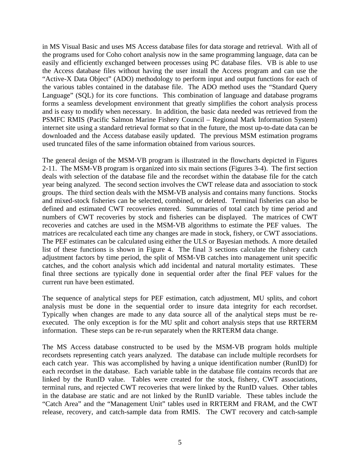in MS Visual Basic and uses MS Access database files for data storage and retrieval. With all of the programs used for Coho cohort analysis now in the same programming language, data can be easily and efficiently exchanged between processes using PC database files. VB is able to use the Access database files without having the user install the Access program and can use the "Active-X Data Object" (ADO) methodology to perform input and output functions for each of the various tables contained in the database file. The ADO method uses the "Standard Query Language" (SQL) for its core functions. This combination of language and database programs forms a seamless development environment that greatly simplifies the cohort analysis process and is easy to modify when necessary. In addition, the basic data needed was retrieved from the PSMFC RMIS (Pacific Salmon Marine Fishery Council – Regional Mark Information System) internet site using a standard retrieval format so that in the future, the most up-to-date data can be downloaded and the Access database easily updated. The previous MSM estimation programs used truncated files of the same information obtained from various sources.

The general design of the MSM-VB program is illustrated in the flowcharts depicted in Figures 2-11. The MSM-VB program is organized into six main sections (Figures 3-4). The first section deals with selection of the database file and the recordset within the database file for the catch year being analyzed. The second section involves the CWT release data and association to stock groups. The third section deals with the MSM-VB analysis and contains many functions. Stocks and mixed-stock fisheries can be selected, combined, or deleted. Terminal fisheries can also be defined and estimated CWT recoveries entered. Summaries of total catch by time period and numbers of CWT recoveries by stock and fisheries can be displayed. The matrices of CWT recoveries and catches are used in the MSM-VB algorithms to estimate the PEF values. The matrices are recalculated each time any changes are made in stock, fishery, or CWT associations. The PEF estimates can be calculated using either the ULS or Bayesian methods. A more detailed list of these functions is shown in Figure 4. The final 3 sections calculate the fishery catch adjustment factors by time period, the split of MSM-VB catches into management unit specific catches, and the cohort analysis which add incidental and natural mortality estimates. These final three sections are typically done in sequential order after the final PEF values for the current run have been estimated.

The sequence of analytical steps for PEF estimation, catch adjustment, MU splits, and cohort analysis must be done in the sequential order to insure data integrity for each recordset. Typically when changes are made to any data source all of the analytical steps must be reexecuted. The only exception is for the MU split and cohort analysis steps that use RRTERM information. These steps can be re-run separately when the RRTERM data change.

The MS Access database constructed to be used by the MSM-VB program holds multiple recordsets representing catch years analyzed. The database can include multiple recordsets for each catch year. This was accomplished by having a unique identification number (RunID) for each recordset in the database. Each variable table in the database file contains records that are linked by the RunID value. Tables were created for the stock, fishery, CWT associations, terminal runs, and rejected CWT recoveries that were linked by the RunID values. Other tables in the database are static and are not linked by the RunID variable. These tables include the "Catch Area" and the "Management Unit" tables used in RRTERM and FRAM, and the CWT release, recovery, and catch-sample data from RMIS. The CWT recovery and catch-sample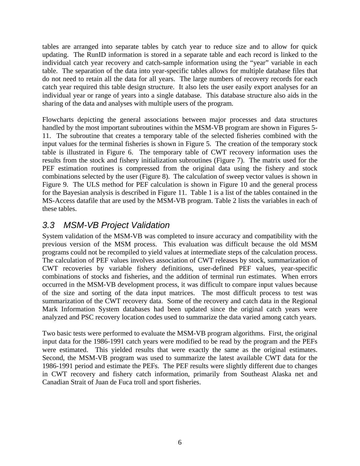tables are arranged into separate tables by catch year to reduce size and to allow for quick updating. The RunID information is stored in a separate table and each record is linked to the individual catch year recovery and catch-sample information using the "year" variable in each table. The separation of the data into year-specific tables allows for multiple database files that do not need to retain all the data for all years. The large numbers of recovery records for each catch year required this table design structure. It also lets the user easily export analyses for an individual year or range of years into a single database. This database structure also aids in the sharing of the data and analyses with multiple users of the program.

Flowcharts depicting the general associations between major processes and data structures handled by the most important subroutines within the MSM-VB program are shown in Figures 5- 11. The subroutine that creates a temporary table of the selected fisheries combined with the input values for the terminal fisheries is shown in Figure 5. The creation of the temporary stock table is illustrated in Figure 6. The temporary table of CWT recovery information uses the results from the stock and fishery initialization subroutines (Figure 7). The matrix used for the PEF estimation routines is compressed from the original data using the fishery and stock combinations selected by the user (Figure 8). The calculation of sweep vector values is shown in Figure 9. The ULS method for PEF calculation is shown in Figure 10 and the general process for the Bayesian analysis is described in Figure 11. Table 1 is a list of the tables contained in the MS-Access datafile that are used by the MSM-VB program. Table 2 lists the variables in each of these tables.

#### *3.3 MSM-VB Project Validation*

System validation of the MSM-VB was completed to insure accuracy and compatibility with the previous version of the MSM process. This evaluation was difficult because the old MSM programs could not be recompiled to yield values at intermediate steps of the calculation process. The calculation of PEF values involves association of CWT releases by stock, summarization of CWT recoveries by variable fishery definitions, user-defined PEF values, year-specific combinations of stocks and fisheries, and the addition of terminal run estimates. When errors occurred in the MSM-VB development process, it was difficult to compare input values because of the size and sorting of the data input matrices. The most difficult process to test was summarization of the CWT recovery data. Some of the recovery and catch data in the Regional Mark Information System databases had been updated since the original catch years were analyzed and PSC recovery location codes used to summarize the data varied among catch years.

Two basic tests were performed to evaluate the MSM-VB program algorithms. First, the original input data for the 1986-1991 catch years were modified to be read by the program and the PEFs were estimated. This yielded results that were exactly the same as the original estimates. Second, the MSM-VB program was used to summarize the latest available CWT data for the 1986-1991 period and estimate the PEFs. The PEF results were slightly different due to changes in CWT recovery and fishery catch information, primarily from Southeast Alaska net and Canadian Strait of Juan de Fuca troll and sport fisheries.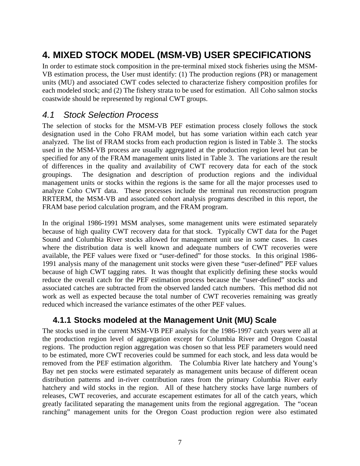## **4. MIXED STOCK MODEL (MSM-VB) USER SPECIFICATIONS**

In order to estimate stock composition in the pre-terminal mixed stock fisheries using the MSM-VB estimation process, the User must identify: (1) The production regions (PR) or management units (MU) and associated CWT codes selected to characterize fishery composition profiles for each modeled stock; and (2) The fishery strata to be used for estimation. All Coho salmon stocks coastwide should be represented by regional CWT groups.

#### *4.1 Stock Selection Process*

The selection of stocks for the MSM-VB PEF estimation process closely follows the stock designation used in the Coho FRAM model, but has some variation within each catch year analyzed. The list of FRAM stocks from each production region is listed in Table 3. The stocks used in the MSM-VB process are usually aggregated at the production region level but can be specified for any of the FRAM management units listed in Table 3. The variations are the result of differences in the quality and availability of CWT recovery data for each of the stock groupings. The designation and description of production regions and the individual management units or stocks within the regions is the same for all the major processes used to analyze Coho CWT data. These processes include the terminal run reconstruction program RRTERM, the MSM-VB and associated cohort analysis programs described in this report, the FRAM base period calculation program, and the FRAM program.

In the original 1986-1991 MSM analyses, some management units were estimated separately because of high quality CWT recovery data for that stock. Typically CWT data for the Puget Sound and Columbia River stocks allowed for management unit use in some cases. In cases where the distribution data is well known and adequate numbers of CWT recoveries were available, the PEF values were fixed or "user-defined" for those stocks. In this original 1986- 1991 analysis many of the management unit stocks were given these "user-defined" PEF values because of high CWT tagging rates. It was thought that explicitly defining these stocks would reduce the overall catch for the PEF estimation process because the "user-defined" stocks and associated catches are subtracted from the observed landed catch numbers. This method did not work as well as expected because the total number of CWT recoveries remaining was greatly reduced which increased the variance estimates of the other PEF values.

#### **4.1.1 Stocks modeled at the Management Unit (MU) Scale**

The stocks used in the current MSM-VB PEF analysis for the 1986-1997 catch years were all at the production region level of aggregation except for Columbia River and Oregon Coastal regions. The production region aggregation was chosen so that less PEF parameters would need to be estimated, more CWT recoveries could be summed for each stock, and less data would be removed from the PEF estimation algorithm. The Columbia River late hatchery and Young's Bay net pen stocks were estimated separately as management units because of different ocean distribution patterns and in-river contribution rates from the primary Columbia River early hatchery and wild stocks in the region. All of these hatchery stocks have large numbers of releases, CWT recoveries, and accurate escapement estimates for all of the catch years, which greatly facilitated separating the management units from the regional aggregation. The "ocean ranching" management units for the Oregon Coast production region were also estimated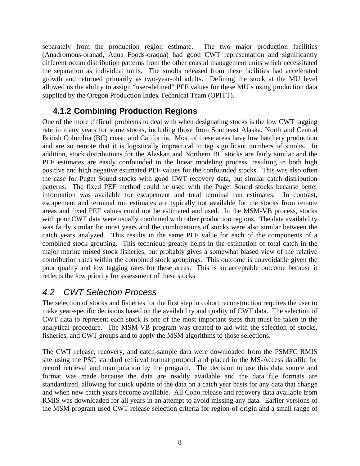separately from the production region estimate. The two major production facilities (Anadromous-oranad, Aqua Foods-oraqua) had good CWT representation and significantly different ocean distribution patterns from the other coastal management units which necessitated the separation as individual units. The smolts released from these facilities had accelerated growth and returned primarily as two-year-old adults. Defining the stock at the MU level allowed us the ability to assign "user-defined" PEF values for these MU's using production data supplied by the Oregon Production Index Technical Team (OPITT).

### **4.1.2 Combining Production Regions**

One of the more difficult problems to deal with when designating stocks is the low CWT tagging rate in many years for some stocks, including those from Southeast Alaska, North and Central British Columbia (BC) coast, and California. Most of these areas have low hatchery production and are so remote that it is logistically impractical to tag significant numbers of smolts. In addition, stock distributions for the Alaskan and Northern BC stocks are fairly similar and the PEF estimates are easily confounded in the linear modeling process, resulting in both high positive and high negative estimated PEF values for the confounded stocks. This was also often the case for Puget Sound stocks with good CWT recovery data, but similar catch distribution patterns. The fixed PEF method could be used with the Puget Sound stocks because better information was available for escapement and total terminal run estimates. In contrast, escapement and terminal run estimates are typically not available for the stocks from remote areas and fixed PEF values could not be estimated and used. In the MSM-VB process, stocks with poor CWT data were usually combined with other production regions. The data availability was fairly similar for most years and the combinations of stocks were also similar between the catch years analyzed. This results in the same PEF value for each of the components of a combined stock grouping. This technique greatly helps in the estimation of total catch in the major marine mixed stock fisheries, but probably gives a somewhat biased view of the relative contribution rates within the combined stock groupings. This outcome is unavoidable given the poor quality and low tagging rates for these areas. This is an acceptable outcome because it reflects the low priority for assessment of these stocks.

### *4.2 CWT Selection Process*

The selection of stocks and fisheries for the first step in cohort reconstruction requires the user to make year-specific decisions based on the availability and quality of CWT data. The selection of CWT data to represent each stock is one of the most important steps that must be taken in the analytical procedure. The MSM-VB program was created to aid with the selection of stocks, fisheries, and CWT groups and to apply the MSM algorithms to those selections.

The CWT release, recovery, and catch-sample data were downloaded from the PSMFC RMIS site using the PSC standard retrieval format protocol and placed in the MS-Access datafile for record retrieval and manipulation by the program. The decision to use this data source and format was made because the data are readily available and the data file formats are standardized, allowing for quick update of the data on a catch year basis for any data that change and when new catch years become available. All Coho release and recovery data available from RMIS was downloaded for all years in an attempt to avoid missing any data. Earlier versions of the MSM program used CWT release selection criteria for region-of-origin and a small range of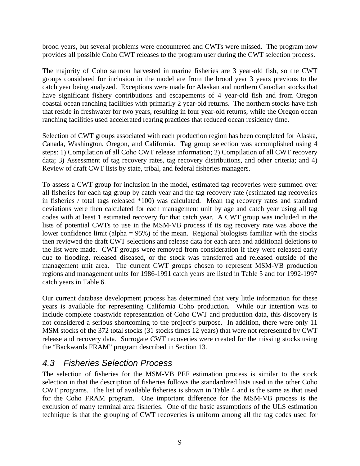brood years, but several problems were encountered and CWTs were missed. The program now provides all possible Coho CWT releases to the program user during the CWT selection process.

The majority of Coho salmon harvested in marine fisheries are 3 year-old fish, so the CWT groups considered for inclusion in the model are from the brood year 3 years previous to the catch year being analyzed. Exceptions were made for Alaskan and northern Canadian stocks that have significant fishery contributions and escapements of 4 year-old fish and from Oregon coastal ocean ranching facilities with primarily 2 year-old returns. The northern stocks have fish that reside in freshwater for two years, resulting in four year-old returns, while the Oregon ocean ranching facilities used accelerated rearing practices that reduced ocean residency time.

Selection of CWT groups associated with each production region has been completed for Alaska, Canada, Washington, Oregon, and California. Tag group selection was accomplished using 4 steps: 1) Compilation of all Coho CWT release information; 2) Compilation of all CWT recovery data; 3) Assessment of tag recovery rates, tag recovery distributions, and other criteria; and 4) Review of draft CWT lists by state, tribal, and federal fisheries managers.

To assess a CWT group for inclusion in the model, estimated tag recoveries were summed over all fisheries for each tag group by catch year and the tag recovery rate (estimated tag recoveries in fisheries / total tags released \*100) was calculated. Mean tag recovery rates and standard deviations were then calculated for each management unit by age and catch year using all tag codes with at least 1 estimated recovery for that catch year. A CWT group was included in the lists of potential CWTs to use in the MSM-VB process if its tag recovery rate was above the lower confidence limit (alpha  $= 95\%$ ) of the mean. Regional biologists familiar with the stocks then reviewed the draft CWT selections and release data for each area and additional deletions to the list were made. CWT groups were removed from consideration if they were released early due to flooding, released diseased, or the stock was transferred and released outside of the management unit area. The current CWT groups chosen to represent MSM-VB production regions and management units for 1986-1991 catch years are listed in Table 5 and for 1992-1997 catch years in Table 6.

Our current database development process has determined that very little information for these years is available for representing California Coho production. While our intention was to include complete coastwide representation of Coho CWT and production data, this discovery is not considered a serious shortcoming to the project's purpose. In addition, there were only 11 MSM stocks of the 372 total stocks (31 stocks times 12 years) that were not represented by CWT release and recovery data. Surrogate CWT recoveries were created for the missing stocks using the "Backwards FRAM" program described in Section 13.

#### *4.3 Fisheries Selection Process*

The selection of fisheries for the MSM-VB PEF estimation process is similar to the stock selection in that the description of fisheries follows the standardized lists used in the other Coho CWT programs. The list of available fisheries is shown in Table 4 and is the same as that used for the Coho FRAM program. One important difference for the MSM-VB process is the exclusion of many terminal area fisheries. One of the basic assumptions of the ULS estimation technique is that the grouping of CWT recoveries is uniform among all the tag codes used for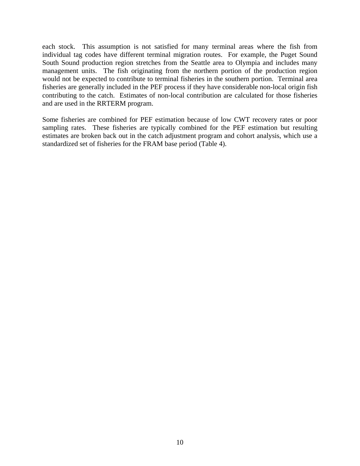each stock. This assumption is not satisfied for many terminal areas where the fish from individual tag codes have different terminal migration routes. For example, the Puget Sound South Sound production region stretches from the Seattle area to Olympia and includes many management units. The fish originating from the northern portion of the production region would not be expected to contribute to terminal fisheries in the southern portion. Terminal area fisheries are generally included in the PEF process if they have considerable non-local origin fish contributing to the catch. Estimates of non-local contribution are calculated for those fisheries and are used in the RRTERM program.

Some fisheries are combined for PEF estimation because of low CWT recovery rates or poor sampling rates. These fisheries are typically combined for the PEF estimation but resulting estimates are broken back out in the catch adjustment program and cohort analysis, which use a standardized set of fisheries for the FRAM base period (Table 4).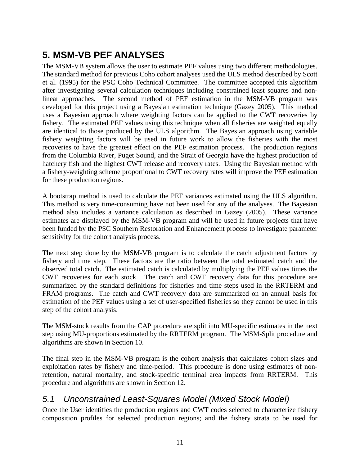## **5. MSM-VB PEF ANALYSES**

The MSM-VB system allows the user to estimate PEF values using two different methodologies. The standard method for previous Coho cohort analyses used the ULS method described by Scott et al. (1995) for the PSC Coho Technical Committee. The committee accepted this algorithm after investigating several calculation techniques including constrained least squares and nonlinear approaches. The second method of PEF estimation in the MSM-VB program was developed for this project using a Bayesian estimation technique (Gazey 2005). This method uses a Bayesian approach where weighting factors can be applied to the CWT recoveries by fishery. The estimated PEF values using this technique when all fisheries are weighted equally are identical to those produced by the ULS algorithm. The Bayesian approach using variable fishery weighting factors will be used in future work to allow the fisheries with the most recoveries to have the greatest effect on the PEF estimation process. The production regions from the Columbia River, Puget Sound, and the Strait of Georgia have the highest production of hatchery fish and the highest CWT release and recovery rates. Using the Bayesian method with a fishery-weighting scheme proportional to CWT recovery rates will improve the PEF estimation for these production regions.

A bootstrap method is used to calculate the PEF variances estimated using the ULS algorithm. This method is very time-consuming have not been used for any of the analyses. The Bayesian method also includes a variance calculation as described in Gazey (2005). These variance estimates are displayed by the MSM-VB program and will be used in future projects that have been funded by the PSC Southern Restoration and Enhancement process to investigate parameter sensitivity for the cohort analysis process.

The next step done by the MSM-VB program is to calculate the catch adjustment factors by fishery and time step. These factors are the ratio between the total estimated catch and the observed total catch. The estimated catch is calculated by multiplying the PEF values times the CWT recoveries for each stock. The catch and CWT recovery data for this procedure are summarized by the standard definitions for fisheries and time steps used in the RRTERM and FRAM programs. The catch and CWT recovery data are summarized on an annual basis for estimation of the PEF values using a set of user-specified fisheries so they cannot be used in this step of the cohort analysis.

The MSM-stock results from the CAP procedure are split into MU-specific estimates in the next step using MU-proportions estimated by the RRTERM program. The MSM-Split procedure and algorithms are shown in Section 10.

The final step in the MSM-VB program is the cohort analysis that calculates cohort sizes and exploitation rates by fishery and time-period. This procedure is done using estimates of nonretention, natural mortality, and stock-specific terminal area impacts from RRTERM. This procedure and algorithms are shown in Section 12.

### *5.1 Unconstrained Least-Squares Model (Mixed Stock Model)*

Once the User identifies the production regions and CWT codes selected to characterize fishery composition profiles for selected production regions; and the fishery strata to be used for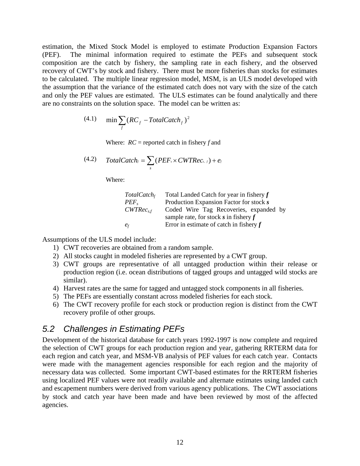estimation, the Mixed Stock Model is employed to estimate Production Expansion Factors (PEF). The minimal information required to estimate the PEFs and subsequent stock composition are the catch by fishery, the sampling rate in each fishery, and the observed recovery of CWT's by stock and fishery. There must be more fisheries than stocks for estimates to be calculated. The multiple linear regression model, MSM, is an ULS model developed with the assumption that the variance of the estimated catch does not vary with the size of the catch and only the PEF values are estimated. The ULS estimates can be found analytically and there are no constraints on the solution space. The model can be written as:

(4.1) 
$$
\min \sum_{f} (RC_f - Total Catch_f)^2
$$

Where: *RC* = reported catch in fishery *f* and

(4.2) Total Catch<sub>f</sub> = 
$$
\sum_{s}
$$
 (PEF<sub>s</sub> × CWTRec<sub>s,f</sub>) +  $e_f$ 

Where:

| Total Catch <sub>f</sub> | Total Landed Catch for year in fishery $f$ |
|--------------------------|--------------------------------------------|
| $PEF_s$                  | Production Expansion Factor for stock s    |
| $CWTRec_{s,f}$           | Coded Wire Tag Recoveries, expanded by     |
|                          | sample rate, for stock s in fishery $f$    |
| $e_f$                    | Error in estimate of catch in fishery $f$  |

Assumptions of the ULS model include:

- 1) CWT recoveries are obtained from a random sample.
- 2) All stocks caught in modeled fisheries are represented by a CWT group.
- 3) CWT groups are representative of all untagged production within their release or production region (i.e. ocean distributions of tagged groups and untagged wild stocks are similar).
- 4) Harvest rates are the same for tagged and untagged stock components in all fisheries.
- 5) The PEFs are essentially constant across modeled fisheries for each stock.
- 6) The CWT recovery profile for each stock or production region is distinct from the CWT recovery profile of other groups.

#### *5.2 Challenges in Estimating PEFs*

Development of the historical database for catch years 1992-1997 is now complete and required the selection of CWT groups for each production region and year, gathering RRTERM data for each region and catch year, and MSM-VB analysis of PEF values for each catch year. Contacts were made with the management agencies responsible for each region and the majority of necessary data was collected. Some important CWT-based estimates for the RRTERM fisheries using localized PEF values were not readily available and alternate estimates using landed catch and escapement numbers were derived from various agency publications. The CWT associations by stock and catch year have been made and have been reviewed by most of the affected agencies.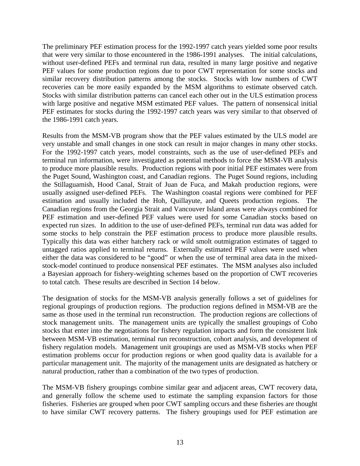The preliminary PEF estimation process for the 1992-1997 catch years yielded some poor results that were very similar to those encountered in the 1986-1991 analyses. The initial calculations, without user-defined PEFs and terminal run data, resulted in many large positive and negative PEF values for some production regions due to poor CWT representation for some stocks and similar recovery distribution patterns among the stocks. Stocks with low numbers of CWT recoveries can be more easily expanded by the MSM algorithms to estimate observed catch. Stocks with similar distribution patterns can cancel each other out in the ULS estimation process with large positive and negative MSM estimated PEF values. The pattern of nonsensical initial PEF estimates for stocks during the 1992-1997 catch years was very similar to that observed of the 1986-1991 catch years.

Results from the MSM-VB program show that the PEF values estimated by the ULS model are very unstable and small changes in one stock can result in major changes in many other stocks. For the 1992-1997 catch years, model constraints, such as the use of user-defined PEFs and terminal run information, were investigated as potential methods to force the MSM-VB analysis to produce more plausible results. Production regions with poor initial PEF estimates were from the Puget Sound, Washington coast, and Canadian regions. The Puget Sound regions, including the Stillaguamish, Hood Canal, Strait of Juan de Fuca, and Makah production regions, were usually assigned user-defined PEFs. The Washington coastal regions were combined for PEF estimation and usually included the Hoh, Quillayute, and Queets production regions. The Canadian regions from the Georgia Strait and Vancouver Island areas were always combined for PEF estimation and user-defined PEF values were used for some Canadian stocks based on expected run sizes. In addition to the use of user-defined PEFs, terminal run data was added for some stocks to help constrain the PEF estimation process to produce more plausible results. Typically this data was either hatchery rack or wild smolt outmigration estimates of tagged to untagged ratios applied to terminal returns. Externally estimated PEF values were used when either the data was considered to be "good" or when the use of terminal area data in the mixedstock-model continued to produce nonsensical PEF estimates. The MSM analyses also included a Bayesian approach for fishery-weighting schemes based on the proportion of CWT recoveries to total catch. These results are described in Section 14 below.

The designation of stocks for the MSM-VB analysis generally follows a set of guidelines for regional groupings of production regions. The production regions defined in MSM-VB are the same as those used in the terminal run reconstruction. The production regions are collections of stock management units. The management units are typically the smallest groupings of Coho stocks that enter into the negotiations for fishery regulation impacts and form the consistent link between MSM-VB estimation, terminal run reconstruction, cohort analysis, and development of fishery regulation models. Management unit groupings are used as MSM-VB stocks when PEF estimation problems occur for production regions or when good quality data is available for a particular management unit. The majority of the management units are designated as hatchery or natural production, rather than a combination of the two types of production.

The MSM-VB fishery groupings combine similar gear and adjacent areas, CWT recovery data, and generally follow the scheme used to estimate the sampling expansion factors for those fisheries. Fisheries are grouped when poor CWT sampling occurs and these fisheries are thought to have similar CWT recovery patterns. The fishery groupings used for PEF estimation are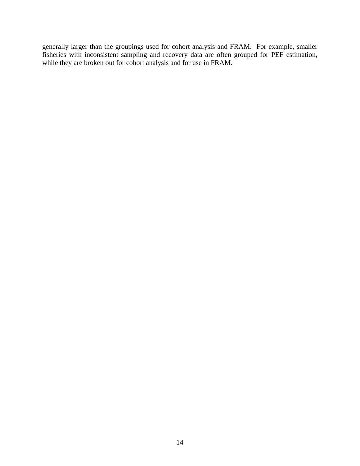generally larger than the groupings used for cohort analysis and FRAM. For example, smaller fisheries with inconsistent sampling and recovery data are often grouped for PEF estimation, while they are broken out for cohort analysis and for use in FRAM.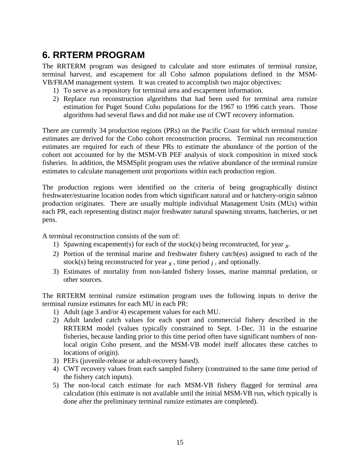## **6. RRTERM PROGRAM**

The RRTERM program was designed to calculate and store estimates of terminal runsize, terminal harvest, and escapement for all Coho salmon populations defined in the MSM-VB/FRAM management system. It was created to accomplish two major objectives:

- 1) To serve as a repository for terminal area and escapement information.
- 2) Replace run reconstruction algorithms that had been used for terminal area runsize estimation for Puget Sound Coho populations for the 1967 to 1996 catch years. Those algorithms had several flaws and did not make use of CWT recovery information.

There are currently 34 production regions (PRs) on the Pacific Coast for which terminal runsize estimates are derived for the Coho cohort reconstruction process. Terminal run reconstruction estimates are required for each of these PRs to estimate the abundance of the portion of the cohort not accounted for by the MSM-VB PEF analysis of stock composition in mixed stock fisheries. In addition, the MSMSplit program uses the relative abundance of the terminal runsize estimates to calculate management unit proportions within each production region.

The production regions were identified on the criteria of being geographically distinct freshwater/estuarine location nodes from which significant natural and or hatchery-origin salmon production originates. There are usually multiple individual Management Units (MUs) within each PR, each representing distinct major freshwater natural spawning streams, hatcheries, or net pens.

A terminal reconstruction consists of the sum of:

- 1) Spawning escapement(s) for each of the stock(s) being reconstructed, for year  $\chi$ .
- 2) Portion of the terminal marine and freshwater fishery catch(es) assigned to each of the stock(s) being reconstructed for year  $<sub>x</sub>$ , time period  $<sub>i</sub>$ , and optionally.</sub></sub>
- 3) Estimates of mortality from non-landed fishery losses, marine mammal predation, or other sources.

The RRTERM terminal runsize estimation program uses the following inputs to derive the terminal runsize estimates for each MU in each PR:

- 1) Adult (age 3 and/or 4) escapement values for each MU.
- 2) Adult landed catch values for each sport and commercial fishery described in the RRTERM model (values typically constrained to Sept. 1-Dec. 31 in the estuarine fisheries, because landing prior to this time period often have significant numbers of nonlocal origin Coho present, and the MSM-VB model itself allocates these catches to locations of origin).
- 3) PEFs (juvenile-release or adult-recovery based).
- 4) CWT recovery values from each sampled fishery (constrained to the same time period of the fishery catch inputs).
- 5) The non-local catch estimate for each MSM-VB fishery flagged for terminal area calculation (this estimate is not available until the initial MSM-VB run, which typically is done after the preliminary terminal runsize estimates are completed).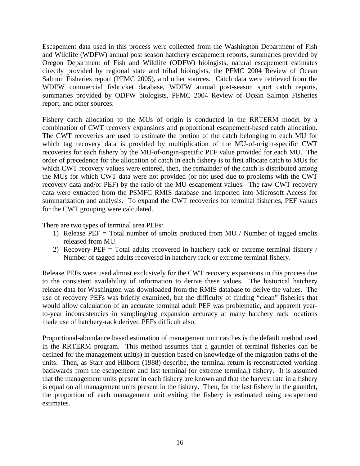Escapement data used in this process were collected from the Washington Department of Fish and Wildlife (WDFW) annual post season hatchery escapement reports, summaries provided by Oregon Department of Fish and Wildlife (ODFW) biologists, natural escapement estimates directly provided by regional state and tribal biologists, the PFMC 2004 Review of Ocean Salmon Fisheries report (PFMC 2005), and other sources. Catch data were retrieved from the WDFW commercial fishticket database, WDFW annual post-season sport catch reports, summaries provided by ODFW biologists, PFMC 2004 Review of Ocean Salmon Fisheries report, and other sources.

Fishery catch allocation to the MUs of origin is conducted in the RRTERM model by a combination of CWT recovery expansions and proportional escapement-based catch allocation. The CWT recoveries are used to estimate the portion of the catch belonging to each MU for which tag recovery data is provided by multiplication of the MU-of-origin-specific CWT recoveries for each fishery by the MU-of-origin-specific PEF value provided for each MU. The order of precedence for the allocation of catch in each fishery is to first allocate catch to MUs for which CWT recovery values were entered, then, the remainder of the catch is distributed among the MUs for which CWT data were not provided (or not used due to problems with the CWT recovery data and/or PEF) by the ratio of the MU escapement values. The raw CWT recovery data were extracted from the PSMFC RMIS database and imported into Microsoft Access for summarization and analysis. To expand the CWT recoveries for terminal fisheries, PEF values for the CWT grouping were calculated.

There are two types of terminal area PEFs:

- 1) Release PEF = Total number of smolts produced from MU / Number of tagged smolts released from MU.
- 2) Recovery PEF = Total adults recovered in hatchery rack or extreme terminal fishery / Number of tagged adults recovered in hatchery rack or extreme terminal fishery.

Release PEFs were used almost exclusively for the CWT recovery expansions in this process due to the consistent availability of information to derive these values. The historical hatchery release data for Washington was downloaded from the RMIS database to derive the values. The use of recovery PEFs was briefly examined, but the difficulty of finding "clean" fisheries that would allow calculation of an accurate terminal adult PEF was problematic, and apparent yearto-year inconsistencies in sampling/tag expansion accuracy at many hatchery rack locations made use of hatchery-rack derived PEFs difficult also.

Proportional-abundance based estimation of management unit catches is the default method used in the RRTERM program. This method assumes that a gauntlet of terminal fisheries can be defined for the management unit(s) in question based on knowledge of the migration paths of the units. Then, as Starr and Hilborn (1988) describe, the terminal return is reconstructed working backwards from the escapement and last terminal (or extreme terminal) fishery. It is assumed that the management units present in each fishery are known and that the harvest rate in a fishery is equal on all management units present in the fishery. Then, for the last fishery in the gauntlet, the proportion of each management unit exiting the fishery is estimated using escapement estimates.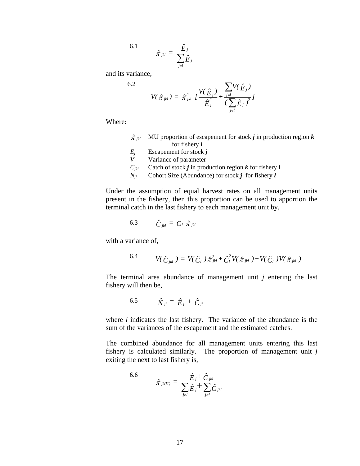6.1

$$
\hat{\pi}_{jkl} = \frac{\hat{E}_j}{\displaystyle \sum_{j \in l} \hat{E}_j}
$$

and its variance,

6.2

$$
V(\hat{\pi}_{jkl}) = \hat{\pi}_{jkl}^2 \; I \frac{V(\hat{E}_j)}{\hat{E}_j^2} + \frac{\sum_{j \in l} V(\hat{E}_j)}{(\sum_{j \in l} \hat{E}_j)^2} I
$$

Where:

| $\hat{\pi}$ ikl | MU proportion of escapement for stock $j$ in production region $k$ |
|-----------------|--------------------------------------------------------------------|
|                 | for fishery $l$                                                    |

- $E_j$  Escapement for stock *j*<br>*V* Variance of parameter
- *V* Variance of parameter
- $C_{ikl}$  Catch of stock *j* in production region *k* for fishery *l*
- *Njl* Cohort Size (Abundance) for stock *j* for fishery *l*

Under the assumption of equal harvest rates on all management units present in the fishery, then this proportion can be used to apportion the terminal catch in the last fishery to each management unit by,

$$
6.3 \qquad \hat{C}_{jkl} = C_l \hat{\pi}_{jkl}
$$

with a variance of,

6.4 
$$
V(\hat{C}_{jkl}) = V(\hat{C}_l) \hat{\pi}_{jkl}^2 + \hat{C}_l^2 V(\hat{\pi}_{jkl}) + V(\hat{C}_l) V(\hat{\pi}_{jkl})
$$

The terminal area abundance of management unit *j* entering the last fishery will then be,

$$
6.5 \qquad \hat{N}_{jl} = \hat{E}_j + \hat{C}_{jl}
$$

where *l* indicates the last fishery. The variance of the abundance is the sum of the variances of the escapement and the estimated catches.

The combined abundance for all management units entering this last fishery is calculated similarly. The proportion of management unit *j* exiting the next to last fishery is,

6.6 
$$
\hat{\pi}_{jk(ll)} = \frac{\hat{E}_j + \hat{C}_{jkl}}{\sum_{j \in l} \hat{E}_j + \sum_{j \in l} \hat{C}_{jkl}}
$$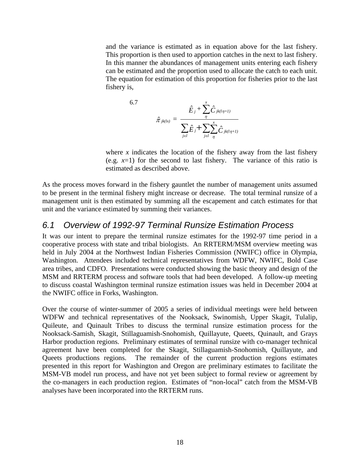and the variance is estimated as in equation above for the last fishery. This proportion is then used to apportion catches in the next to last fishery. In this manner the abundances of management units entering each fishery can be estimated and the proportion used to allocate the catch to each unit. The equation for estimation of this proportion for fisheries prior to the last fishery is,

6.7  

$$
\hat{\pi}_{jk(lx)} = \frac{\hat{E}_j + \sum_{\eta}^{x} \hat{C}_{jk(l\eta+l)}}{\sum_{j \in l} \hat{E}_j + \sum_{j \in l}^{x} \sum_{\eta}^{x} \hat{C}_{jk(l\eta+l)}}
$$

where  $x$  indicates the location of the fishery away from the last fishery (e.g.  $x=1$ ) for the second to last fishery. The variance of this ratio is estimated as described above.

As the process moves forward in the fishery gauntlet the number of management units assumed to be present in the terminal fishery might increase or decrease. The total terminal runsize of a management unit is then estimated by summing all the escapement and catch estimates for that unit and the variance estimated by summing their variances.

#### *6.1 Overview of 1992-97 Terminal Runsize Estimation Process*

It was our intent to prepare the terminal runsize estimates for the 1992-97 time period in a cooperative process with state and tribal biologists. An RRTERM/MSM overview meeting was held in July 2004 at the Northwest Indian Fisheries Commission (NWIFC) office in Olympia, Washington. Attendees included technical representatives from WDFW, NWIFC, Bold Case area tribes, and CDFO. Presentations were conducted showing the basic theory and design of the MSM and RRTERM process and software tools that had been developed. A follow-up meeting to discuss coastal Washington terminal runsize estimation issues was held in December 2004 at the NWIFC office in Forks, Washington.

Over the course of winter-summer of 2005 a series of individual meetings were held between WDFW and technical representatives of the Nooksack, Swinomish, Upper Skagit, Tulalip, Quileute, and Quinault Tribes to discuss the terminal runsize estimation process for the Nooksack-Samish, Skagit, Stillaguamish-Snohomish, Quillayute, Queets, Quinault, and Grays Harbor production regions. Preliminary estimates of terminal runsize with co-manager technical agreement have been completed for the Skagit, Stillaguamish-Snohomish, Quillayute, and Queets productions regions. The remainder of the current production regions estimates presented in this report for Washington and Oregon are preliminary estimates to facilitate the MSM-VB model run process, and have not yet been subject to formal review or agreement by the co-managers in each production region. Estimates of "non-local" catch from the MSM-VB analyses have been incorporated into the RRTERM runs.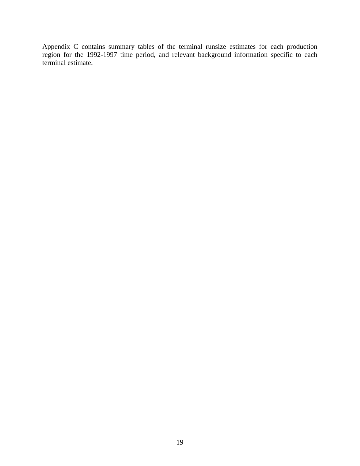Appendix C contains summary tables of the terminal runsize estimates for each production region for the 1992-1997 time period, and relevant background information specific to each terminal estimate.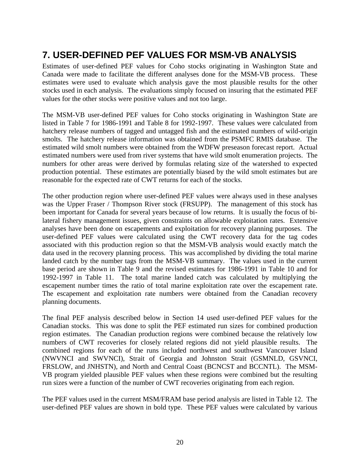## **7. USER-DEFINED PEF VALUES FOR MSM-VB ANALYSIS**

Estimates of user-defined PEF values for Coho stocks originating in Washington State and Canada were made to facilitate the different analyses done for the MSM-VB process. These estimates were used to evaluate which analysis gave the most plausible results for the other stocks used in each analysis. The evaluations simply focused on insuring that the estimated PEF values for the other stocks were positive values and not too large.

The MSM-VB user-defined PEF values for Coho stocks originating in Washington State are listed in Table 7 for 1986-1991 and Table 8 for 1992-1997. These values were calculated from hatchery release numbers of tagged and untagged fish and the estimated numbers of wild-origin smolts. The hatchery release information was obtained from the PSMFC RMIS database. The estimated wild smolt numbers were obtained from the WDFW preseason forecast report. Actual estimated numbers were used from river systems that have wild smolt enumeration projects. The numbers for other areas were derived by formulas relating size of the watershed to expected production potential. These estimates are potentially biased by the wild smolt estimates but are reasonable for the expected rate of CWT returns for each of the stocks.

The other production region where user-defined PEF values were always used in these analyses was the Upper Fraser / Thompson River stock (FRSUPP). The management of this stock has been important for Canada for several years because of low returns. It is usually the focus of bilateral fishery management issues, given constraints on allowable exploitation rates. Extensive analyses have been done on escapements and exploitation for recovery planning purposes. The user-defined PEF values were calculated using the CWT recovery data for the tag codes associated with this production region so that the MSM-VB analysis would exactly match the data used in the recovery planning process. This was accomplished by dividing the total marine landed catch by the number tags from the MSM-VB summary. The values used in the current base period are shown in Table 9 and the revised estimates for 1986-1991 in Table 10 and for 1992-1997 in Table 11. The total marine landed catch was calculated by multiplying the escapement number times the ratio of total marine exploitation rate over the escapement rate. The escapement and exploitation rate numbers were obtained from the Canadian recovery planning documents.

The final PEF analysis described below in Section 14 used user-defined PEF values for the Canadian stocks. This was done to split the PEF estimated run sizes for combined production region estimates. The Canadian production regions were combined because the relatively low numbers of CWT recoveries for closely related regions did not yield plausible results. The combined regions for each of the runs included northwest and southwest Vancouver Island (NWVNCI and SWVNCI), Strait of Georgia and Johnston Strait (GSMNLD, GSVNCI, FRSLOW, and JNHSTN), and North and Central Coast (BCNCST and BCCNTL). The MSM-VB program yielded plausible PEF values when these regions were combined but the resulting run sizes were a function of the number of CWT recoveries originating from each region.

The PEF values used in the current MSM/FRAM base period analysis are listed in Table 12. The user-defined PEF values are shown in bold type. These PEF values were calculated by various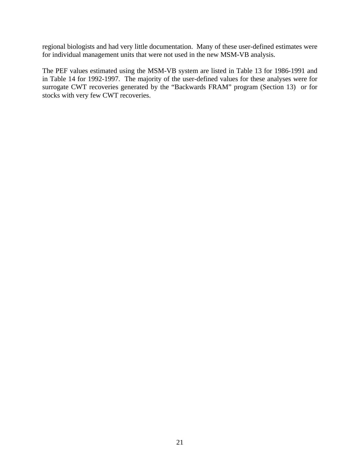regional biologists and had very little documentation. Many of these user-defined estimates were for individual management units that were not used in the new MSM-VB analysis.

The PEF values estimated using the MSM-VB system are listed in Table 13 for 1986-1991 and in Table 14 for 1992-1997. The majority of the user-defined values for these analyses were for surrogate CWT recoveries generated by the "Backwards FRAM" program (Section 13) or for stocks with very few CWT recoveries.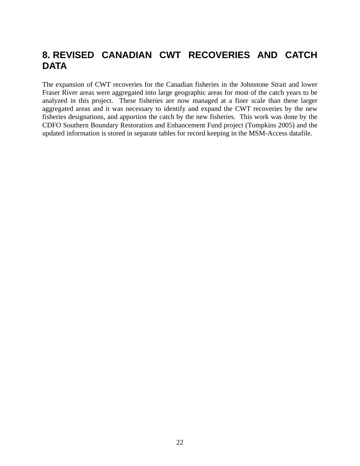## **8. REVISED CANADIAN CWT RECOVERIES AND CATCH DATA**

The expansion of CWT recoveries for the Canadian fisheries in the Johnstone Strait and lower Fraser River areas were aggregated into large geographic areas for most of the catch years to be analyzed in this project. These fisheries are now managed at a finer scale than these larger aggregated areas and it was necessary to identify and expand the CWT recoveries by the new fisheries designations, and apportion the catch by the new fisheries. This work was done by the CDFO Southern Boundary Restoration and Enhancement Fund project (Tompkins 2005) and the updated information is stored in separate tables for record keeping in the MSM-Access datafile.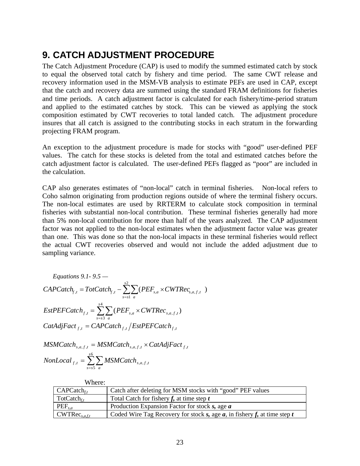## **9. CATCH ADJUSTMENT PROCEDURE**

The Catch Adjustment Procedure (CAP) is used to modify the summed estimated catch by stock to equal the observed total catch by fishery and time period. The same CWT release and recovery information used in the MSM-VB analysis to estimate PEFs are used in CAP, except that the catch and recovery data are summed using the standard FRAM definitions for fisheries and time periods. A catch adjustment factor is calculated for each fishery/time-period stratum and applied to the estimated catches by stock. This can be viewed as applying the stock composition estimated by CWT recoveries to total landed catch. The adjustment procedure insures that all catch is assigned to the contributing stocks in each stratum in the forwarding projecting FRAM program.

An exception to the adjustment procedure is made for stocks with "good" user-defined PEF values. The catch for these stocks is deleted from the total and estimated catches before the catch adjustment factor is calculated. The user-defined PEFs flagged as "poor" are included in the calculation.

CAP also generates estimates of "non-local" catch in terminal fisheries. Non-local refers to Coho salmon originating from production regions outside of where the terminal fishery occurs. The non-local estimates are used by RRTERM to calculate stock composition in terminal fisheries with substantial non-local contribution. These terminal fisheries generally had more than 5% non-local contribution for more than half of the years analyzed. The CAP adjustment factor was not applied to the non-local estimates when the adjustment factor value was greater than one. This was done so that the non-local impacts in these terminal fisheries would reflect the actual CWT recoveries observed and would not include the added adjustment due to sampling variance.

Equations 9.1- 9.5 —  
\n*CAP Catch<sub>f,t</sub>* = *TotCatch<sub>f,t</sub>* - 
$$
\sum_{s=s1}^{s2} \sum_{a} (PEF_{s,a} \times CWTRec_{s,a,f,t})
$$
  
\n*EstPECT* (BET) =  $\sum_{s=s3}^{s4} \sum_{a} (PEF_{s,a} \times CWTRec_{s,a,f,t})$   
\n*CatAdjFact<sub>f,t</sub>* = *CAPCatch<sub>f,t</sub>* / *EstPECT* (BET)

$$
MSMCatch_{s,a,f,t} = MSMCatch_{s,a,f,t} \times CatAdjFact_{f,t}
$$
  

$$
NonLocal_{f,t} = \sum_{s=s}^{s6} \sum_{a} MSMCatch_{s,a,f,t}
$$

| Where:                    |                                                                             |
|---------------------------|-----------------------------------------------------------------------------|
| $CAP Catch_{ft}$          | Catch after deleting for MSM stocks with "good" PEF values                  |
| $Tot Catch_{f,t}$         | Total Catch for fishery $f$ , at time step $t$                              |
| $PEF_{s,a}$               | Production Expansion Factor for stock $s$ , age $a$                         |
| $\text{CWTRec}_{s.a.f.t}$ | Coded Wire Tag Recovery for stock s, age $a$ , in fishery f, at time step t |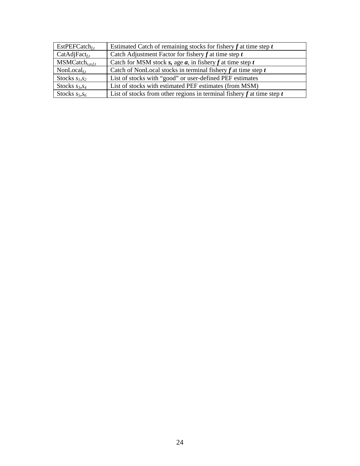| $EstPEFCatch_{ft}$      | Estimated Catch of remaining stocks for fishery $f$ at time step $t$       |
|-------------------------|----------------------------------------------------------------------------|
| $CatAdjFact_{ft}$       | Catch Adjustment Factor for fishery $f$ at time step $t$                   |
| $MSMCatch_{s.a.f.t.}$   | Catch for MSM stock s, age $a$ , in fishery $f$ at time step $t$           |
| NonLocal $_{\text{f}t}$ | Catch of NonLocal stocks in terminal fishery $f$ at time step $t$          |
| Stocks $s_1, s_2$       | List of stocks with "good" or user-defined PEF estimates                   |
| Stocks $s_3, s_4$       | List of stocks with estimated PEF estimates (from MSM)                     |
| Stocks $s_5$ , $s_6$    | List of stocks from other regions in terminal fishery $f$ at time step $t$ |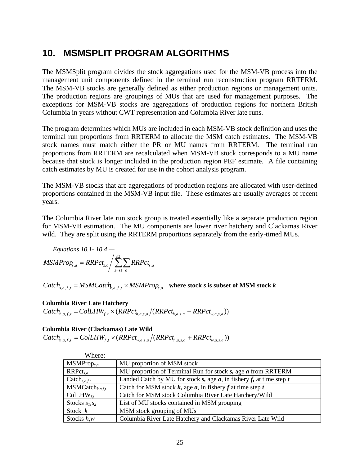### **10. MSMSPLIT PROGRAM ALGORITHMS**

The MSMSplit program divides the stock aggregations used for the MSM-VB process into the management unit components defined in the terminal run reconstruction program RRTERM. The MSM-VB stocks are generally defined as either production regions or management units. The production regions are groupings of MUs that are used for management purposes. The exceptions for MSM-VB stocks are aggregations of production regions for northern British Columbia in years without CWT representation and Columbia River late runs.

The program determines which MUs are included in each MSM-VB stock definition and uses the terminal run proportions from RRTERM to allocate the MSM catch estimates. The MSM-VB stock names must match either the PR or MU names from RRTERM. The terminal run proportions from RRTERM are recalculated when MSM-VB stock corresponds to a MU name because that stock is longer included in the production region PEF estimate. A file containing catch estimates by MU is created for use in the cohort analysis program.

The MSM-VB stocks that are aggregations of production regions are allocated with user-defined proportions contained in the MSM-VB input file. These estimates are usually averages of recent years.

The Columbia River late run stock group is treated essentially like a separate production region for MSM-VB estimation. The MU components are lower river hatchery and Clackamas River wild. They are split using the RRTERM proportions separately from the early-timed MUs.

Equations 10.1- 10.4 —  
\n
$$
MSMProp_{s,a} = RRPct_{s,a} / \sum_{s=s1}^{s2} \sum_{a} RRPct_{s,a}
$$

 $\textit{Catch}_{s,a,f,t} = \textit{MSMCatch}_{k,a,f,t} \times \textit{MSMProp}_{s,a}$  where stock *s* is subset of MSM stock *k* 

#### **Columbia River Late Hatchery**

 $\textit{Catch}_{h,a,f,t} = \textit{CollHW}_{f,t} \times (\textit{RRPet}_{h,a,s,a}/(\textit{RRPet}_{h,a,s,a} + \textit{RRPet}_{w,a,s,a}))$ 

#### **Columbia River (Clackamas) Late Wild**

 $\textit{Catch}_{h,a,f,t} = \textit{CollHW}_{f,t} \times (\textit{RRPet}_{w,a,s,a}/(\textit{RRPet}_{h,a,s,a} + \textit{RRPet}_{w,a,s,a}))$ 

| Where:                      |                                                                          |
|-----------------------------|--------------------------------------------------------------------------|
| $MSMProp_{s,a}$             | MU proportion of MSM stock                                               |
| $RRPet_{s,a}$               | MU proportion of Terminal Run for stock s, age a from RRTERM             |
| $\text{Catch}_{s,a,f,t}$    | Landed Catch by MU for stock s, age $a$ , in fishery f, at time step $t$ |
| $MSMCatch_{k,a,f,t}$        | Catch for MSM stock $k$ , age $a$ , in fishery $f$ at time step $t$      |
| $\text{CollHW}_{\text{ft}}$ | Catch for MSM stock Columbia River Late Hatchery/Wild                    |
| Stocks $s_1, s_2$           | List of MU stocks contained in MSM grouping                              |
| Stock $k$                   | MSM stock grouping of MUs                                                |
| Stocks $h, w$               | Columbia River Late Hatchery and Clackamas River Late Wild               |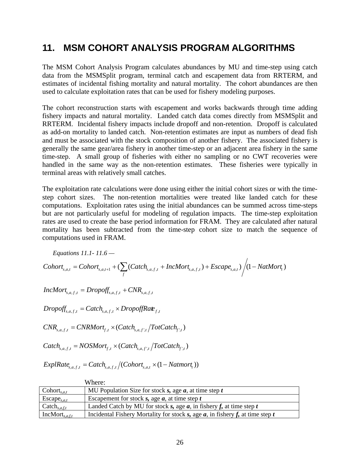### **11. MSM COHORT ANALYSIS PROGRAM ALGORITHMS**

The MSM Cohort Analysis Program calculates abundances by MU and time-step using catch data from the MSMSplit program, terminal catch and escapement data from RRTERM, and estimates of incidental fishing mortality and natural mortality. The cohort abundances are then used to calculate exploitation rates that can be used for fishery modeling purposes.

The cohort reconstruction starts with escapement and works backwards through time adding fishery impacts and natural mortality. Landed catch data comes directly from MSMSplit and RRTERM. Incidental fishery impacts include dropoff and non-retention. Dropoff is calculated as add-on mortality to landed catch. Non-retention estimates are input as numbers of dead fish and must be associated with the stock composition of another fishery. The associated fishery is generally the same gear/area fishery in another time-step or an adjacent area fishery in the same time-step. A small group of fisheries with either no sampling or no CWT recoveries were handled in the same way as the non-retention estimates. These fisheries were typically in terminal areas with relatively small catches.

The exploitation rate calculations were done using either the initial cohort sizes or with the timestep cohort sizes. The non-retention mortalities were treated like landed catch for these computations. Exploitation rates using the initial abundances can be summed across time-steps but are not particularly useful for modeling of regulation impacts. The time-step exploitation rates are used to create the base period information for FRAM. They are calculated after natural mortality has been subtracted from the time-step cohort size to match the sequence of computations used in FRAM.

*Equations 11.1- 11.6 —* 

$$
Cohort_{s,a,t} = Cohort_{s,a,t+1} + (\sum_{f} (Catch_{s,a,f,t} + IncMort_{s,a,f,t}) + Escape_{s,a,t})/(1 - NatMort_{t})
$$

 $IncMort_{s,a,f,t} = Dropoff_{s,a,f,t} + CNR_{s,a,f,t}$ 

 $Dropoff_{s,a,f,t} = Catch_{s,a,f,t} \times DropoffRate_{f,t}$ 

 $CNR_{s,a,f,t} = CNRMort_{f,t} \times (Catch_{s,a,f',t}/TotCatch_{f',t})$ 

$$
Catch_{s,a,f,t} = NOSMort_{f,t} \times (Catch_{s,a,f',t}/TotCatch_{f',t})
$$

 $ExpRate_{s,a,f,t} = Catch_{s,a,f,t}/(Cohort_{s,a,t} \times (1 - Nature_t))$ 

| Where:                   |                                                                                  |
|--------------------------|----------------------------------------------------------------------------------|
| Cohort <sub>s.a.t</sub>  | MU Population Size for stock s, age $a$ , at time step $t$                       |
| $\text{Escape}_{s,a,t}$  | Escapement for stock s, age $a$ , at time step $t$                               |
| Catch <sub>s,a,f,t</sub> | Landed Catch by MU for stock s, age $a$ , in fishery f, at time step t           |
| $IncMort_{s,a, f,t}$     | Incidental Fishery Mortality for stock s, age $a$ , in fishery f, at time step t |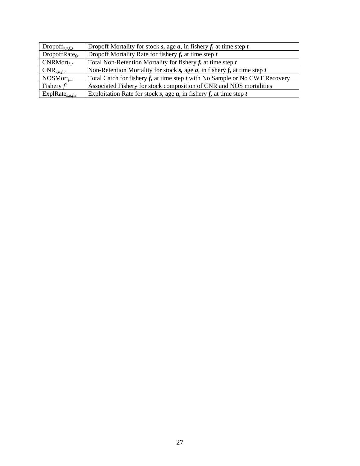| $Dropoff_{s,a,f,t}$        | Dropoff Mortality for stock s, age $a$ , in fishery f, at time step $t$          |
|----------------------------|----------------------------------------------------------------------------------|
| DropoffRate $_{\text{f}t}$ | Dropoff Mortality Rate for fishery $f$ , at time step $t$                        |
| $CNRMort$ <sub>f.,t</sub>  | Total Non-Retention Mortality for fishery $f$ , at time step $t$                 |
| $CNR_{s,a,f,t}$            | Non-Retention Mortality for stock s, age $a$ , in fishery f, at time step $t$    |
| $NOSMort$ <sub>f.,t</sub>  | Total Catch for fishery $f$ , at time step $t$ with No Sample or No CWT Recovery |
| Fishery $f'$               | Associated Fishery for stock composition of CNR and NOS mortalities              |
| $ExpRate_{s,a,f,t}$        | Exploitation Rate for stock s, age $a$ , in fishery f, at time step $t$          |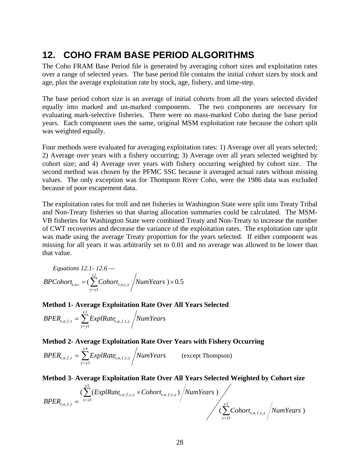## **12. COHO FRAM BASE PERIOD ALGORITHMS**

The Coho FRAM Base Period file is generated by averaging cohort sizes and exploitation rates over a range of selected years. The base period file contains the initial cohort sizes by stock and age, plus the average exploitation rate by stock, age, fishery, and time-step.

The base period cohort size is an average of initial cohorts from all the years selected divided equally into marked and un-marked components. The two components are necessary for evaluating mark-selective fisheries. There were no mass-marked Coho during the base period years. Each component uses the same, original MSM exploitation rate because the cohort split was weighted equally.

Four methods were evaluated for averaging exploitation rates: 1) Average over all years selected; 2) Average over years with a fishery occurring; 3) Average over all years selected weighted by cohort size; and 4) Average over years with fishery occurring weighted by cohort size. The second method was chosen by the PFMC SSC because it averaged actual rates without missing values. The only exception was for Thompson River Coho, were the 1986 data was excluded because of poor escapement data.

The exploitation rates for troll and net fisheries in Washington State were split into Treaty Tribal and Non-Treaty fisheries so that sharing allocation summaries could be calculated. The MSM-VB fisheries for Washington State were combined Treaty and Non-Treaty to increase the number of CWT recoveries and decrease the variance of the exploitation rates. The exploitation rate split was made using the average Treaty proportion for the years selected. If either component was missing for all years it was arbitrarily set to 0.01 and no average was allowed to be lower than that value.

Equations 12.1- 12.6 —  
 
$$
BPCohort_{s,a,t} = \left(\sum_{y=y}^{y2} Cohort_{s,a,t,y} / NumYears\right) \times 0.5
$$

**Method 1- Average Exploitation Rate Over All Years Selected** 

$$
BPER_{s,a,f,t} = \sum_{y=y1}^{y2} ExpIRate_{s,a,f,t,y} / NumYears
$$

#### **Method 2- Average Exploitation Rate Over Years with Fishery Occurring**

$$
BPER_{s,a,f,t} = \sum_{y=y3}^{y4} ExpIRate_{s,a,f,t,y} / NumYears
$$
 (except Thompson)

**Method 3- Average Exploitation Rate Over All Years Selected Weighted by Cohort size** 

$$
BPER_{s,a,f,t} = \frac{\left(\sum_{y=y}^{y^2} (ExplRate_{s,a,f,t,y} \times Cohort_{s,a,f,t,y})\right/NumYears)}{\left(\sum_{y=y}^{y^2} Cohort_{s,a,f,t,y}\right/NumYears)}\right)
$$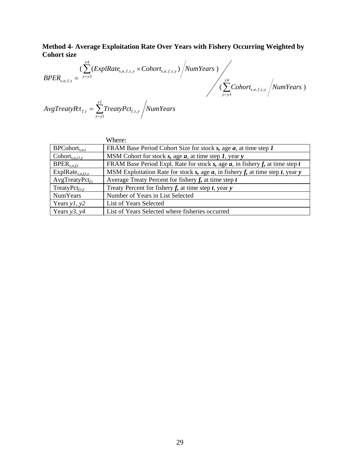**Method 4- Average Exploitation Rate Over Years with Fishery Occurring Weighted by Cohort size** 

 $(\sum Cohort_{s, after} / NumYears)$  $(\sum (ExplRate_{s,aftx} \times Cohort_{s,afty})/Num Years)$ 4 3  $, a, f, t,$ 4 3  $_{a,f,t,y}$   $\sim$   $\omega$  $\omega$  $\iota_{s,a,f,t,x}$  $, a, f,$ *Cohort NumYears*  $ExpRate_{s, a.f.t. y} \times Cohort_{s, a.f.t. y}$  /NumYears  $BPER_{s,a,f,t} = \frac{y=y3}{y}$ *y y*  $s$ , $a$ , $f$ , $t$ , $y$ *y y y*  $\mathbf{S}_{s,a,f,t,y}$   $\sim$   $\mathbf{C}$ *oliof*<sub> $\mathbf{t}_{s,a,f,t,y}$ </sub>  $\frac{y^4}{2}$ ∑ = = × =

 $AvgTreatyPt_{f,t} = \sum TreatyPct_{f,t}$ , /NumYears *y*  $f_{f,t} = \sum_{y=y}$ *f f f yf f t*<sub>*f*</sub>*t,y<i>f* = 2 1  $\mathcal{L}_t = \sum_{i} \text{mean} \sum_{f,t_i}$ 

|                                                | Where:                                                                            |
|------------------------------------------------|-----------------------------------------------------------------------------------|
| $BPCohort_{s,a,t}$                             | FRAM Base Period Cohort Size for stock s, age $a$ , at time step $I$              |
| $\text{Cohort}_{s,a,tl,v}$                     | MSM Cohort for stock $s$ , age $a$ , at time step $1$ , year $y$                  |
| $BPER_{s.a.f.t}$                               | FRAM Base Period Expl. Rate for stock s, age $a$ , in fishery f, at time step t   |
| ExplRate <sub>s, <math>a, f, t, y</math></sub> | MSM Exploitation Rate for stock s, age $a$ , in fishery f, at time step t, year y |
| $AvgTreatyPct_{f,t}$                           | Average Treaty Percent for fishery $f$ , at time step $t$                         |
| TreatyPc $t_{f,t,v}$                           | Treaty Percent for fishery $f$ , at time step $t$ , year $y$                      |
| <b>NumYears</b>                                | Number of Years in List Selected                                                  |
| Years $y1, y2$                                 | List of Years Selected                                                            |
| Years $y3, y4$                                 | List of Years Selected where fisheries occurred                                   |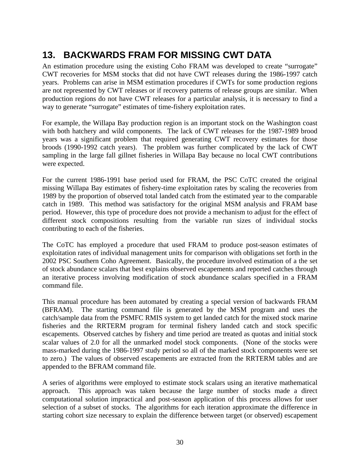## **13. BACKWARDS FRAM FOR MISSING CWT DATA**

An estimation procedure using the existing Coho FRAM was developed to create "surrogate" CWT recoveries for MSM stocks that did not have CWT releases during the 1986-1997 catch years. Problems can arise in MSM estimation procedures if CWTs for some production regions are not represented by CWT releases or if recovery patterns of release groups are similar. When production regions do not have CWT releases for a particular analysis, it is necessary to find a way to generate "surrogate" estimates of time-fishery exploitation rates.

For example, the Willapa Bay production region is an important stock on the Washington coast with both hatchery and wild components. The lack of CWT releases for the 1987-1989 brood years was a significant problem that required generating CWT recovery estimates for those broods (1990-1992 catch years). The problem was further complicated by the lack of CWT sampling in the large fall gillnet fisheries in Willapa Bay because no local CWT contributions were expected.

For the current 1986-1991 base period used for FRAM, the PSC CoTC created the original missing Willapa Bay estimates of fishery-time exploitation rates by scaling the recoveries from 1989 by the proportion of observed total landed catch from the estimated year to the comparable catch in 1989. This method was satisfactory for the original MSM analysis and FRAM base period. However, this type of procedure does not provide a mechanism to adjust for the effect of different stock compositions resulting from the variable run sizes of individual stocks contributing to each of the fisheries.

The CoTC has employed a procedure that used FRAM to produce post-season estimates of exploitation rates of individual management units for comparison with obligations set forth in the 2002 PSC Southern Coho Agreement. Basically, the procedure involved estimation of a the set of stock abundance scalars that best explains observed escapements and reported catches through an iterative process involving modification of stock abundance scalars specified in a FRAM command file.

This manual procedure has been automated by creating a special version of backwards FRAM (BFRAM). The starting command file is generated by the MSM program and uses the catch/sample data from the PSMFC RMIS system to get landed catch for the mixed stock marine fisheries and the RRTERM program for terminal fishery landed catch and stock specific escapements. Observed catches by fishery and time period are treated as quotas and initial stock scalar values of 2.0 for all the unmarked model stock components. (None of the stocks were mass-marked during the 1986-1997 study period so all of the marked stock components were set to zero.) The values of observed escapements are extracted from the RRTERM tables and are appended to the BFRAM command file.

A series of algorithms were employed to estimate stock scalars using an iterative mathematical approach. This approach was taken because the large number of stocks made a direct computational solution impractical and post-season application of this process allows for user selection of a subset of stocks. The algorithms for each iteration approximate the difference in starting cohort size necessary to explain the difference between target (or observed) escapement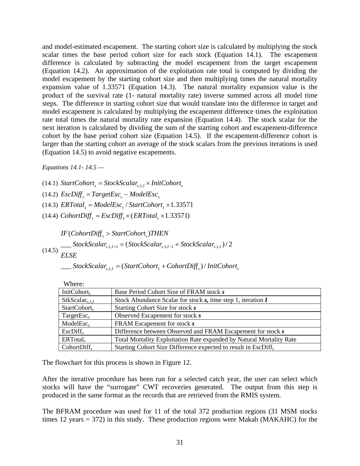and model-estimated escapement. The starting cohort size is calculated by multiplying the stock scalar times the base period cohort size for each stock (Equation 14.1). The escapement difference is calculated by subtracting the model escapement from the target escapement (Equation 14.2). An approximation of the exploitation rate total is computed by dividing the model escapement by the starting cohort size and then multiplying times the natural mortality expansion value of 1.33571 (Equation 14.3). The natural mortality expansion value is the product of the survival rate (1- natural mortality rate) inverse summed across all model time steps. The difference in starting cohort size that would translate into the difference in target and model escapement is calculated by multiplying the escapement difference times the exploitation rate total times the natural mortality rate expansion (Equation 14.4). The stock scalar for the next iteration is calculated by dividing the sum of the starting cohort and escapement-difference cohort by the base period cohort size (Equation 14.5). If the escapement-difference cohort is larger than the starting cohort an average of the stock scalars from the previous iterations is used (Equation 14.5) to avoid negative escapements.

*Equations 14.1- 14.5 —*

 $(14.1)$  *StartCohort*<sub>s</sub> = *StockScalar*<sub>s 1</sub>,  $\times$  *InitCohort*<sub>s</sub>

 $(14.2)$  *EscDiff*<sub>s</sub> = *TargetEsc*<sub>s</sub> – *ModelEsc*<sub>s</sub>

(14.3)  $ERTotal<sub>s</sub> = ModelEsc<sub>s</sub> / StartColor<sub>s</sub> × 1.33571$ 

 $(14.4)$  *CohortDiff<sub>s</sub>* = *EscDiff<sub>s</sub>*  $\times$  *(ERTotal<sub>s</sub>*  $\times$  1.33571)

 $\sum_{s=1,1}^{\text{SLOCASC} (14.5)}$   $\sum_{s=1,1}^{\text{SLOCASC} (14.5)}$   $\sum_{s=1,1}^{\text{SLOCASC} (14.5)}$ *s s ELSE*  $\qquad \qquad \textit{StockScalar}_{s,1,t+1} = (StockScalar_{s,1,t-1} + StockScalar_{s,1,t})/2$  $IF(Color \textit{Diff}_{s} > StartColor_{s}) THEN$ 

 $\qquad \qquad \textit{StockScalar}_{s,1,I} = (StartColor_t_s + CohortDiff_s) / InitColor_t_s$ 

| ,,,,,,,,,                 |                                                                            |
|---------------------------|----------------------------------------------------------------------------|
| Init $\text{Cohort}_s$    | Base Period Cohort Size of FRAM stock s                                    |
| StkScalar <sub>s,LI</sub> | Stock Abundance Scalar for stock $s$ , time step 1, iteration $I$          |
| StartColor <sub>s</sub>   | Starting Cohort Size for stock s                                           |
| TargetEsc <sub>s</sub>    | Observed Escapement for stock s                                            |
| ModelEsc <sub>s</sub>     | FRAM Escapement for stock s                                                |
| EscDiff <sub>s</sub>      | Difference between Observed and FRAM Escapement for stock s                |
| ERTotal <sub>s</sub>      | Total Mortality Exploitation Rate expanded by Natural Mortality Rate       |
| CohortDiff <sub>s</sub>   | Starting Cohort Size Difference expected to result in EscDiff <sub>s</sub> |

Where:

The flowchart for this process is shown in Figure 12.

After the iterative procedure has been run for a selected catch year, the user can select which stocks will have the "surrogate" CWT recoveries generated. The output from this step is produced in the same format as the records that are retrieved from the RMIS system.

The BFRAM procedure was used for 11 of the total 372 production regions (31 MSM stocks times 12 years = 372) in this study. These production regions were Makah (MAKAHC) for the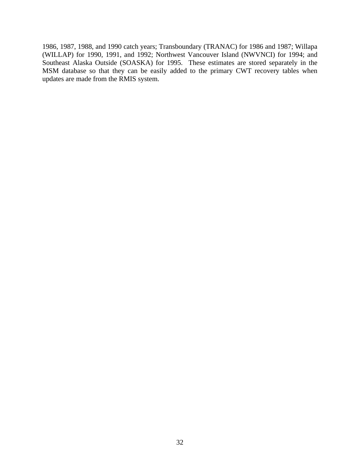1986, 1987, 1988, and 1990 catch years; Transboundary (TRANAC) for 1986 and 1987; Willapa (WILLAP) for 1990, 1991, and 1992; Northwest Vancouver Island (NWVNCI) for 1994; and Southeast Alaska Outside (SOASKA) for 1995. These estimates are stored separately in the MSM database so that they can be easily added to the primary CWT recovery tables when updates are made from the RMIS system.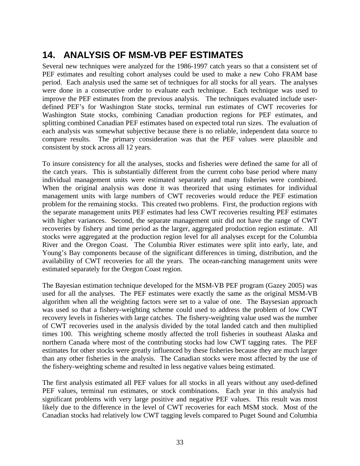# **14. ANALYSIS OF MSM-VB PEF ESTIMATES**

Several new techniques were analyzed for the 1986-1997 catch years so that a consistent set of PEF estimates and resulting cohort analyses could be used to make a new Coho FRAM base period. Each analysis used the same set of techniques for all stocks for all years. The analyses were done in a consecutive order to evaluate each technique. Each technique was used to improve the PEF estimates from the previous analysis. The techniques evaluated include userdefined PEF's for Washington State stocks, terminal run estimates of CWT recoveries for Washington State stocks, combining Canadian production regions for PEF estimates, and splitting combined Canadian PEF estimates based on expected total run sizes. The evaluation of each analysis was somewhat subjective because there is no reliable, independent data source to compare results. The primary consideration was that the PEF values were plausible and consistent by stock across all 12 years.

To insure consistency for all the analyses, stocks and fisheries were defined the same for all of the catch years. This is substantially different from the current coho base period where many individual management units were estimated separately and many fisheries were combined. When the original analysis was done it was theorized that using estimates for individual management units with large numbers of CWT recoveries would reduce the PEF estimation problem for the remaining stocks. This created two problems. First, the production regions with the separate management units PEF estimates had less CWT recoveries resulting PEF estimates with higher variances. Second, the separate management unit did not have the range of CWT recoveries by fishery and time period as the larger, aggregated production region estimate. All stocks were aggregated at the production region level for all analyses except for the Columbia River and the Oregon Coast. The Columbia River estimates were split into early, late, and Young's Bay components because of the significant differences in timing, distribution, and the availability of CWT recoveries for all the years. The ocean-ranching management units were estimated separately for the Oregon Coast region.

The Bayesian estimation technique developed for the MSM-VB PEF program (Gazey 2005) was used for all the analyses. The PEF estimates were exactly the same as the original MSM-VB algorithm when all the weighting factors were set to a value of one. The Baysesian approach was used so that a fishery-weighting scheme could used to address the problem of low CWT recovery levels in fisheries with large catches. The fishery-weighting value used was the number of CWT recoveries used in the analysis divided by the total landed catch and then multiplied times 100. This weighting scheme mostly affected the troll fisheries in southeast Alaska and northern Canada where most of the contributing stocks had low CWT tagging rates. The PEF estimates for other stocks were greatly influenced by these fisheries because they are much larger than any other fisheries in the analysis. The Canadian stocks were most affected by the use of the fishery-weighting scheme and resulted in less negative values being estimated.

The first analysis estimated all PEF values for all stocks in all years without any used-defined PEF values, terminal run estimates, or stock combinations. Each year in this analysis had significant problems with very large positive and negative PEF values. This result was most likely due to the difference in the level of CWT recoveries for each MSM stock. Most of the Canadian stocks had relatively low CWT tagging levels compared to Puget Sound and Columbia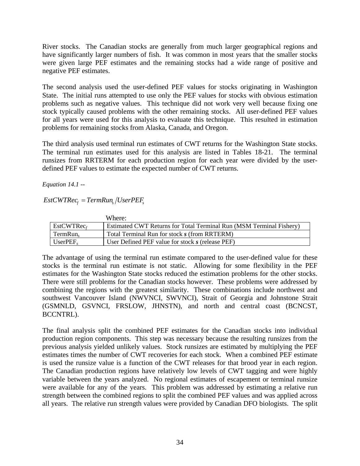River stocks. The Canadian stocks are generally from much larger geographical regions and have significantly larger numbers of fish. It was common in most years that the smaller stocks were given large PEF estimates and the remaining stocks had a wide range of positive and negative PEF estimates.

The second analysis used the user-defined PEF values for stocks originating in Washington State. The initial runs attempted to use only the PEF values for stocks with obvious estimation problems such as negative values. This technique did not work very well because fixing one stock typically caused problems with the other remaining stocks. All user-defined PEF values for all years were used for this analysis to evaluate this technique. This resulted in estimation problems for remaining stocks from Alaska, Canada, and Oregon.

The third analysis used terminal run estimates of CWT returns for the Washington State stocks. The terminal run estimates used for this analysis are listed in Tables 18-21. The terminal runsizes from RRTERM for each production region for each year were divided by the userdefined PEF values to estimate the expected number of CWT returns.

*Equation 14.1 --*

 $EstCWTree_f = TermRun_s / UserPEF_s$ 

|                        | Where:                                                              |
|------------------------|---------------------------------------------------------------------|
| EstCWTRec <sub>f</sub> | Estimated CWT Returns for Total Terminal Run (MSM Terminal Fishery) |
| TermRun <sub>s</sub>   | Total Terminal Run for stock s (from RRTERM)                        |
| $UserPEF_s$            | User Defined PEF value for stock s (release PEF)                    |

The advantage of using the terminal run estimate compared to the user-defined value for these stocks is the terminal run estimate is not static. Allowing for some flexibility in the PEF estimates for the Washington State stocks reduced the estimation problems for the other stocks. There were still problems for the Canadian stocks however. These problems were addressed by combining the regions with the greatest similarity. These combinations include northwest and southwest Vancouver Island (NWVNCI, SWVNCI), Strait of Georgia and Johnstone Strait (GSMNLD, GSVNCI, FRSLOW, JHNSTN), and north and central coast (BCNCST, BCCNTRL).

The final analysis split the combined PEF estimates for the Canadian stocks into individual production region components. This step was necessary because the resulting runsizes from the previous analysis yielded unlikely values. Stock runsizes are estimated by multiplying the PEF estimates times the number of CWT recoveries for each stock. When a combined PEF estimate is used the runsize value is a function of the CWT releases for that brood year in each region. The Canadian production regions have relatively low levels of CWT tagging and were highly variable between the years analyzed. No regional estimates of escapement or terminal runsize were available for any of the years. This problem was addressed by estimating a relative run strength between the combined regions to split the combined PEF values and was applied across all years. The relative run strength values were provided by Canadian DFO biologists. The split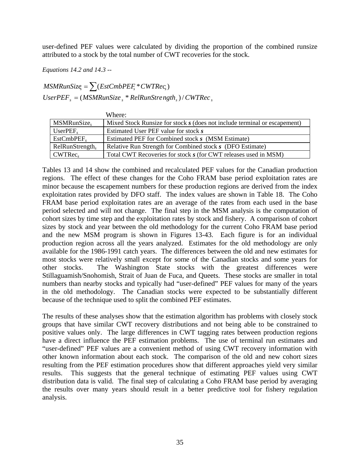user-defined PEF values were calculated by dividing the proportion of the combined runsize attributed to a stock by the total number of CWT recoveries for the stock.

*Equations 14.2 and 14.3 --*

 $MSMRunSize_s = \sum (EstChbPEF_s * CWTRec_s)$  $UserPEF<sub>s</sub> = (MSMRunSize<sub>s</sub><sup>*</sup> RelRunStream, *W* / CWTRec<sub>s</sub>$ 

|                             | Where:                                                                    |
|-----------------------------|---------------------------------------------------------------------------|
| MSMRunSize,                 | Mixed Stock Runsize for stock s (does not include terminal or escapement) |
| $UserPEF_s$                 | Estimated User PEF value for stock s                                      |
| $EstCmbPEF_s$               | Estimated PEF for Combined stock s (MSM Estimate)                         |
| RelRunStrongth <sub>s</sub> | Relative Run Strength for Combined stock s (DFO Estimate)                 |
| CWTRec <sub>s</sub>         | Total CWT Recoveries for stock s (for CWT releases used in MSM)           |

Tables 13 and 14 show the combined and recalculated PEF values for the Canadian production regions. The effect of these changes for the Coho FRAM base period exploitation rates are minor because the escapement numbers for these production regions are derived from the index exploitation rates provided by DFO staff. The index values are shown in Table 18. The Coho FRAM base period exploitation rates are an average of the rates from each used in the base period selected and will not change. The final step in the MSM analysis is the computation of cohort sizes by time step and the exploitation rates by stock and fishery. A comparison of cohort sizes by stock and year between the old methodology for the current Coho FRAM base period and the new MSM program is shown in Figures 13-43. Each figure is for an individual production region across all the years analyzed. Estimates for the old methodology are only available for the 1986-1991 catch years. The differences between the old and new estimates for most stocks were relatively small except for some of the Canadian stocks and some years for other stocks. The Washington State stocks with the greatest differences were Stillaguamish/Snohomish, Strait of Juan de Fuca, and Queets. These stocks are smaller in total numbers than nearby stocks and typically had "user-defined" PEF values for many of the years in the old methodology. The Canadian stocks were expected to be substantially different because of the technique used to split the combined PEF estimates.

The results of these analyses show that the estimation algorithm has problems with closely stock groups that have similar CWT recovery distributions and not being able to be constrained to positive values only. The large differences in CWT tagging rates between production regions have a direct influence the PEF estimation problems. The use of terminal run estimates and "user-defined" PEF values are a convenient method of using CWT recovery information with other known information about each stock. The comparison of the old and new cohort sizes resulting from the PEF estimation procedures show that different approaches yield very similar results. This suggests that the general technique of estimating PEF values using CWT distribution data is valid. The final step of calculating a Coho FRAM base period by averaging the results over many years should result in a better predictive tool for fishery regulation analysis.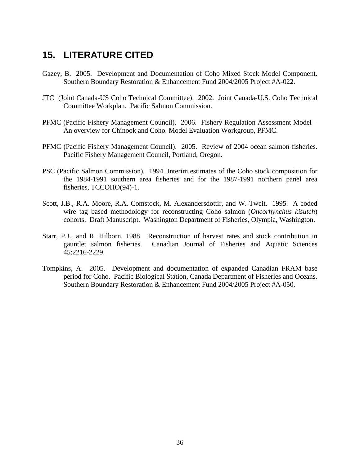### **15. LITERATURE CITED**

- Gazey, B. 2005. Development and Documentation of Coho Mixed Stock Model Component. Southern Boundary Restoration & Enhancement Fund 2004/2005 Project #A-022.
- JTC (Joint Canada-US Coho Technical Committee). 2002. Joint Canada-U.S. Coho Technical Committee Workplan. Pacific Salmon Commission.
- PFMC (Pacific Fishery Management Council). 2006.Fishery Regulation Assessment Model An overview for Chinook and Coho. Model Evaluation Workgroup, PFMC.
- PFMC (Pacific Fishery Management Council). 2005. Review of 2004 ocean salmon fisheries. Pacific Fishery Management Council, Portland, Oregon.
- PSC (Pacific Salmon Commission). 1994. Interim estimates of the Coho stock composition for the 1984-1991 southern area fisheries and for the 1987-1991 northern panel area fisheries, TCCOHO(94)-1.
- Scott, J.B., R.A. Moore, R.A. Comstock, M. Alexandersdottir, and W. Tweit. 1995. A coded wire tag based methodology for reconstructing Coho salmon (*Oncorhynchus kisutch*) cohorts. Draft Manuscript. Washington Department of Fisheries, Olympia, Washington.
- Starr, P.J., and R. Hilborn. 1988. Reconstruction of harvest rates and stock contribution in gauntlet salmon fisheries. Canadian Journal of Fisheries and Aquatic Sciences 45:2216-2229.
- Tompkins, A. 2005. Development and documentation of expanded Canadian FRAM base period for Coho. Pacific Biological Station, Canada Department of Fisheries and Oceans. Southern Boundary Restoration & Enhancement Fund 2004/2005 Project #A-050.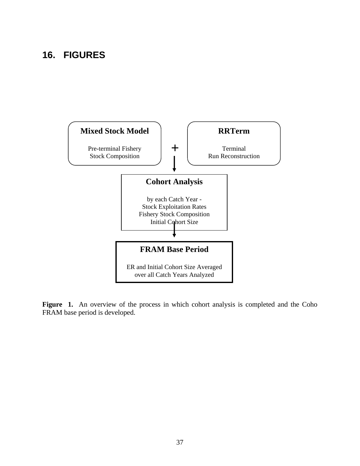### **16. FIGURES**



Figure 1. An overview of the process in which cohort analysis is completed and the Coho FRAM base period is developed.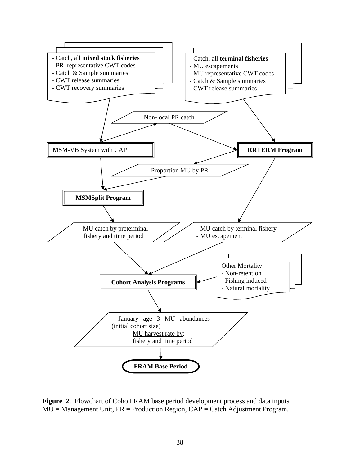

**Figure 2**. Flowchart of Coho FRAM base period development process and data inputs.  $MU = Management Unit$ ,  $PR = Production Region$ ,  $CAP = Catch$  Adjustment Program.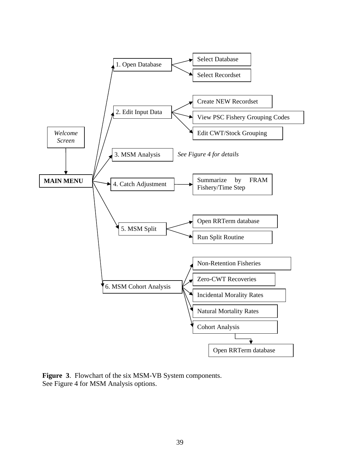

**Figure 3**. Flowchart of the six MSM-VB System components. See Figure 4 for MSM Analysis options.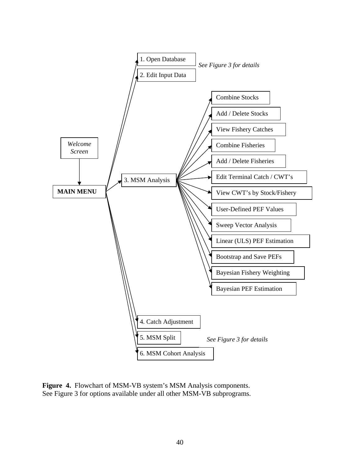

**Figure 4.** Flowchart of MSM-VB system's MSM Analysis components. See Figure 3 for options available under all other MSM-VB subprograms.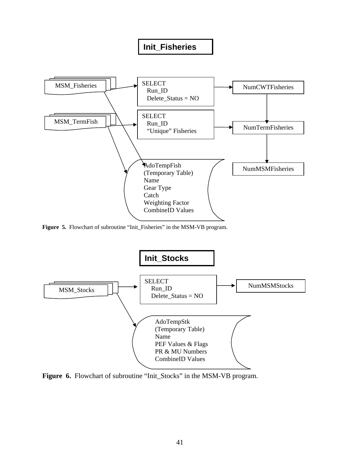#### **Init\_Fisheries**



**Figure 5.** Flowchart of subroutine "Init\_Fisheries" in the MSM-VB program.



Figure 6. Flowchart of subroutine "Init\_Stocks" in the MSM-VB program.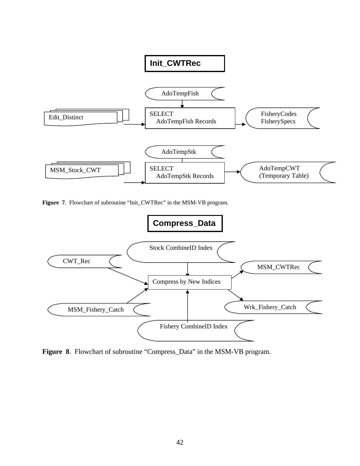

**Figure 7**. Flowchart of subroutine "Init\_CWTRec" in the MSM-VB program.



**Figure 8**. Flowchart of subroutine "Compress\_Data" in the MSM-VB program.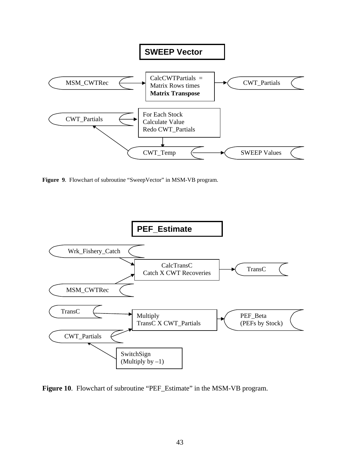

**Figure 9**. Flowchart of subroutine "SweepVector" in MSM-VB program.



Figure 10. Flowchart of subroutine "PEF\_Estimate" in the MSM-VB program.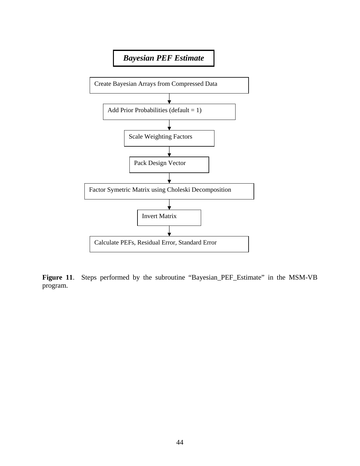

Figure 11. Steps performed by the subroutine "Bayesian\_PEF\_Estimate" in the MSM-VB program.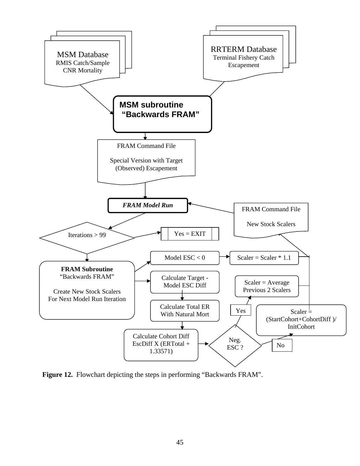

**Figure 12.** Flowchart depicting the steps in performing "Backwards FRAM".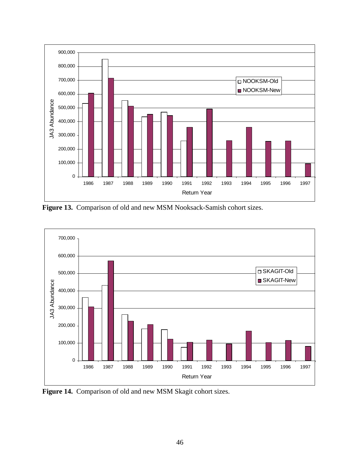

**Figure 13.** Comparison of old and new MSM Nooksack-Samish cohort sizes.



**Figure 14.** Comparison of old and new MSM Skagit cohort sizes.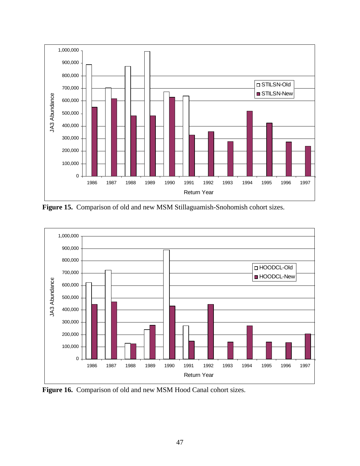

**Figure 15.** Comparison of old and new MSM Stillaguamish-Snohomish cohort sizes.



**Figure 16.** Comparison of old and new MSM Hood Canal cohort sizes.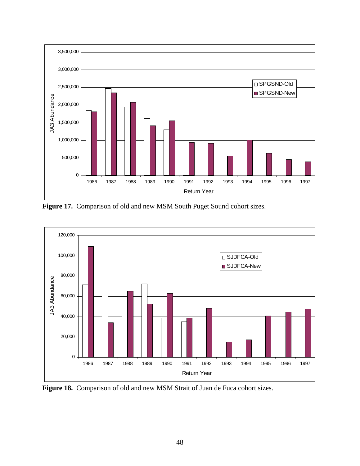

**Figure 17.** Comparison of old and new MSM South Puget Sound cohort sizes.



Figure 18. Comparison of old and new MSM Strait of Juan de Fuca cohort sizes.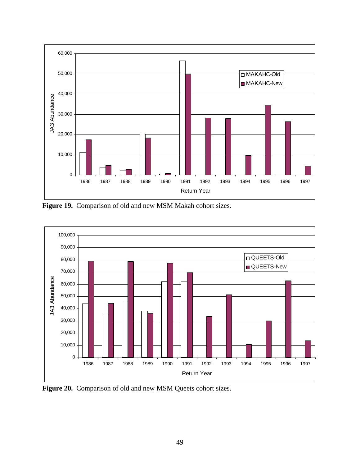

**Figure 19.** Comparison of old and new MSM Makah cohort sizes.



Figure 20. Comparison of old and new MSM Queets cohort sizes.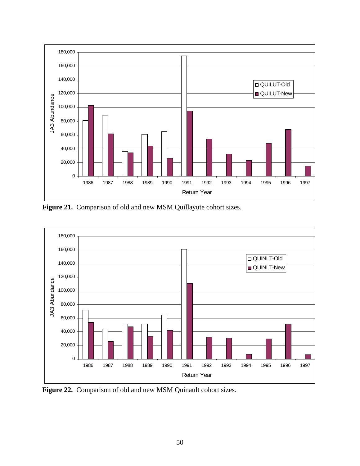

**Figure 21.** Comparison of old and new MSM Quillayute cohort sizes.



**Figure 22.** Comparison of old and new MSM Quinault cohort sizes.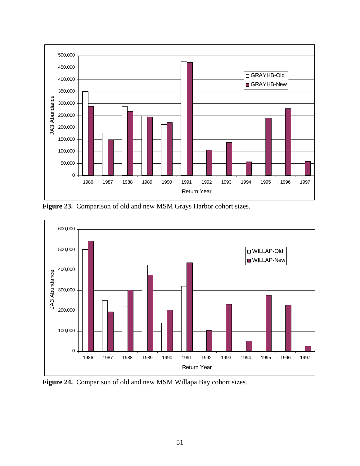

**Figure 23.** Comparison of old and new MSM Grays Harbor cohort sizes.



**Figure 24.** Comparison of old and new MSM Willapa Bay cohort sizes.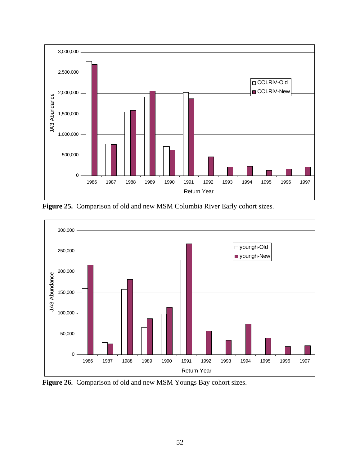

**Figure 25.** Comparison of old and new MSM Columbia River Early cohort sizes.



**Figure 26.** Comparison of old and new MSM Youngs Bay cohort sizes.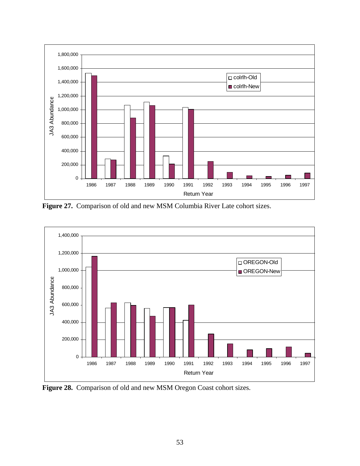

**Figure 27.** Comparison of old and new MSM Columbia River Late cohort sizes.



**Figure 28.** Comparison of old and new MSM Oregon Coast cohort sizes.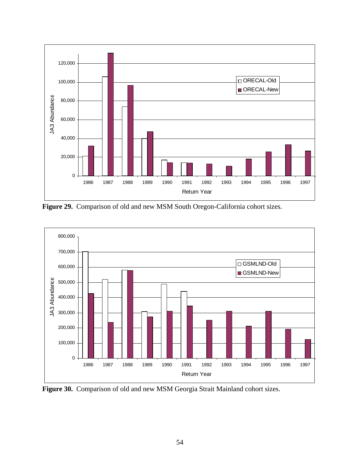

**Figure 29.** Comparison of old and new MSM South Oregon-California cohort sizes.



**Figure 30.** Comparison of old and new MSM Georgia Strait Mainland cohort sizes.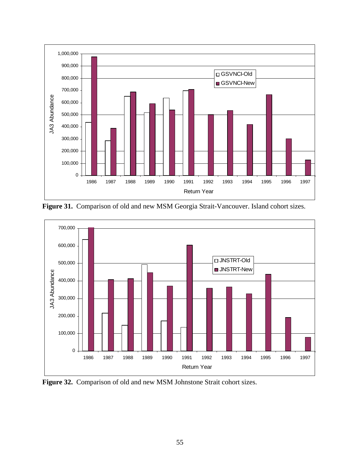

**Figure 31.** Comparison of old and new MSM Georgia Strait-Vancouver. Island cohort sizes.



**Figure 32.** Comparison of old and new MSM Johnstone Strait cohort sizes.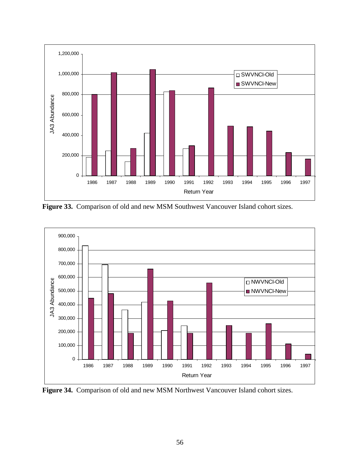

**Figure 33.** Comparison of old and new MSM Southwest Vancouver Island cohort sizes.



**Figure 34.** Comparison of old and new MSM Northwest Vancouver Island cohort sizes.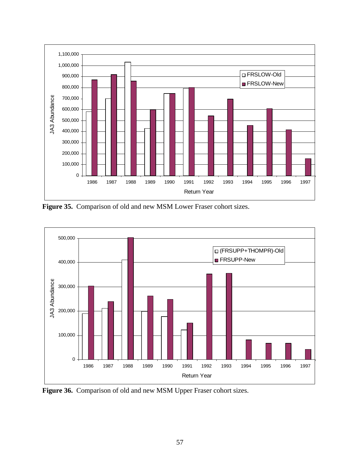

**Figure 35.** Comparison of old and new MSM Lower Fraser cohort sizes.



**Figure 36.** Comparison of old and new MSM Upper Fraser cohort sizes.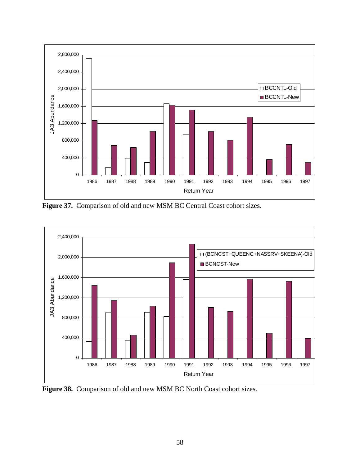

**Figure 37.** Comparison of old and new MSM BC Central Coast cohort sizes.



**Figure 38.** Comparison of old and new MSM BC North Coast cohort sizes.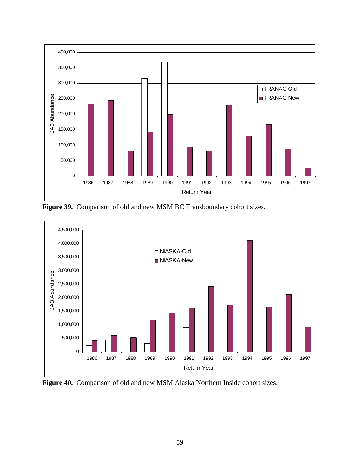

Figure 39. Comparison of old and new MSM BC Transboundary cohort sizes.



**Figure 40.** Comparison of old and new MSM Alaska Northern Inside cohort sizes.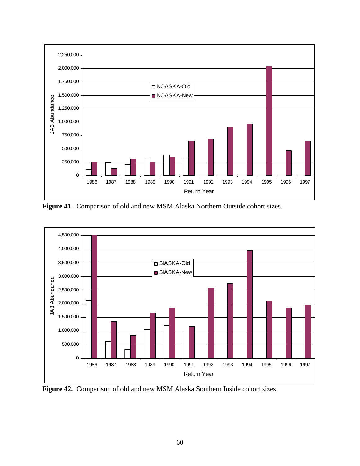

**Figure 41.** Comparison of old and new MSM Alaska Northern Outside cohort sizes.



**Figure 42.** Comparison of old and new MSM Alaska Southern Inside cohort sizes.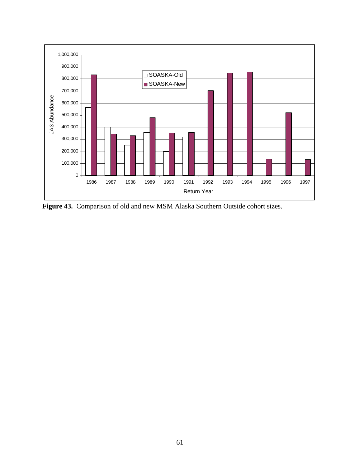

**Figure 43.** Comparison of old and new MSM Alaska Southern Outside cohort sizes.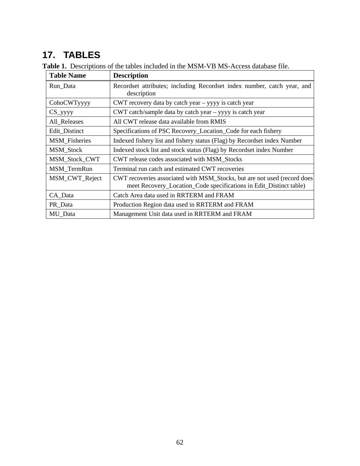# **17. TABLES**

| <b>Table Name</b>    | <b>Description</b>                                                                                                                              |  |  |
|----------------------|-------------------------------------------------------------------------------------------------------------------------------------------------|--|--|
| Run_Data             | Recordset attributes; including Recordset index number, catch year, and<br>description                                                          |  |  |
| CohoCWTyyyy          | CWT recovery data by catch year – yyyy is catch year                                                                                            |  |  |
| $CS$ _yyyy           | CWT catch/sample data by catch year – yyyy is catch year                                                                                        |  |  |
| All_Releases         | All CWT release data available from RMIS                                                                                                        |  |  |
| Edit Distinct        | Specifications of PSC Recovery_Location_Code for each fishery                                                                                   |  |  |
| <b>MSM_Fisheries</b> | Indexed fishery list and fishery status (Flag) by Recordset index Number                                                                        |  |  |
| MSM_Stock            | Indexed stock list and stock status (Flag) by Recordset index Number                                                                            |  |  |
| MSM_Stock_CWT        | CWT release codes associated with MSM_Stocks                                                                                                    |  |  |
| MSM_TermRun          | Terminal run catch and estimated CWT recoveries                                                                                                 |  |  |
| MSM_CWT_Reject       | CWT recoveries associated with MSM_Stocks, but are not used (record does)<br>meet Recovery_Location_Code specifications in Edit_Distinct table) |  |  |
| CA_Data              | Catch Area data used in RRTERM and FRAM                                                                                                         |  |  |
| PR_Data              | Production Region data used in RRTERM and FRAM                                                                                                  |  |  |
| MU_Data              | Management Unit data used in RRTERM and FRAM                                                                                                    |  |  |

**Table 1.** Descriptions of the tables included in the MSM-VB MS-Access database file.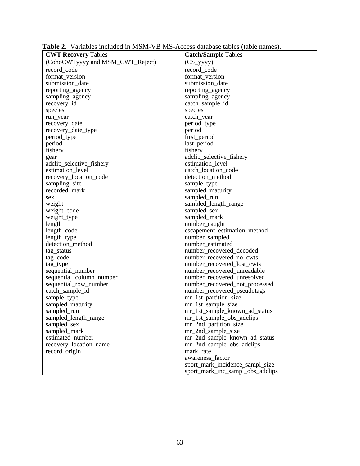| <b>CWT Recovery Tables</b>       | <b>Catch/Sample Tables</b>       |
|----------------------------------|----------------------------------|
| (CohoCWTyyyy and MSM_CWT_Reject) | $(CS_yyyy)$                      |
| record_code                      | record_code                      |
| format_version                   | format_version                   |
| submission_date                  | submission_date                  |
| reporting_agency                 | reporting_agency                 |
| sampling_agency                  | sampling_agency                  |
| recovery_id                      | catch_sample_id                  |
| species                          | species                          |
| run_year                         | catch_year                       |
| recovery_date                    | period_type                      |
| recovery_date_type               | period                           |
| period_type                      | first_period                     |
| period                           | last_period                      |
| fishery                          | fishery                          |
| gear                             | adclip_selective_fishery         |
| adclip_selective_fishery         | estimation_level                 |
| estimation_level                 | catch_location_code              |
| recovery_location_code           | detection_method                 |
| sampling_site                    | sample_type                      |
| recorded_mark                    | sampled_maturity                 |
| sex                              | sampled_run                      |
| weight                           | sampled_length_range             |
| weight_code                      | sampled_sex                      |
| weight_type                      | sampled_mark                     |
| length                           | number_caught                    |
| length_code                      | escapement_estimation_method     |
| length_type                      | number_sampled                   |
| detection_method                 | number_estimated                 |
| tag_status                       | number_recovered_decoded         |
| tag_code                         | number_recovered_no_cwts         |
| tag_type                         | number_recovered_lost_cwts       |
| sequential_number                | number_recovered_unreadable      |
| sequential_column_number         | number_recovered_unresolved      |
| sequential_row_number            | number_recovered_not_processed   |
| catch_sample_id                  | number_recovered_pseudotags      |
| sample_type                      | mr_1st_partition_size            |
| sampled_maturity                 | mr_1st_sample_size               |
| sampled_run                      | mr_1st_sample_known_ad_status    |
| sampled_length_range             | mr_1st_sample_obs_adclips        |
| sampled_sex                      | mr_2nd_partition_size            |
| sampled_mark                     | mr_2nd_sample_size               |
| estimated number                 | mr_2nd_sample_known_ad_status    |
| recovery_location_name           | mr_2nd_sample_obs_adclips        |
| record origin                    | mark_rate                        |
|                                  | awareness_factor                 |
|                                  | sport_mark_incidence_sampl_size  |
|                                  | sport_mark_inc_sampl_obs_adclips |

**Table 2.** Variables included in MSM-VB MS-Access database tables (table names).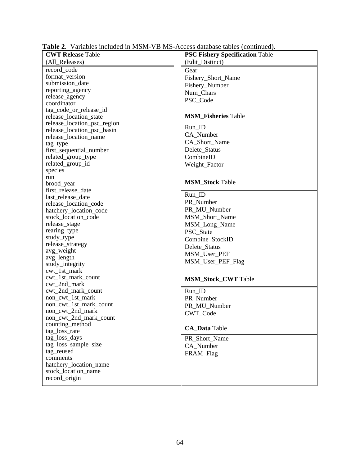| <b>CWT Release Table</b>                                 | <b>PSC Fishery Specification Table</b> |
|----------------------------------------------------------|----------------------------------------|
| (All_Releases)                                           | (Edit_Distinct)                        |
| record_code                                              | Gear                                   |
| format_version                                           | Fishery_Short_Name                     |
| submission_date                                          | Fishery_Number                         |
| reporting_agency                                         | Num Chars                              |
| release_agency                                           | PSC_Code                               |
| coordinator                                              |                                        |
| tag_code_or_release_id                                   |                                        |
| release_location_state                                   | <b>MSM Fisheries Table</b>             |
| release_location_psc_region                              | Run ID                                 |
| release_location_psc_basin                               |                                        |
| release_location_name                                    | CA Number                              |
| tag_type                                                 | CA_Short_Name                          |
| first_sequential_number                                  | Delete_Status                          |
| related_group_type                                       | CombineID                              |
| related_group_id                                         | Weight_Factor                          |
| species                                                  |                                        |
| run                                                      |                                        |
| brood year                                               | <b>MSM Stock Table</b>                 |
| first_release_date                                       | Run ID                                 |
| last_release_date                                        | PR_Number                              |
| release_location_code                                    |                                        |
| hatchery_location_code                                   | PR_MU_Number                           |
| stock_location_code                                      | MSM_Short_Name                         |
| release_stage                                            | MSM_Long_Name                          |
| rearing_type                                             | PSC_State                              |
| study_type                                               | Combine_StockID                        |
| release_strategy                                         | Delete_Status                          |
| avg_weight                                               | MSM_User_PEF                           |
| avg_length                                               | MSM_User_PEF_Flag                      |
| study_integrity<br>$\text{cut}\_1\text{st}\_\text{mark}$ |                                        |
| cwt_1st_mark_count                                       |                                        |
| cwt_2nd_mark                                             | <b>MSM_Stock_CWT</b> Table             |
| cwt_2nd_mark_count                                       | Run_ID                                 |
| non_cwt_1st_mark                                         | PR_Number                              |
| non_cwt_1st_mark_count                                   | PR_MU_Number                           |
| non_cwt_2nd_mark                                         |                                        |
| non_cwt_2nd_mark_count                                   | CWT Code                               |
| counting_method                                          |                                        |
| tag_loss_rate                                            | <b>CA_Data</b> Table                   |
| tag_loss_days                                            | PR_Short_Name                          |
| tag_loss_sample_size                                     | CA_Number                              |
| tag_reused                                               | FRAM_Flag                              |
| comments                                                 |                                        |
| hatchery_location_name                                   |                                        |
| stock_location_name                                      |                                        |
| record_origin                                            |                                        |
|                                                          |                                        |

**Table 2**. Variables included in MSM-VB MS-Access database tables (continued).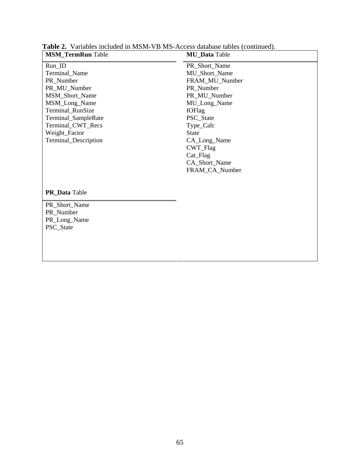| <b>MSM_TermRun</b> Table | <b>MU_Data</b> Table |
|--------------------------|----------------------|
| Run_ID                   | PR_Short_Name        |
| Terminal_Name            | MU_Short_Name        |
| PR_Number                | FRAM_MU_Number       |
| PR_MU_Number             | PR Number            |
| MSM_Short_Name           | PR_MU_Number         |
| MSM_Long_Name            | MU_Long_Name         |
| Terminal_RunSize         | <b>IOFlag</b>        |
| Terminal_SampleRate      | PSC_State            |
| Terminal_CWT_Recs        | Type_Calc            |
| Weight_Factor            | <b>State</b>         |
| Terminal_Description     | CA_Long_Name         |
|                          | CWT_Flag             |
|                          | Cat_Flag             |
|                          | CA_Short_Name        |
|                          | FRAM_CA_Number       |
|                          |                      |
| PR_Data Table            |                      |
| PR_Short_Name            |                      |
| PR_Number                |                      |
| PR_Long_Name             |                      |
| PSC_State                |                      |
|                          |                      |
|                          |                      |
|                          |                      |

**Table 2.** Variables included in MSM-VB MS-Access database tables (continued).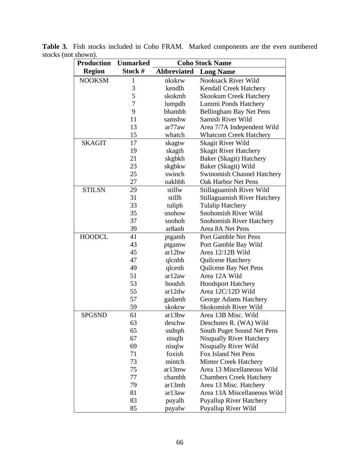| <b>Production</b> | <b>Unmarked</b> | <b>Coho Stock Name</b> |                                     |
|-------------------|-----------------|------------------------|-------------------------------------|
| <b>Region</b>     | Stock #         | <b>Abbreviated</b>     | <b>Long Name</b>                    |
| <b>NOOKSM</b>     | $\mathbf{1}$    | nkskrw                 | <b>Nooksack River Wild</b>          |
|                   | 3               | kendlh                 | Kendall Creek Hatchery              |
|                   | 5               | skokmh                 | <b>Skookum Creek Hatchery</b>       |
|                   | 7               | lumpdh                 | Lummi Ponds Hatchery                |
|                   | 9               | bhambh                 | Bellingham Bay Net Pens             |
|                   | 11              | samshw                 | Samish River Wild                   |
|                   | 13              | ar77aw                 | Area 7/7A Independent Wild          |
|                   | 15              | whatch                 | <b>Whatcom Creek Hatchery</b>       |
| <b>SKAGIT</b>     | 17              | skagtw                 | Skagit River Wild                   |
|                   | 19              | skagth                 | <b>Skagit River Hatchery</b>        |
|                   | 21              | skgbkh                 | Baker (Skagit) Hatchery             |
|                   | 23              | skgbkw                 | Baker (Skagit) Wild                 |
|                   | 25              | swinch                 | <b>Swinomish Channel Hatchery</b>   |
|                   | 27              | oakhbh                 | Oak Harbor Net Pens                 |
| <b>STILSN</b>     | 29              | stillw                 | Stillaguamish River Wild            |
|                   | 31              | stillh                 | <b>Stillaguamish River Hatchery</b> |
|                   | 33              | tuliph                 | <b>Tulalip Hatchery</b>             |
|                   | 35              | snohow                 | Snohomish River Wild                |
|                   | 37              | snohoh                 | <b>Snohomish River Hatchery</b>     |
|                   | 39              | ar8anh                 | Area 8A Net Pens                    |
| <b>HOODCL</b>     | 41              | ptgamh                 | Port Gamble Net Pens                |
|                   | 43              | ptgamw                 | Port Gamble Bay Wild                |
|                   | 45              | ar12bw                 | Area 12/12B Wild                    |
|                   | 47              | qlcnbh                 | Quilcene Hatchery                   |
|                   | 49              | qlcenh                 | Quilcene Bay Net Pens               |
|                   | 51              | ar12aw                 | Area 12A Wild                       |
|                   | 53              | hoodsh                 | <b>Hoodsport Hatchery</b>           |
|                   | 55              | ar12dw                 | Area 12C/12D Wild                   |
|                   | 57              | gadamh                 | George Adams Hatchery               |
|                   | 59              | skokrw                 | Skokomish River Wild                |
| <b>SPGSND</b>     | 61              | ar13bw                 | Area 13B Misc. Wild                 |
|                   | 63              | deschw                 | Deschutes R. (WA) Wild              |
|                   | 65              | ssdnph                 | South Puget Sound Net Pens          |
|                   | 67              | nisqlh                 | <b>Nisqually River Hatchery</b>     |
|                   | 69              | nisqlw                 | Nisqually River Wild                |
|                   | 71              | foxish                 | Fox Island Net Pens                 |
|                   | 73              | mintch                 | <b>Minter Creek Hatchery</b>        |
|                   | 75              | ar13mw                 | Area 13 Miscellaneous Wild          |
|                   | 77              | chambh                 | <b>Chambers Creek Hatchery</b>      |
|                   | 79              | ar13mh                 | Area 13 Misc. Hatchery              |
|                   | 81              | ar13aw                 | Area 13A Miscellaneous Wild         |
|                   | 83              | puyalh                 | <b>Puyallup River Hatchery</b>      |
|                   | 85              | puyalw                 | Puyallup River Wild                 |

**Table 3.** Fish stocks included in Coho FRAM. Marked components are the even numbered stocks (not shown).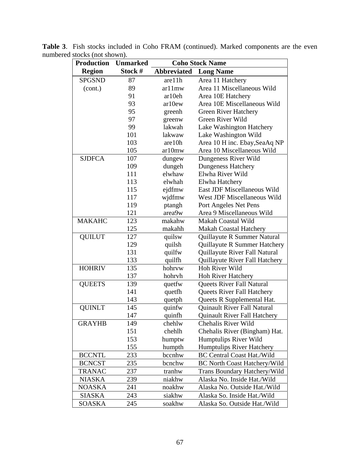| <b>Production</b> | <b>Unmarked</b> | <b>Coho Stock Name</b> |                                     |
|-------------------|-----------------|------------------------|-------------------------------------|
| <b>Region</b>     | Stock #         | <b>Abbreviated</b>     | <b>Long Name</b>                    |
| <b>SPGSND</b>     | 87              | are11h                 | Area 11 Hatchery                    |
| (cont.)           | 89              | ar11mw                 | Area 11 Miscellaneous Wild          |
|                   | 91              | ar10eh                 | Area 10E Hatchery                   |
|                   | 93              | ar10ew                 | Area 10E Miscellaneous Wild         |
|                   | 95              | greenh                 | <b>Green River Hatchery</b>         |
|                   | 97              | greenw                 | Green River Wild                    |
|                   | 99              | lakwah                 | Lake Washington Hatchery            |
|                   | 101             | lakwaw                 | Lake Washington Wild                |
|                   | 103             | are 10h                | Area 10 H inc. Ebay, SeaAq NP       |
|                   | 105             | ar10mw                 | Area 10 Miscellaneous Wild          |
| <b>SJDFCA</b>     | 107             | dungew                 | Dungeness River Wild                |
|                   | 109             | dungeh                 | <b>Dungeness Hatchery</b>           |
|                   | 111             | elwhaw                 | Elwha River Wild                    |
|                   | 113             | elwhah                 | Elwha Hatchery                      |
|                   | 115             | ejdfmw                 | East JDF Miscellaneous Wild         |
|                   | 117             | wjdfmw                 | West JDF Miscellaneous Wild         |
|                   | 119             | ptangh                 | Port Angeles Net Pens               |
|                   | 121             | area9w                 | Area 9 Miscellaneous Wild           |
| <b>MAKAHC</b>     | 123             | makahw                 | Makah Coastal Wild                  |
|                   | 125             | makahh                 | <b>Makah Coastal Hatchery</b>       |
| <b>QUILUT</b>     | 127             | quilsw                 | Quillayute R Summer Natural         |
|                   | 129             | quilsh                 | Quillayute R Summer Hatchery        |
|                   | 131             | quilfw                 | Quillayute River Fall Natural       |
|                   | 133             | quilfh                 | Quillayute River Fall Hatchery      |
| <b>HOHRIV</b>     | 135             | hohrvw                 | <b>Hoh River Wild</b>               |
|                   | 137             | hohrvh                 | <b>Hoh River Hatchery</b>           |
| <b>QUEETS</b>     | 139             | quetfw                 | Queets River Fall Natural           |
|                   | 141             | quetfh                 | Queets River Fall Hatchery          |
|                   | 143             | quetph                 | Queets R Supplemental Hat.          |
| <b>QUINLT</b>     | 145             | quinfw                 | Quinault River Fall Natural         |
|                   | 147             | quinfh                 | <b>Quinault River Fall Hatchery</b> |
| <b>GRAYHB</b>     | 149             | chehlw                 | Chehalis River Wild                 |
|                   | 151             | chehlh                 | Chehalis River (Bingham) Hat.       |
|                   | 153             | humptw                 | Humptulips River Wild               |
|                   | 155             | humpth                 | <b>Humptulips River Hatchery</b>    |
| <b>BCCNTL</b>     | 233             | bccnhw                 | <b>BC Central Coast Hat./Wild</b>   |
| <b>BCNCST</b>     | 235             | bcnchw                 | <b>BC North Coast Hatchery/Wild</b> |
| <b>TRANAC</b>     | 237             | tranhw                 | Trans Boundary Hatchery/Wild        |
| <b>NIASKA</b>     | 239             | niakhw                 | Alaska No. Inside Hat./Wild         |
| <b>NOASKA</b>     | 241             | noakhw                 | Alaska No. Outside Hat./Wild        |
| <b>SIASKA</b>     | 243             | siakhw                 | Alaska So. Inside Hat./Wild         |
| <b>SOASKA</b>     | 245             | soakhw                 | Alaska So. Outside Hat./Wild        |

**Table 3**. Fish stocks included in Coho FRAM (continued). Marked components are the even numbered stocks (not shown).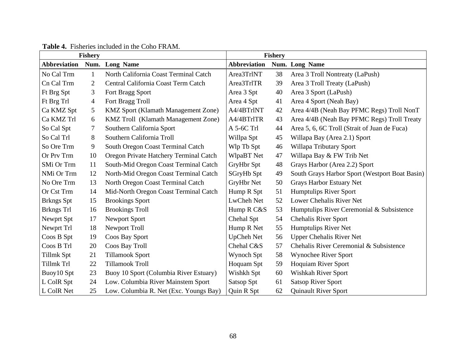|                     | <b>Fishery</b> |                                            |                     | <b>Fishery</b> |                                                |
|---------------------|----------------|--------------------------------------------|---------------------|----------------|------------------------------------------------|
| <b>Abbreviation</b> | Num.           | <b>Long Name</b>                           | <b>Abbreviation</b> |                | Num. Long Name                                 |
| No Cal Trm          | 1              | North California Coast Terminal Catch      | Area3TrlNT          | 38             | Area 3 Troll Nontreaty (LaPush)                |
| Cn Cal Trm          | 2              | Central California Coast Term Catch        | Area3TrlTR          | 39             | Area 3 Troll Treaty (LaPush)                   |
| Ft Brg Spt          | 3              | Fort Bragg Sport                           | Area 3 Spt          | 40             | Area 3 Sport (LaPush)                          |
| Ft Brg Trl          | 4              | Fort Bragg Troll                           | Area 4 Spt          | 41             | Area 4 Sport (Neah Bay)                        |
| Ca KMZ Spt          | 5              | KMZ Sport (Klamath Management Zone)        | A4/4BTrlNT          | 42             | Area 4/4B (Neah Bay PFMC Regs) Troll NonT      |
| Ca KMZ Trl          | 6              | <b>KMZ Troll</b> (Klamath Management Zone) | A4/4BTrlTR          | 43             | Area 4/4B (Neah Bay PFMC Regs) Troll Treaty    |
| So Cal Spt          | 7              | Southern California Sport                  | A 5-6C Trl          | 44             | Area 5, 6, 6C Troll (Strait of Juan de Fuca)   |
| So Cal Trl          | 8              | Southern California Troll                  | Willpa Spt          | 45             | Willapa Bay (Area 2.1) Sport                   |
| So Ore Trm          | 9              | South Oregon Coast Terminal Catch          | Wlp Tb Spt          | 46             | Willapa Tributary Sport                        |
| Or Prv Trm          | 10             | Oregon Private Hatchery Terminal Catch     | WlpaBT Net          | 47             | Willapa Bay & FW Trib Net                      |
| SMi Or Trm          | 11             | South-Mid Oregon Coast Terminal Catch      | GryHbr Spt          | 48             | Grays Harbor (Area 2.2) Sport                  |
| NMi Or Trm          | 12             | North-Mid Oregon Coast Terminal Catch      | SGryHb Spt          | 49             | South Grays Harbor Sport (Westport Boat Basin) |
| No Ore Trm          | 13             | North Oregon Coast Terminal Catch          | GryHbr Net          | 50             | <b>Grays Harbor Estuary Net</b>                |
| Or Cst Trm          | 14             | Mid-North Oregon Coast Terminal Catch      | Hump R Spt          | 51             | <b>Humptulips River Sport</b>                  |
| <b>Brkngs</b> Spt   | 15             | <b>Brookings Sport</b>                     | LwCheh Net          | 52             | Lower Chehalis River Net                       |
| Brkngs Trl          | 16             | <b>Brookings Troll</b>                     | Hump R C&S          | 53             | Humptulips River Ceremonial & Subsistence      |
| Newprt Spt          | 17             | Newport Sport                              | Chehal Spt          | 54             | <b>Chehalis River Sport</b>                    |
| Newprt Trl          | 18             | Newport Troll                              | Hump R Net          | 55             | Humptulips River Net                           |
| Coos B Spt          | 19             | Coos Bay Sport                             | <b>UpCheh Net</b>   | 56             | <b>Upper Chehalis River Net</b>                |
| Coos B Trl          | 20             | Coos Bay Troll                             | Chehal C&S          | 57             | Chehalis River Ceremonial & Subsistence        |
| Tillmk Spt          | 21             | <b>Tillamook Sport</b>                     | Wynoch Spt          | 58             | Wynochee River Sport                           |
| Tillmk Trl          | 22             | <b>Tillamook Troll</b>                     | Hoquam Spt          | 59             | <b>Hoquiam River Sport</b>                     |
| Buoy10 Spt          | 23             | Buoy 10 Sport (Columbia River Estuary)     | Wishkh Spt          | 60             | Wishkah River Sport                            |
| L ColR Spt          | 24             | Low. Columbia River Mainstem Sport         | Satsop Spt          | 61             | <b>Satsop River Sport</b>                      |
| L ColR Net          | 25             | Low. Columbia R. Net (Exc. Youngs Bay)     | Quin R Spt          | 62             | <b>Quinault River Sport</b>                    |

## **Table 4.** Fisheries included in the Coho FRAM.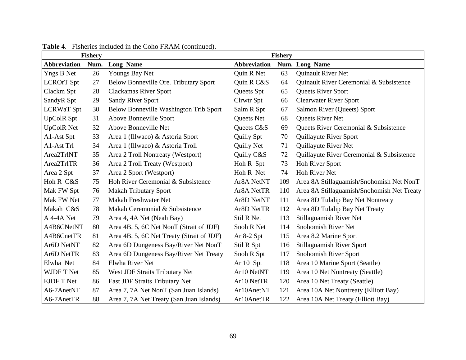|                     | <b>Fishery</b> |                                           |                     | <b>Fishery</b> |                                            |
|---------------------|----------------|-------------------------------------------|---------------------|----------------|--------------------------------------------|
| <b>Abbreviation</b> | Num.           | <b>Long Name</b>                          | <b>Abbreviation</b> |                | Num. Long Name                             |
| <b>Yngs B Net</b>   | 26             | Youngs Bay Net                            | Quin R Net          | 63             | Quinault River Net                         |
| <b>LCROrT</b> Spt   | 27             | Below Bonneville Ore. Tributary Sport     | Quin R C&S          | 64             | Quinault River Ceremonial & Subsistence    |
| Clackm Spt          | 28             | <b>Clackamas River Sport</b>              | Queets Spt          | 65             | Queets River Sport                         |
| SandyR Spt          | 29             | <b>Sandy River Sport</b>                  | Clrwtr Spt          | 66             | <b>Clearwater River Sport</b>              |
| <b>LCRWaT</b> Spt   | 30             | Below Bonneville Washington Trib Sport    | Salm R Spt          | 67             | Salmon River (Queets) Sport                |
| <b>UpColR Spt</b>   | 31             | Above Bonneville Sport                    | Queets Net          | 68             | Queets River Net                           |
| <b>UpColR Net</b>   | 32             | Above Bonneville Net                      | Queets C&S          | 69             | Queets River Ceremonial & Subsistence      |
| A1-Ast Spt          | 33             | Area 1 (Illwaco) & Astoria Sport          | Quilly Spt          | 70             | Quillayute River Sport                     |
| A1-Ast Trl          | 34             | Area 1 (Illwaco) & Astoria Troll          | Quilly Net          | 71             | Quillayute River Net                       |
| Area2TrlNT          | 35             | Area 2 Troll Nontreaty (Westport)         | Quilly C&S          | 72             | Quillayute River Ceremonial & Subsistence  |
| Area2TrlTR          | 36             | Area 2 Troll Treaty (Westport)            | Hoh R Spt           | 73             | Hoh River Sport                            |
| Area 2 Spt          | 37             | Area 2 Sport (Westport)                   | Hoh R Net           | 74             | <b>Hoh River Net</b>                       |
| Hoh R C&S           | 75             | Hoh River Ceremonial & Subsistence        | Ar8A NetNT          | 109            | Area 8A Stillaguamish/Snohomish Net NonT   |
| Mak FW Spt          | 76             | <b>Makah Tributary Sport</b>              | Ar8A NetTR          | 110            | Area 8A Stillaguamish/Snohomish Net Treaty |
| Mak FW Net          | 77             | <b>Makah Freshwater Net</b>               | Ar8D NetNT          | 111            | Area 8D Tulalip Bay Net Nontreaty          |
| Makah C&S           | 78             | Makah Ceremonial & Subsistence            | Ar8D NetTR          | 112            | Area 8D Tulalip Bay Net Treaty             |
| A 4-4A Net          | 79             | Area 4, 4A Net (Neah Bay)                 | Stil R Net          | 113            | Stillaguamish River Net                    |
| A4B6CNetNT          | 80             | Area 4B, 5, 6C Net NonT (Strait of JDF)   | Snoh R Net          | 114            | Snohomish River Net                        |
| A4B6CnetTR          | 81             | Area 4B, 5, 6C Net Treaty (Strait of JDF) | Ar $8-2$ Spt        | 115            | Area 8.2 Marine Sport                      |
| Ar6D NetNT          | 82             | Area 6D Dungeness Bay/River Net NonT      | Stil R Spt          | 116            | <b>Stillaguamish River Sport</b>           |
| Ar6D NetTR          | 83             | Area 6D Dungeness Bay/River Net Treaty    | Snoh R Spt          | 117            | Snohomish River Sport                      |
| Elwha Net           | 84             | Elwha River Net                           | Ar 10 Spt           | 118            | Area 10 Marine Sport (Seattle)             |
| <b>WJDF T Net</b>   | 85             | West JDF Straits Tributary Net            | Ar10 NetNT          | 119            | Area 10 Net Nontreaty (Seattle)            |
| <b>EJDF T Net</b>   | 86             | East JDF Straits Tributary Net            | Ar10 NetTR          | 120            | Area 10 Net Treaty (Seattle)               |
| A6-7AnetNT          | 87             | Area 7, 7A Net NonT (San Juan Islands)    | Ar10AnetNT          | 121            | Area 10A Net Nontreaty (Elliott Bay)       |
| A6-7AnetTR          | 88             | Area 7, 7A Net Treaty (San Juan Islands)  | Ar10AnetTR          | 122            | Area 10A Net Treaty (Elliott Bay)          |

**Table 4**. Fisheries included in the Coho FRAM (continued).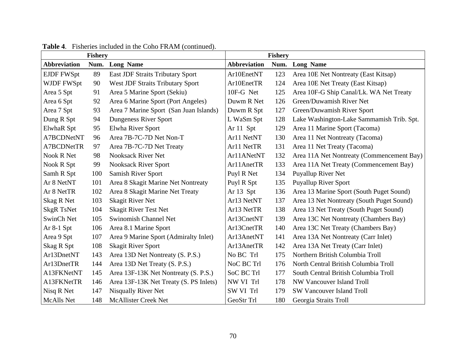|                     | <b>Fishery</b> |                                         | <b>Fishery</b>      |      |                                           |
|---------------------|----------------|-----------------------------------------|---------------------|------|-------------------------------------------|
| <b>Abbreviation</b> | Num.           | <b>Long Name</b>                        | <b>Abbreviation</b> | Num. | <b>Long Name</b>                          |
| <b>EJDF FWSpt</b>   | 89             | <b>East JDF Straits Tributary Sport</b> | Ar10EnetNT          | 123  | Area 10E Net Nontreaty (East Kitsap)      |
| WJDF FWSpt          | 90             | <b>West JDF Straits Tributary Sport</b> | Ar10EnetTR          | 124  | Area 10E Net Treaty (East Kitsap)         |
| Area 5 Spt          | 91             | Area 5 Marine Sport (Sekiu)             | 10F-G Net           | 125  | Area 10F-G Ship Canal/Lk. WA Net Treaty   |
| Area 6 Spt          | 92             | Area 6 Marine Sport (Port Angeles)      | Duwm R Net          | 126  | Green/Duwamish River Net                  |
| Area 7 Spt          | 93             | Area 7 Marine Sport (San Juan Islands)  | Duwm R Spt          | 127  | Green/Duwamish River Sport                |
| Dung R Spt          | 94             | Dungeness River Sport                   | L WaSm Spt          | 128  | Lake Washington-Lake Sammamish Trib. Spt. |
| ElwhaR Spt          | 95             | Elwha River Sport                       | Ar 11 Spt           | 129  | Area 11 Marine Sport (Tacoma)             |
| A7BCDNetNT          | 96             | Area 7B-7C-7D Net Non-T                 | Ar11 NetNT          | 130  | Area 11 Net Nontreaty (Tacoma)            |
| A7BCDNetTR          | 97             | Area 7B-7C-7D Net Treaty                | Ar11 NetTR          | 131  | Area 11 Net Treaty (Tacoma)               |
| Nook R Net          | 98             | <b>Nooksack River Net</b>               | Ar11ANetNT          | 132  | Area 11A Net Nontreaty (Commencement Bay) |
| Nook R Spt          | 99             | <b>Nooksack River Sport</b>             | Ar11AnetTR          | 133  | Area 11A Net Treaty (Commencement Bay)    |
| Samh R Spt          | 100            | Samish River Sport                      | Puyl R Net          | 134  | Puyallup River Net                        |
| Ar 8 NetNT          | 101            | Area 8 Skagit Marine Net Nontreaty      | Puyl R Spt          | 135  | <b>Puyallup River Sport</b>               |
| Ar 8 NetTR          | 102            | Area 8 Skagit Marine Net Treaty         | Ar 13 Spt           | 136  | Area 13 Marine Sport (South Puget Sound)  |
| Skag R Net          | 103            | <b>Skagit River Net</b>                 | Ar13 NetNT          | 137  | Area 13 Net Nontreaty (South Puget Sound) |
| <b>SkgR TsNet</b>   | 104            | <b>Skagit River Test Net</b>            | Ar13 NetTR          | 138  | Area 13 Net Treaty (South Puget Sound)    |
| SwinCh Net          | 105            | Swinomish Channel Net                   | Ar13CnetNT          | 139  | Area 13C Net Nontreaty (Chambers Bay)     |
| Ar $8-1$ Spt        | 106            | Area 8.1 Marine Sport                   | Ar13CnetTR          | 140  | Area 13C Net Treaty (Chambers Bay)        |
| Area 9 Spt          | 107            | Area 9 Marine Sport (Admiralty Inlet)   | Ar13AnetNT          | 141  | Area 13A Net Nontreaty (Carr Inlet)       |
| Skag R Spt          | 108            | <b>Skagit River Sport</b>               | Ar13AnetTR          | 142  | Area 13A Net Treaty (Carr Inlet)          |
| Ar13DnetNT          | 143            | Area 13D Net Nontreaty (S. P.S.)        | No BC Trl           | 175  | Northern British Columbia Troll           |
| Ar13DnetTR          | 144            | Area 13D Net Treaty (S. P.S.)           | NoC BC Trl          | 176  | North Central British Columbia Troll      |
| A13FKNetNT          | 145            | Area 13F-13K Net Nontreaty (S. P.S.)    | SoC BC Trl          | 177  | South Central British Columbia Troll      |
| A13FKNetTR          | 146            | Area 13F-13K Net Treaty (S. PS Inlets)  | NW VI Trl           | 178  | NW Vancouver Island Troll                 |
| Nisq R Net          | 147            | Nisqually River Net                     | SW VI Trl           | 179  | <b>SW Vancouver Island Troll</b>          |
| <b>McAlls</b> Net   | 148            | <b>McAllister Creek Net</b>             | GeoStr Trl          | 180  | Georgia Straits Troll                     |

## **Table 4**. Fisheries included in the Coho FRAM (continued).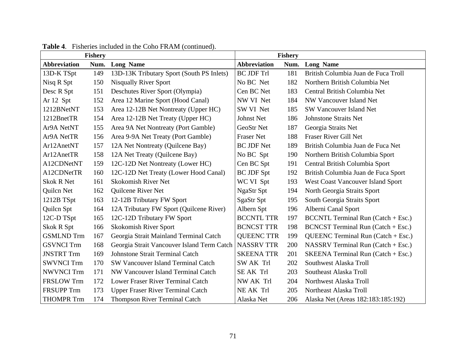|                     | <b>Fishery</b> |                                            |                     | <b>Fishery</b> |                                      |
|---------------------|----------------|--------------------------------------------|---------------------|----------------|--------------------------------------|
| <b>Abbreviation</b> | Num.           | <b>Long Name</b>                           | <b>Abbreviation</b> | Num.           | <b>Long Name</b>                     |
| 13D-K TSpt          | 149            | 13D-13K Tributary Sport (South PS Inlets)  | <b>BC JDF Trl</b>   | 181            | British Columbia Juan de Fuca Troll  |
| Nisq R Spt          | 150            | <b>Nisqually River Sport</b>               | No BC Net           | 182            | Northern British Columbia Net        |
| Desc R Spt          | 151            | Deschutes River Sport (Olympia)            | Cen BC Net          | 183            | Central British Columbia Net         |
| Ar 12 Spt           | 152            | Area 12 Marine Sport (Hood Canal)          | NW VI Net           | 184            | NW Vancouver Island Net              |
| 1212BNetNT          | 153            | Area 12-12B Net Nontreaty (Upper HC)       | SW VI Net           | 185            | <b>SW Vancouver Island Net</b>       |
| 1212BnetTR          | 154            | Area 12-12B Net Treaty (Upper HC)          | Johnst Net          | 186            | <b>Johnstone Straits Net</b>         |
| Ar9A NetNT          | 155            | Area 9A Net Nontreaty (Port Gamble)        | <b>GeoStr Net</b>   | 187            | Georgia Straits Net                  |
| Ar9A NetTR          | 156            | Area 9-9A Net Treaty (Port Gamble)         | <b>Fraser Net</b>   | 188            | Fraser River Gill Net                |
| Ar12AnetNT          | 157            | 12A Net Nontreaty (Quilcene Bay)           | <b>BC JDF Net</b>   | 189            | British Columbia Juan de Fuca Net    |
| Ar12AnetTR          | 158            | 12A Net Treaty (Quilcene Bay)              | No BC Spt           | 190            | Northern British Columbia Sport      |
| A12CDNetNT          | 159            | 12C-12D Net Nontreaty (Lower HC)           | Cen BC Spt          | 191            | Central British Columbia Sport       |
| A12CDNetTR          | 160            | 12C-12D Net Treaty (Lower Hood Canal)      | <b>BC JDF Spt</b>   | 192            | British Columbia Juan de Fuca Sport  |
| <b>Skok R Net</b>   | 161            | <b>Skokomish River Net</b>                 | WC VI Spt           | 193            | West Coast Vancouver Island Sport    |
| Quilcn Net          | 162            | Quilcene River Net                         | <b>NgaStr Spt</b>   | 194            | North Georgia Straits Sport          |
| 1212B TSpt          | 163            | 12-12B Tributary FW Sport                  | SgaStr Spt          | 195            | South Georgia Straits Sport          |
| Quilcn Spt          | 164            | 12A Tributary FW Sport (Quilcene River)    | Albern Spt          | 196            | Alberni Canal Sport                  |
| 12C-D TSpt          | 165            | 12C-12D Tributary FW Sport                 | <b>BCCNTL TTR</b>   | 197            | $BCCNTL$ Terminal Run (Catch + Esc.) |
| Skok R Spt          | 166            | Skokomish River Sport                      | <b>BCNCST TTR</b>   | 198            | BCNCST Terminal Run (Catch + Esc.)   |
| <b>GSMLND Trm</b>   | 167            | Georgia Strait Mainland Terminal Catch     | <b>QUEENC TTR</b>   | 199            | QUEENC Terminal Run $(Catch + Esc.)$ |
| <b>GSVNCI Trm</b>   | 168            | Georgia Strait Vancouver Island Term Catch | <b>NASSRV TTR</b>   | 200            | NASSRV Terminal Run $(Catch + Esc.)$ |
| <b>JNSTRT Trm</b>   | 169            | <b>Johnstone Strait Terminal Catch</b>     | <b>SKEENA TTR</b>   | 201            | SKEENA Terminal Run (Catch + Esc.)   |
| <b>SWVNCI Trm</b>   | 170            | SW Vancouver Island Terminal Catch         | SW AK Trl           | 202            | Southwest Alaska Troll               |
| <b>NWVNCI</b> Trm   | 171            | NW Vancouver Island Terminal Catch         | <b>SEAK Trl</b>     | 203            | Southeast Alaska Troll               |
| <b>FRSLOW Trm</b>   | 172            | Lower Fraser River Terminal Catch          | NW AK Trl           | 204            | Northwest Alaska Troll               |
| <b>FRSUPP Trm</b>   | 173            | <b>Upper Fraser River Terminal Catch</b>   | NE AK Trl           | 205            | Northeast Alaska Troll               |
| <b>THOMPR Trm</b>   | 174            | <b>Thompson River Terminal Catch</b>       | Alaska Net          | 206            | Alaska Net (Areas 182:183:185:192)   |

**Table 4**. Fisheries included in the Coho FRAM (continued).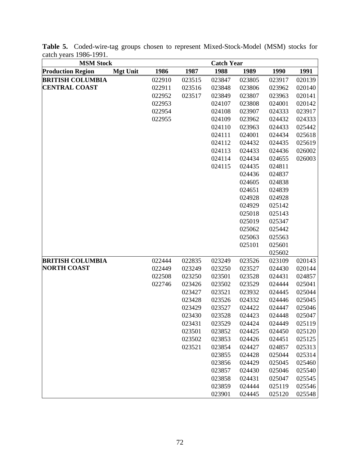| <b>MSM Stock</b>         |                 |        |        | <b>Catch Year</b> |        |        |        |
|--------------------------|-----------------|--------|--------|-------------------|--------|--------|--------|
| <b>Production Region</b> | <b>Mgt Unit</b> | 1986   | 1987   | 1988              | 1989   | 1990   | 1991   |
| <b>BRITISH COLUMBIA</b>  |                 | 022910 | 023515 | 023847            | 023805 | 023917 | 020139 |
| <b>CENTRAL COAST</b>     |                 | 022911 | 023516 | 023848            | 023806 | 023962 | 020140 |
|                          |                 | 022952 | 023517 | 023849            | 023807 | 023963 | 020141 |
|                          |                 | 022953 |        | 024107            | 023808 | 024001 | 020142 |
|                          |                 | 022954 |        | 024108            | 023907 | 024333 | 023917 |
|                          |                 | 022955 |        | 024109            | 023962 | 024432 | 024333 |
|                          |                 |        |        | 024110            | 023963 | 024433 | 025442 |
|                          |                 |        |        | 024111            | 024001 | 024434 | 025618 |
|                          |                 |        |        | 024112            | 024432 | 024435 | 025619 |
|                          |                 |        |        | 024113            | 024433 | 024436 | 026002 |
|                          |                 |        |        | 024114            | 024434 | 024655 | 026003 |
|                          |                 |        |        | 024115            | 024435 | 024811 |        |
|                          |                 |        |        |                   | 024436 | 024837 |        |
|                          |                 |        |        |                   | 024605 | 024838 |        |
|                          |                 |        |        |                   | 024651 | 024839 |        |
|                          |                 |        |        |                   | 024928 | 024928 |        |
|                          |                 |        |        |                   | 024929 | 025142 |        |
|                          |                 |        |        |                   | 025018 | 025143 |        |
|                          |                 |        |        |                   | 025019 | 025347 |        |
|                          |                 |        |        |                   | 025062 | 025442 |        |
|                          |                 |        |        |                   | 025063 | 025563 |        |
|                          |                 |        |        |                   | 025101 | 025601 |        |
|                          |                 |        |        |                   |        | 025602 |        |
| <b>BRITISH COLUMBIA</b>  |                 | 022444 | 022835 | 023249            | 023526 | 023109 | 020143 |
| <b>NORTH COAST</b>       |                 | 022449 | 023249 | 023250            | 023527 | 024430 | 020144 |
|                          |                 | 022508 | 023250 | 023501            | 023528 | 024431 | 024857 |
|                          |                 | 022746 | 023426 | 023502            | 023529 | 024444 | 025041 |
|                          |                 |        | 023427 | 023521            | 023932 | 024445 | 025044 |
|                          |                 |        | 023428 | 023526            | 024332 | 024446 | 025045 |
|                          |                 |        | 023429 | 023527            | 024422 | 024447 | 025046 |
|                          |                 |        | 023430 | 023528            | 024423 | 024448 | 025047 |
|                          |                 |        | 023431 | 023529            | 024424 | 024449 | 025119 |
|                          |                 |        | 023501 | 023852            | 024425 | 024450 | 025120 |
|                          |                 |        | 023502 | 023853            | 024426 | 024451 | 025125 |
|                          |                 |        | 023521 | 023854            | 024427 | 024857 | 025313 |
|                          |                 |        |        | 023855            | 024428 | 025044 | 025314 |
|                          |                 |        |        | 023856            | 024429 | 025045 | 025460 |
|                          |                 |        |        | 023857            | 024430 | 025046 | 025540 |
|                          |                 |        |        | 023858            | 024431 | 025047 | 025545 |
|                          |                 |        |        | 023859            | 024444 | 025119 | 025546 |
|                          |                 |        |        | 023901            | 024445 | 025120 | 025548 |

**Table 5.** Coded-wire-tag groups chosen to represent Mixed-Stock-Model (MSM) stocks for catch years 1986-1991.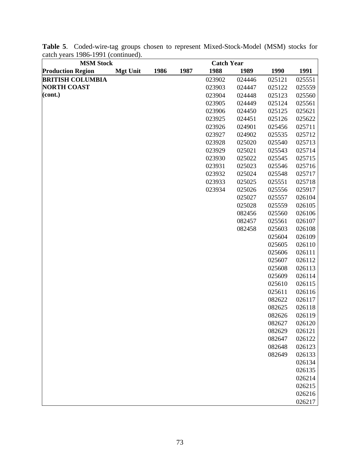| <b>MSM Stock</b>         |                 |      |      | <b>Catch Year</b> |        |        |        |
|--------------------------|-----------------|------|------|-------------------|--------|--------|--------|
| <b>Production Region</b> | <b>Mgt Unit</b> | 1986 | 1987 | 1988              | 1989   | 1990   | 1991   |
| <b>BRITISH COLUMBIA</b>  |                 |      |      | 023902            | 024446 | 025121 | 025551 |
| <b>NORTH COAST</b>       |                 |      |      | 023903            | 024447 | 025122 | 025559 |
| (cont.)                  |                 |      |      | 023904            | 024448 | 025123 | 025560 |
|                          |                 |      |      | 023905            | 024449 | 025124 | 025561 |
|                          |                 |      |      | 023906            | 024450 | 025125 | 025621 |
|                          |                 |      |      | 023925            | 024451 | 025126 | 025622 |
|                          |                 |      |      | 023926            | 024901 | 025456 | 025711 |
|                          |                 |      |      | 023927            | 024902 | 025535 | 025712 |
|                          |                 |      |      | 023928            | 025020 | 025540 | 025713 |
|                          |                 |      |      | 023929            | 025021 | 025543 | 025714 |
|                          |                 |      |      | 023930            | 025022 | 025545 | 025715 |
|                          |                 |      |      | 023931            | 025023 | 025546 | 025716 |
|                          |                 |      |      | 023932            | 025024 | 025548 | 025717 |
|                          |                 |      |      | 023933            | 025025 | 025551 | 025718 |
|                          |                 |      |      | 023934            | 025026 | 025556 | 025917 |
|                          |                 |      |      |                   | 025027 | 025557 | 026104 |
|                          |                 |      |      |                   | 025028 | 025559 | 026105 |
|                          |                 |      |      |                   | 082456 | 025560 | 026106 |
|                          |                 |      |      |                   | 082457 | 025561 | 026107 |
|                          |                 |      |      |                   | 082458 | 025603 | 026108 |
|                          |                 |      |      |                   |        | 025604 | 026109 |
|                          |                 |      |      |                   |        | 025605 | 026110 |
|                          |                 |      |      |                   |        | 025606 | 026111 |
|                          |                 |      |      |                   |        | 025607 | 026112 |
|                          |                 |      |      |                   |        | 025608 | 026113 |
|                          |                 |      |      |                   |        | 025609 | 026114 |
|                          |                 |      |      |                   |        | 025610 | 026115 |
|                          |                 |      |      |                   |        | 025611 | 026116 |
|                          |                 |      |      |                   |        | 082622 | 026117 |
|                          |                 |      |      |                   |        | 082625 | 026118 |
|                          |                 |      |      |                   |        | 082626 | 026119 |
|                          |                 |      |      |                   |        | 082627 | 026120 |
|                          |                 |      |      |                   |        | 082629 | 026121 |
|                          |                 |      |      |                   |        | 082647 | 026122 |
|                          |                 |      |      |                   |        | 082648 | 026123 |
|                          |                 |      |      |                   |        | 082649 | 026133 |
|                          |                 |      |      |                   |        |        | 026134 |
|                          |                 |      |      |                   |        |        | 026135 |
|                          |                 |      |      |                   |        |        | 026214 |
|                          |                 |      |      |                   |        |        | 026215 |
|                          |                 |      |      |                   |        |        | 026216 |
|                          |                 |      |      |                   |        |        | 026217 |

**Table 5**. Coded-wire-tag groups chosen to represent Mixed-Stock-Model (MSM) stocks for catch years 1986-1991 (continued).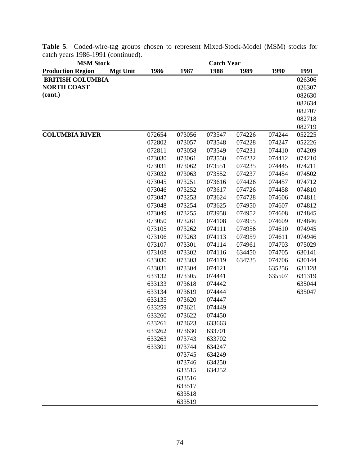| <b>MSM Stock</b>                            |        |        | <b>Catch Year</b> |        |        |        |
|---------------------------------------------|--------|--------|-------------------|--------|--------|--------|
| <b>Production Region</b><br><b>Mgt Unit</b> | 1986   | 1987   | 1988              | 1989   | 1990   | 1991   |
| <b>BRITISH COLUMBIA</b>                     |        |        |                   |        |        | 026306 |
| <b>NORTH COAST</b>                          |        |        |                   |        |        | 026307 |
| $\left( \text{cont.} \right)$               |        |        |                   |        |        | 082630 |
|                                             |        |        |                   |        |        | 082634 |
|                                             |        |        |                   |        |        | 082707 |
|                                             |        |        |                   |        |        | 082718 |
|                                             |        |        |                   |        |        | 082719 |
| <b>COLUMBIA RIVER</b>                       | 072654 | 073056 | 073547            | 074226 | 074244 | 052225 |
|                                             | 072802 | 073057 | 073548            | 074228 | 074247 | 052226 |
|                                             | 072811 | 073058 | 073549            | 074231 | 074410 | 074209 |
|                                             | 073030 | 073061 | 073550            | 074232 | 074412 | 074210 |
|                                             | 073031 | 073062 | 073551            | 074235 | 074445 | 074211 |
|                                             | 073032 | 073063 | 073552            | 074237 | 074454 | 074502 |
|                                             | 073045 | 073251 | 073616            | 074426 | 074457 | 074712 |
|                                             | 073046 | 073252 | 073617            | 074726 | 074458 | 074810 |
|                                             | 073047 | 073253 | 073624            | 074728 | 074606 | 074811 |
|                                             | 073048 | 073254 | 073625            | 074950 | 074607 | 074812 |
|                                             | 073049 | 073255 | 073958            | 074952 | 074608 | 074845 |
|                                             | 073050 | 073261 | 074108            | 074955 | 074609 | 074846 |
|                                             | 073105 | 073262 | 074111            | 074956 | 074610 | 074945 |
|                                             | 073106 | 073263 | 074113            | 074959 | 074611 | 074946 |
|                                             | 073107 | 073301 | 074114            | 074961 | 074703 | 075029 |
|                                             | 073108 | 073302 | 074116            | 634450 | 074705 | 630141 |
|                                             | 633030 | 073303 | 074119            | 634735 | 074706 | 630144 |
|                                             | 633031 | 073304 | 074121            |        | 635256 | 631128 |
|                                             | 633132 | 073305 | 074441            |        | 635507 | 631319 |
|                                             | 633133 | 073618 | 074442            |        |        | 635044 |
|                                             | 633134 | 073619 | 074444            |        |        | 635047 |
|                                             | 633135 | 073620 | 074447            |        |        |        |
|                                             | 633259 | 073621 | 074449            |        |        |        |
|                                             | 633260 | 073622 | 074450            |        |        |        |
|                                             | 633261 | 073623 | 633663            |        |        |        |
|                                             | 633262 | 073630 | 633701            |        |        |        |
|                                             | 633263 | 073743 | 633702            |        |        |        |
|                                             | 633301 | 073744 | 634247            |        |        |        |
|                                             |        | 073745 | 634249            |        |        |        |
|                                             |        | 073746 | 634250            |        |        |        |
|                                             |        | 633515 | 634252            |        |        |        |
|                                             |        | 633516 |                   |        |        |        |
|                                             |        | 633517 |                   |        |        |        |
|                                             |        | 633518 |                   |        |        |        |
|                                             |        | 633519 |                   |        |        |        |

**Table 5**. Coded-wire-tag groups chosen to represent Mixed-Stock-Model (MSM) stocks for catch years 1986-1991 (continued).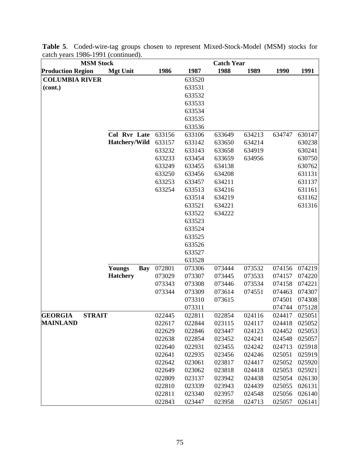| <b>MSM Stock</b>                |                      |        |        | <b>Catch Year</b> |        |        |        |
|---------------------------------|----------------------|--------|--------|-------------------|--------|--------|--------|
| <b>Production Region</b>        | <b>Mgt Unit</b>      | 1986   | 1987   | 1988              | 1989   | 1990   | 1991   |
| <b>COLUMBIA RIVER</b>           |                      |        | 633520 |                   |        |        |        |
| (cont.)                         |                      |        | 633531 |                   |        |        |        |
|                                 |                      |        | 633532 |                   |        |        |        |
|                                 |                      |        | 633533 |                   |        |        |        |
|                                 |                      |        | 633534 |                   |        |        |        |
|                                 |                      |        | 633535 |                   |        |        |        |
|                                 |                      |        | 633536 |                   |        |        |        |
|                                 | Col Rvr Late         | 633156 | 633106 | 633649            | 634213 | 634747 | 630147 |
|                                 | Hatchery/Wild        | 633157 | 633142 | 633650            | 634214 |        | 630238 |
|                                 |                      | 633232 | 633143 | 633658            | 634919 |        | 630241 |
|                                 |                      | 633233 | 633454 | 633659            | 634956 |        | 630750 |
|                                 |                      | 633249 | 633455 | 634138            |        |        | 630762 |
|                                 |                      | 633250 | 633456 | 634208            |        |        | 631131 |
|                                 |                      | 633253 | 633457 | 634211            |        |        | 631137 |
|                                 |                      | 633254 | 633513 | 634216            |        |        | 631161 |
|                                 |                      |        | 633514 | 634219            |        |        | 631162 |
|                                 |                      |        | 633521 | 634221            |        |        | 631316 |
|                                 |                      |        | 633522 | 634222            |        |        |        |
|                                 |                      |        | 633523 |                   |        |        |        |
|                                 |                      |        | 633524 |                   |        |        |        |
|                                 |                      |        | 633525 |                   |        |        |        |
|                                 |                      |        | 633526 |                   |        |        |        |
|                                 |                      |        | 633527 |                   |        |        |        |
|                                 |                      |        | 633528 |                   |        |        |        |
|                                 | Youngs<br><b>Bay</b> | 072801 | 073306 | 073444            | 073532 | 074156 | 074219 |
|                                 | <b>Hatchery</b>      | 073029 | 073307 | 073445            | 073533 | 074157 | 074220 |
|                                 |                      | 073343 | 073308 | 073446            | 073534 | 074158 | 074221 |
|                                 |                      | 073344 | 073309 | 073614            | 074551 | 074463 | 074307 |
|                                 |                      |        | 073310 | 073615            |        | 074501 | 074308 |
|                                 |                      |        | 073311 |                   |        | 074744 | 075128 |
| <b>GEORGIA</b><br><b>STRAIT</b> |                      | 022445 | 022811 | 022854            | 024116 | 024417 | 025051 |
| <b>MAINLAND</b>                 |                      | 022617 | 022844 | 023115            | 024117 | 024418 | 025052 |
|                                 |                      | 022629 | 022846 | 023447            | 024123 | 024452 | 025053 |
|                                 |                      | 022638 | 022854 | 023452            | 024241 | 024548 | 025057 |
|                                 |                      | 022640 | 022931 | 023455            | 024242 | 024713 | 025918 |
|                                 |                      | 022641 | 022935 | 023456            | 024246 | 025051 | 025919 |
|                                 |                      | 022642 | 023061 | 023817            | 024417 | 025052 | 025920 |
|                                 |                      | 022649 | 023062 | 023818            | 024418 | 025053 | 025921 |
|                                 |                      | 022809 | 023137 | 023942            | 024438 | 025054 | 026130 |
|                                 |                      | 022810 | 023339 | 023943            | 024439 | 025055 | 026131 |
|                                 |                      | 022811 | 023340 | 023957            | 024548 | 025056 | 026140 |
|                                 |                      | 022843 | 023447 | 023958            | 024713 | 025057 | 026141 |

**Table 5**. Coded-wire-tag groups chosen to represent Mixed-Stock-Model (MSM) stocks for catch years 1986-1991 (continued).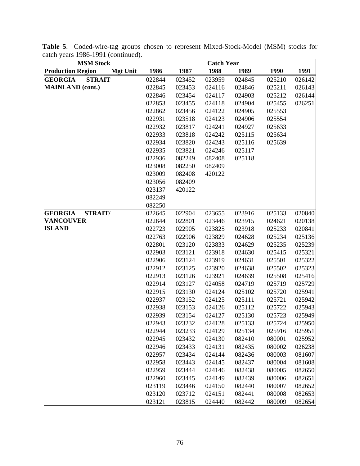| <b>MSM Stock</b>                            |        |        | <b>Catch Year</b> |        |        |        |  |
|---------------------------------------------|--------|--------|-------------------|--------|--------|--------|--|
| <b>Production Region</b><br><b>Mgt Unit</b> | 1986   | 1987   | 1988              | 1989   | 1990   | 1991   |  |
| <b>STRAIT</b><br><b>GEORGIA</b>             | 022844 | 023452 | 023959            | 024845 | 025210 | 026142 |  |
| <b>MAINLAND</b> (cont.)                     | 022845 | 023453 | 024116            | 024846 | 025211 | 026143 |  |
|                                             | 022846 | 023454 | 024117            | 024903 | 025212 | 026144 |  |
|                                             | 022853 | 023455 | 024118            | 024904 | 025455 | 026251 |  |
|                                             | 022862 | 023456 | 024122            | 024905 | 025553 |        |  |
|                                             | 022931 | 023518 | 024123            | 024906 | 025554 |        |  |
|                                             | 022932 | 023817 | 024241            | 024927 | 025633 |        |  |
|                                             | 022933 | 023818 | 024242            | 025115 | 025634 |        |  |
|                                             | 022934 | 023820 | 024243            | 025116 | 025639 |        |  |
|                                             | 022935 | 023821 | 024246            | 025117 |        |        |  |
|                                             | 022936 | 082249 | 082408            | 025118 |        |        |  |
|                                             | 023008 | 082250 | 082409            |        |        |        |  |
|                                             | 023009 | 082408 | 420122            |        |        |        |  |
|                                             | 023056 | 082409 |                   |        |        |        |  |
|                                             | 023137 | 420122 |                   |        |        |        |  |
|                                             | 082249 |        |                   |        |        |        |  |
|                                             | 082250 |        |                   |        |        |        |  |
| <b>GEORGIA</b><br>STRAIT/                   | 022645 | 022904 | 023655            | 023916 | 025133 | 020840 |  |
| <b>VANCOUVER</b>                            | 022644 | 022801 | 023446            | 023915 | 024621 | 020138 |  |
| <b>ISLAND</b>                               | 022723 | 022905 | 023825            | 023918 | 025233 | 020841 |  |
|                                             | 022763 | 022906 | 023829            | 024628 | 025234 | 025136 |  |
|                                             | 022801 | 023120 | 023833            | 024629 | 025235 | 025239 |  |
|                                             | 022903 | 023121 | 023918            | 024630 | 025415 | 025321 |  |
|                                             | 022906 | 023124 | 023919            | 024631 | 025501 | 025322 |  |
|                                             | 022912 | 023125 | 023920            | 024638 | 025502 | 025323 |  |
|                                             | 022913 | 023126 | 023921            | 024639 | 025508 | 025416 |  |
|                                             | 022914 | 023127 | 024058            | 024719 | 025719 | 025729 |  |
|                                             | 022915 | 023130 | 024124            | 025102 | 025720 | 025941 |  |
|                                             | 022937 | 023152 | 024125            | 025111 | 025721 | 025942 |  |
|                                             | 022938 | 023153 | 024126            | 025112 | 025722 | 025943 |  |
|                                             | 022939 | 023154 | 024127            | 025130 | 025723 | 025949 |  |
|                                             | 022943 | 023232 | 024128            | 025133 | 025724 | 025950 |  |
|                                             | 022944 | 023233 | 024129            | 025134 | 025916 | 025951 |  |
|                                             | 022945 | 023432 | 024130            | 082410 | 080001 | 025952 |  |
|                                             | 022946 | 023433 | 024131            | 082435 | 080002 | 026238 |  |
|                                             | 022957 | 023434 | 024144            | 082436 | 080003 | 081607 |  |
|                                             | 022958 | 023443 | 024145            | 082437 | 080004 | 081608 |  |
|                                             | 022959 | 023444 | 024146            | 082438 | 080005 | 082650 |  |
|                                             | 022960 | 023445 | 024149            | 082439 | 080006 | 082651 |  |
|                                             | 023119 | 023446 | 024150            | 082440 | 080007 | 082652 |  |
|                                             | 023120 | 023712 | 024151            | 082441 | 080008 | 082653 |  |
|                                             | 023121 | 023815 | 024440            | 082442 | 080009 | 082654 |  |

**Table 5**. Coded-wire-tag groups chosen to represent Mixed-Stock-Model (MSM) stocks for catch years 1986-1991 (continued).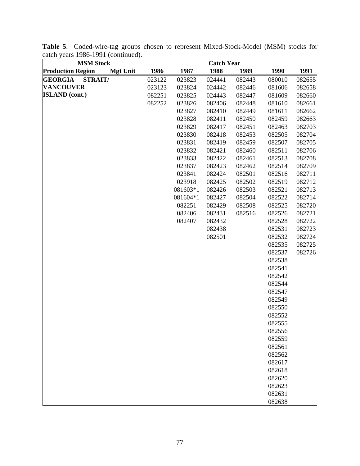| <b>MSM Stock</b>                            |        |          | <b>Catch Year</b> |        |                  |        |
|---------------------------------------------|--------|----------|-------------------|--------|------------------|--------|
| <b>Production Region</b><br><b>Mgt Unit</b> | 1986   | 1987     | 1988              | 1989   | 1990             | 1991   |
| <b>STRAIT/</b><br><b>GEORGIA</b>            | 023122 | 023823   | 024441            | 082443 | 080010           | 082655 |
| <b>VANCOUVER</b>                            | 023123 | 023824   | 024442            | 082446 | 081606           | 082658 |
| <b>ISLAND</b> (cont.)                       | 082251 | 023825   | 024443            | 082447 | 081609           | 082660 |
|                                             | 082252 | 023826   | 082406            | 082448 | 081610           | 082661 |
|                                             |        | 023827   | 082410            | 082449 | 081611           | 082662 |
|                                             |        | 023828   | 082411            | 082450 | 082459           | 082663 |
|                                             |        | 023829   | 082417            | 082451 | 082463           | 082703 |
|                                             |        | 023830   | 082418            | 082453 | 082505           | 082704 |
|                                             |        | 023831   | 082419            | 082459 | 082507           | 082705 |
|                                             |        | 023832   | 082421            | 082460 | 082511           | 082706 |
|                                             |        | 023833   | 082422            | 082461 | 082513           | 082708 |
|                                             |        | 023837   | 082423            | 082462 | 082514           | 082709 |
|                                             |        | 023841   | 082424            | 082501 | 082516           | 082711 |
|                                             |        | 023918   | 082425            | 082502 | 082519           | 082712 |
|                                             |        | 081603*1 | 082426            | 082503 | 082521           | 082713 |
|                                             |        | 081604*1 | 082427            | 082504 | 082522           | 082714 |
|                                             |        | 082251   | 082429            | 082508 | 082525           | 082720 |
|                                             |        | 082406   | 082431            | 082516 | 082526           | 082721 |
|                                             |        | 082407   | 082432            |        | 082528           | 082722 |
|                                             |        |          | 082438            |        | 082531           | 082723 |
|                                             |        |          | 082501            |        | 082532           | 082724 |
|                                             |        |          |                   |        | 082535           | 082725 |
|                                             |        |          |                   |        | 082537           | 082726 |
|                                             |        |          |                   |        | 082538           |        |
|                                             |        |          |                   |        | 082541<br>082542 |        |
|                                             |        |          |                   |        | 082544           |        |
|                                             |        |          |                   |        | 082547           |        |
|                                             |        |          |                   |        | 082549           |        |
|                                             |        |          |                   |        | 082550           |        |
|                                             |        |          |                   |        | 082552           |        |
|                                             |        |          |                   |        | 082555           |        |
|                                             |        |          |                   |        | 082556           |        |
|                                             |        |          |                   |        | 082559           |        |
|                                             |        |          |                   |        | 082561           |        |
|                                             |        |          |                   |        | 082562           |        |
|                                             |        |          |                   |        | 082617           |        |
|                                             |        |          |                   |        | 082618           |        |
|                                             |        |          |                   |        | 082620           |        |
|                                             |        |          |                   |        | 082623           |        |
|                                             |        |          |                   |        | 082631           |        |
|                                             |        |          |                   |        | 082638           |        |

**Table 5**. Coded-wire-tag groups chosen to represent Mixed-Stock-Model (MSM) stocks for catch years 1986-1991 (continued).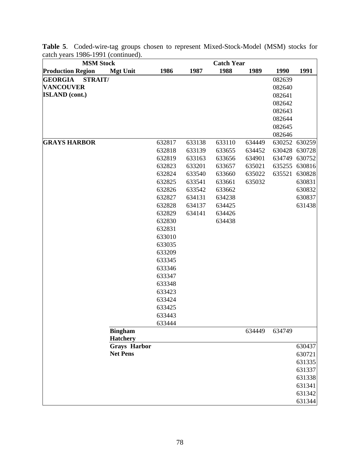| <b>MSM Stock</b><br><b>Catch Year</b> |                     |                  |        |                  |        |        |               |
|---------------------------------------|---------------------|------------------|--------|------------------|--------|--------|---------------|
| <b>Production Region</b>              | <b>Mgt Unit</b>     | 1986             | 1987   | 1988             | 1989   | 1990   | 1991          |
| <b>GEORGIA</b><br><b>STRAIT/</b>      |                     |                  |        |                  |        | 082639 |               |
| <b>VANCOUVER</b>                      |                     |                  |        |                  |        | 082640 |               |
| <b>ISLAND</b> (cont.)                 |                     |                  |        |                  |        | 082641 |               |
|                                       |                     |                  |        |                  |        | 082642 |               |
|                                       |                     |                  |        |                  |        | 082643 |               |
|                                       |                     |                  |        |                  |        | 082644 |               |
|                                       |                     |                  |        |                  |        | 082645 |               |
|                                       |                     |                  |        |                  |        | 082646 |               |
| <b>GRAYS HARBOR</b>                   |                     | 632817           | 633138 | 633110           | 634449 | 630252 | 630259        |
|                                       |                     | 632818           | 633139 | 633655           | 634452 |        | 630428 630728 |
|                                       |                     | 632819           | 633163 | 633656           | 634901 | 634749 | 630752        |
|                                       |                     | 632823           | 633201 | 633657           | 635021 | 635255 | 630816        |
|                                       |                     | 632824           | 633540 | 633660           | 635022 | 635521 | 630828        |
|                                       |                     | 632825           | 633541 | 633661           | 635032 |        | 630831        |
|                                       |                     | 632826           | 633542 | 633662           |        |        | 630832        |
|                                       |                     | 632827           | 634131 | 634238           |        |        | 630837        |
|                                       |                     | 632828           | 634137 | 634425           |        |        | 631438        |
|                                       |                     | 632829           | 634141 | 634426<br>634438 |        |        |               |
|                                       |                     | 632830<br>632831 |        |                  |        |        |               |
|                                       |                     | 633010           |        |                  |        |        |               |
|                                       |                     | 633035           |        |                  |        |        |               |
|                                       |                     | 633209           |        |                  |        |        |               |
|                                       |                     | 633345           |        |                  |        |        |               |
|                                       |                     | 633346           |        |                  |        |        |               |
|                                       |                     | 633347           |        |                  |        |        |               |
|                                       |                     | 633348           |        |                  |        |        |               |
|                                       |                     | 633423           |        |                  |        |        |               |
|                                       |                     | 633424           |        |                  |        |        |               |
|                                       |                     | 633425           |        |                  |        |        |               |
|                                       |                     | 633443           |        |                  |        |        |               |
|                                       |                     | 633444           |        |                  |        |        |               |
|                                       | <b>Bingham</b>      |                  |        |                  | 634449 | 634749 |               |
|                                       | <b>Hatchery</b>     |                  |        |                  |        |        |               |
|                                       | <b>Grays Harbor</b> |                  |        |                  |        |        | 630437        |
|                                       | <b>Net Pens</b>     |                  |        |                  |        |        | 630721        |
|                                       |                     |                  |        |                  |        |        | 631335        |
|                                       |                     |                  |        |                  |        |        | 631337        |
|                                       |                     |                  |        |                  |        |        | 631338        |
|                                       |                     |                  |        |                  |        |        | 631341        |
|                                       |                     |                  |        |                  |        |        | 631342        |
|                                       |                     |                  |        |                  |        |        | 631344        |

**Table 5**. Coded-wire-tag groups chosen to represent Mixed-Stock-Model (MSM) stocks for catch years 1986-1991 (continued).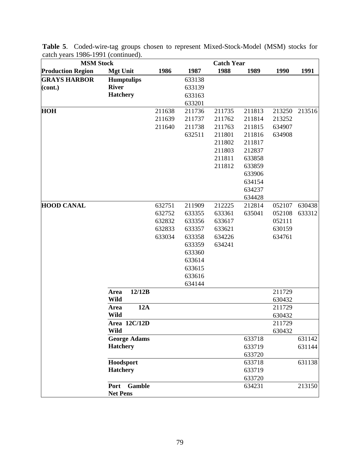| <b>MSM Stock</b>         |                   |                     |        |                  | <b>Catch Year</b> |        |        |        |
|--------------------------|-------------------|---------------------|--------|------------------|-------------------|--------|--------|--------|
| <b>Production Region</b> | <b>Mgt Unit</b>   |                     | 1986   | 1987             | 1988              | 1989   | 1990   | 1991   |
| <b>GRAYS HARBOR</b>      | <b>Humptulips</b> |                     |        | 633138           |                   |        |        |        |
| (cont.)                  | <b>River</b>      |                     |        | 633139           |                   |        |        |        |
|                          | <b>Hatchery</b>   |                     |        | 633163           |                   |        |        |        |
|                          |                   |                     |        | 633201           |                   |        |        |        |
| <b>HOH</b>               |                   |                     | 211638 | 211736           | 211735            | 211813 | 213250 | 213516 |
|                          |                   |                     | 211639 | 211737           | 211762            | 211814 | 213252 |        |
|                          |                   |                     | 211640 | 211738           | 211763            | 211815 | 634907 |        |
|                          |                   |                     |        | 632511           | 211801            | 211816 | 634908 |        |
|                          |                   |                     |        |                  | 211802            | 211817 |        |        |
|                          |                   |                     |        |                  | 211803            | 212837 |        |        |
|                          |                   |                     |        |                  | 211811            | 633858 |        |        |
|                          |                   |                     |        |                  | 211812            | 633859 |        |        |
|                          |                   |                     |        |                  |                   | 633906 |        |        |
|                          |                   |                     |        |                  |                   | 634154 |        |        |
|                          |                   |                     |        |                  |                   | 634237 |        |        |
|                          |                   |                     |        |                  |                   | 634428 |        |        |
| <b>HOOD CANAL</b>        |                   |                     | 632751 | 211909           | 212225            | 212814 | 052107 | 630438 |
|                          |                   |                     | 632752 | 633355           | 633361            | 635041 | 052108 | 633312 |
|                          |                   |                     | 632832 | 633356           | 633617            |        | 052111 |        |
|                          |                   |                     | 632833 | 633357           | 633621            |        | 630159 |        |
|                          |                   |                     | 633034 | 633358           | 634226            |        | 634761 |        |
|                          |                   |                     |        | 633359           | 634241            |        |        |        |
|                          |                   |                     |        | 633360           |                   |        |        |        |
|                          |                   |                     |        | 633614<br>633615 |                   |        |        |        |
|                          |                   |                     |        | 633616           |                   |        |        |        |
|                          |                   |                     |        | 634144           |                   |        |        |        |
|                          | Area              | 12/12B              |        |                  |                   |        | 211729 |        |
|                          | Wild              |                     |        |                  |                   |        | 630432 |        |
|                          | Area              | 12A                 |        |                  |                   |        | 211729 |        |
|                          | <b>Wild</b>       |                     |        |                  |                   |        | 630432 |        |
|                          |                   | Area 12C/12D        |        |                  |                   |        | 211729 |        |
|                          | Wild              |                     |        |                  |                   |        | 630432 |        |
|                          |                   | <b>George Adams</b> |        |                  |                   | 633718 |        | 631142 |
|                          | <b>Hatchery</b>   |                     |        |                  |                   | 633719 |        | 631144 |
|                          |                   |                     |        |                  |                   | 633720 |        |        |
|                          | Hoodsport         |                     |        |                  |                   | 633718 |        | 631138 |
|                          | <b>Hatchery</b>   |                     |        |                  |                   | 633719 |        |        |
|                          |                   |                     |        |                  |                   | 633720 |        |        |
|                          | Port              | <b>Gamble</b>       |        |                  |                   | 634231 |        | 213150 |
|                          | <b>Net Pens</b>   |                     |        |                  |                   |        |        |        |

**Table 5**. Coded-wire-tag groups chosen to represent Mixed-Stock-Model (MSM) stocks for catch years 1986-1991 (continued).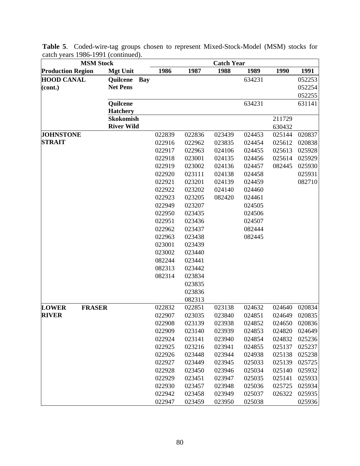| <b>MSM Stock</b>              |                   |            | <b>Catch Year</b> |        |        |        |               |  |  |
|-------------------------------|-------------------|------------|-------------------|--------|--------|--------|---------------|--|--|
| <b>Production Region</b>      | <b>Mgt Unit</b>   | 1986       | 1987              | 1988   | 1989   | 1990   | 1991          |  |  |
| <b>HOOD CANAL</b>             | Quilcene          | <b>Bay</b> |                   |        | 634231 |        | 052253        |  |  |
| (cont.)                       | <b>Net Pens</b>   |            |                   |        |        |        | 052254        |  |  |
|                               |                   |            |                   |        |        |        | 052255        |  |  |
|                               | Quilcene          |            |                   |        | 634231 |        | 631141        |  |  |
|                               | <b>Hatchery</b>   |            |                   |        |        |        |               |  |  |
|                               | <b>Skokomish</b>  |            |                   |        |        | 211729 |               |  |  |
|                               | <b>River Wild</b> |            |                   |        |        | 630432 |               |  |  |
| <b>JOHNSTONE</b>              |                   | 022839     | 022836            | 023439 | 024453 | 025144 | 020837        |  |  |
| <b>STRAIT</b>                 |                   | 022916     | 022962            | 023835 | 024454 | 025612 | 020838        |  |  |
|                               |                   | 022917     | 022963            | 024106 | 024455 | 025613 | 025928        |  |  |
|                               |                   | 022918     | 023001            | 024135 | 024456 | 025614 | 025929        |  |  |
|                               |                   | 022919     | 023002            | 024136 | 024457 | 082445 | 025930        |  |  |
|                               |                   | 022920     | 023111            | 024138 | 024458 |        | 025931        |  |  |
|                               |                   | 022921     | 023201            | 024139 | 024459 |        | 082710        |  |  |
|                               |                   | 022922     | 023202            | 024140 | 024460 |        |               |  |  |
|                               |                   | 022923     | 023205            | 082420 | 024461 |        |               |  |  |
|                               |                   | 022949     | 023207            |        | 024505 |        |               |  |  |
|                               |                   | 022950     | 023435            |        | 024506 |        |               |  |  |
|                               |                   | 022951     | 023436            |        | 024507 |        |               |  |  |
|                               |                   | 022962     | 023437            |        | 082444 |        |               |  |  |
|                               |                   | 022963     | 023438            |        | 082445 |        |               |  |  |
|                               |                   | 023001     | 023439            |        |        |        |               |  |  |
|                               |                   | 023002     | 023440            |        |        |        |               |  |  |
|                               |                   | 082244     | 023441            |        |        |        |               |  |  |
|                               |                   | 082313     | 023442            |        |        |        |               |  |  |
|                               |                   | 082314     | 023834            |        |        |        |               |  |  |
|                               |                   |            | 023835            |        |        |        |               |  |  |
|                               |                   |            | 023836            |        |        |        |               |  |  |
|                               |                   |            | 082313            |        |        |        |               |  |  |
| <b>LOWER</b><br><b>FRASER</b> |                   | 022832     | 022851            | 023138 | 024632 | 024640 | 020834        |  |  |
| <b>RIVER</b>                  |                   | 022907     | 023035            | 023840 | 024851 | 024649 | 020835        |  |  |
|                               |                   | 022908     | 023139            | 023938 | 024852 |        | 024650 020836 |  |  |
|                               |                   | 022909     | 023140            | 023939 | 024853 | 024820 | 024649        |  |  |
|                               |                   | 022924     | 023141            | 023940 | 024854 | 024832 | 025236        |  |  |
|                               |                   | 022925     | 023216            | 023941 | 024855 | 025137 | 025237        |  |  |
|                               |                   | 022926     | 023448            | 023944 | 024938 | 025138 | 025238        |  |  |
|                               |                   | 022927     | 023449            | 023945 | 025033 | 025139 | 025725        |  |  |
|                               |                   | 022928     | 023450            | 023946 | 025034 | 025140 | 025932        |  |  |
|                               |                   | 022929     | 023451            | 023947 | 025035 | 025141 | 025933        |  |  |
|                               |                   | 022930     | 023457            | 023948 | 025036 | 025725 | 025934        |  |  |
|                               |                   | 022942     | 023458            | 023949 | 025037 | 026322 | 025935        |  |  |
|                               |                   | 022947     | 023459            | 023950 | 025038 |        | 025936        |  |  |

**Table 5**. Coded-wire-tag groups chosen to represent Mixed-Stock-Model (MSM) stocks for catch years 1986-1991 (continued).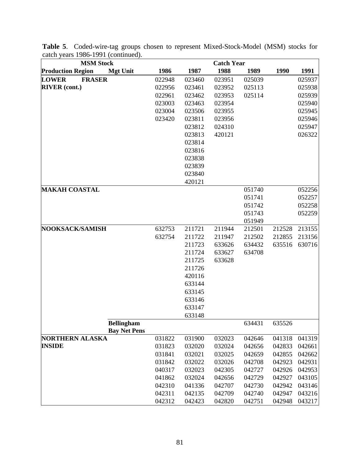| <b>MSM Stock</b>                            | <b>Catch Year</b> |        |        |        |        |        |  |  |  |
|---------------------------------------------|-------------------|--------|--------|--------|--------|--------|--|--|--|
| <b>Production Region</b><br><b>Mgt Unit</b> | 1986              | 1987   | 1988   | 1989   | 1990   | 1991   |  |  |  |
| <b>FRASER</b><br><b>LOWER</b>               | 022948            | 023460 | 023951 | 025039 |        | 025937 |  |  |  |
| <b>RIVER</b> (cont.)                        | 022956            | 023461 | 023952 | 025113 |        | 025938 |  |  |  |
|                                             | 022961            | 023462 | 023953 | 025114 |        | 025939 |  |  |  |
|                                             | 023003            | 023463 | 023954 |        |        | 025940 |  |  |  |
|                                             | 023004            | 023506 | 023955 |        |        | 025945 |  |  |  |
|                                             | 023420            | 023811 | 023956 |        |        | 025946 |  |  |  |
|                                             |                   | 023812 | 024310 |        |        | 025947 |  |  |  |
|                                             |                   | 023813 | 420121 |        |        | 026322 |  |  |  |
|                                             |                   | 023814 |        |        |        |        |  |  |  |
|                                             |                   | 023816 |        |        |        |        |  |  |  |
|                                             |                   | 023838 |        |        |        |        |  |  |  |
|                                             |                   | 023839 |        |        |        |        |  |  |  |
|                                             |                   | 023840 |        |        |        |        |  |  |  |
|                                             |                   | 420121 |        |        |        |        |  |  |  |
| <b>MAKAH COASTAL</b>                        |                   |        |        | 051740 |        | 052256 |  |  |  |
|                                             |                   |        |        | 051741 |        | 052257 |  |  |  |
|                                             |                   |        |        | 051742 |        | 052258 |  |  |  |
|                                             |                   |        |        | 051743 |        | 052259 |  |  |  |
|                                             |                   |        |        | 051949 |        |        |  |  |  |
| NOOKSACK/SAMISH                             | 632753            | 211721 | 211944 | 212501 | 212528 | 213155 |  |  |  |
|                                             | 632754            | 211722 | 211947 | 212502 | 212855 | 213156 |  |  |  |
|                                             |                   | 211723 | 633626 | 634432 | 635516 | 630716 |  |  |  |
|                                             |                   | 211724 | 633627 | 634708 |        |        |  |  |  |
|                                             |                   | 211725 | 633628 |        |        |        |  |  |  |
|                                             |                   | 211726 |        |        |        |        |  |  |  |
|                                             |                   | 420116 |        |        |        |        |  |  |  |
|                                             |                   | 633144 |        |        |        |        |  |  |  |
|                                             |                   | 633145 |        |        |        |        |  |  |  |
|                                             |                   | 633146 |        |        |        |        |  |  |  |
|                                             |                   | 633147 |        |        |        |        |  |  |  |
|                                             |                   | 633148 |        |        |        |        |  |  |  |
| <b>Bellingham</b><br><b>Bay Net Pens</b>    |                   |        |        | 634431 | 635526 |        |  |  |  |
| <b>NORTHERN ALASKA</b>                      | 031822            | 031900 | 032023 | 042646 | 041318 | 041319 |  |  |  |
| <b>INSIDE</b>                               | 031823            | 032020 | 032024 | 042656 | 042833 | 042661 |  |  |  |
|                                             | 031841            | 032021 | 032025 | 042659 | 042855 | 042662 |  |  |  |
|                                             | 031842            | 032022 | 032026 | 042708 | 042923 | 042931 |  |  |  |
|                                             | 040317            | 032023 | 042305 | 042727 | 042926 | 042953 |  |  |  |
|                                             | 041862            | 032024 | 042656 | 042729 | 042927 | 043105 |  |  |  |
|                                             | 042310            | 041336 | 042707 | 042730 | 042942 | 043146 |  |  |  |
|                                             | 042311            | 042135 | 042709 | 042740 | 042947 | 043216 |  |  |  |
|                                             | 042312            | 042423 | 042820 | 042751 | 042948 | 043217 |  |  |  |

**Table 5**. Coded-wire-tag groups chosen to represent Mixed-Stock-Model (MSM) stocks for catch years 1986-1991 (continued).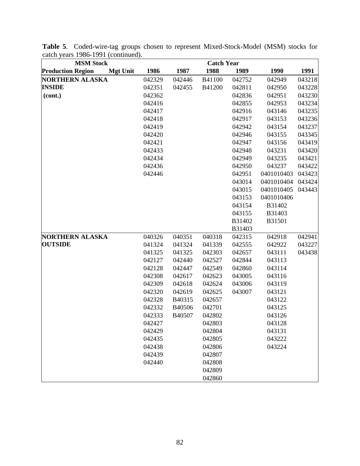| <b>MSM Stock</b>                            |        |        | <b>Catch Year</b> |        |            |        |
|---------------------------------------------|--------|--------|-------------------|--------|------------|--------|
| <b>Production Region</b><br><b>Mgt Unit</b> | 1986   | 1987   | 1988              | 1989   | 1990       | 1991   |
| <b>NORTHERN ALASKA</b>                      | 042329 | 042446 | B41100            | 042752 | 042949     | 043218 |
| <b>INSIDE</b>                               | 042351 | 042455 | B41200            | 042811 | 042950     | 043228 |
| (cont.)                                     | 042362 |        |                   | 042836 | 042951     | 043230 |
|                                             | 042416 |        |                   | 042855 | 042953     | 043234 |
|                                             | 042417 |        |                   | 042916 | 043146     | 043235 |
|                                             | 042418 |        |                   | 042917 | 043153     | 043236 |
|                                             | 042419 |        |                   | 042942 | 043154     | 043237 |
|                                             | 042420 |        |                   | 042946 | 043155     | 043345 |
|                                             | 042421 |        |                   | 042947 | 043156     | 043419 |
|                                             | 042433 |        |                   | 042948 | 043231     | 043420 |
|                                             | 042434 |        |                   | 042949 | 043235     | 043421 |
|                                             | 042436 |        |                   | 042950 | 043237     | 043422 |
|                                             | 042446 |        |                   | 042951 | 0401010403 | 043423 |
|                                             |        |        |                   | 043014 | 0401010404 | 043424 |
|                                             |        |        |                   | 043015 | 0401010405 | 043443 |
|                                             |        |        |                   | 043153 | 0401010406 |        |
|                                             |        |        |                   | 043154 | B31402     |        |
|                                             |        |        |                   | 043155 | B31403     |        |
|                                             |        |        |                   | B31402 | B31501     |        |
|                                             |        |        |                   | B31403 |            |        |
| <b>NORTHERN ALASKA</b>                      | 040326 | 040351 | 040318            | 042315 | 042918     | 042941 |
| <b>OUTSIDE</b>                              | 041324 | 041324 | 041339            | 042555 | 042922     | 043227 |
|                                             | 041325 | 041325 | 042303            | 042657 | 043111     | 043438 |
|                                             | 042127 | 042440 | 042527            | 042844 | 043113     |        |
|                                             | 042128 | 042447 | 042549            | 042860 | 043114     |        |
|                                             | 042308 | 042617 | 042623            | 043005 | 043116     |        |
|                                             | 042309 | 042618 | 042624            | 043006 | 043119     |        |
|                                             | 042320 | 042619 | 042625            | 043007 | 043121     |        |
|                                             | 042328 | B40315 | 042657            |        | 043122     |        |
|                                             | 042332 | B40506 | 042701            |        | 043125     |        |
|                                             | 042333 | B40507 | 042802            |        | 043126     |        |
|                                             | 042427 |        | 042803            |        | 043128     |        |
|                                             | 042429 |        | 042804            |        | 043131     |        |
|                                             | 042435 |        | 042805            |        | 043222     |        |
|                                             | 042438 |        | 042806            |        | 043224     |        |
|                                             | 042439 |        | 042807            |        |            |        |
|                                             | 042440 |        | 042808            |        |            |        |
|                                             |        |        | 042809            |        |            |        |
|                                             |        |        | 042860            |        |            |        |

**Table 5**. Coded-wire-tag groups chosen to represent Mixed-Stock-Model (MSM) stocks for catch years 1986-1991 (continued).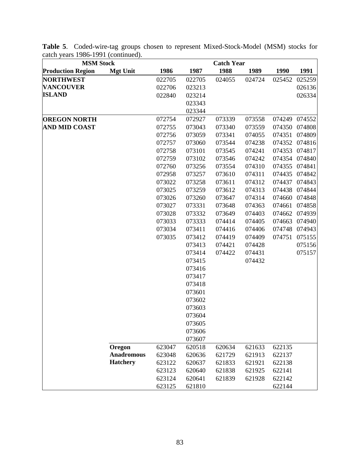| <b>MSM Stock</b>         |                   | <b>Catch Year</b> |        |        |        |        |               |
|--------------------------|-------------------|-------------------|--------|--------|--------|--------|---------------|
| <b>Production Region</b> | <b>Mgt Unit</b>   | 1986              | 1987   | 1988   | 1989   | 1990   | 1991          |
| <b>NORTHWEST</b>         |                   | 022705            | 022705 | 024055 | 024724 | 025452 | 025259        |
| <b>VANCOUVER</b>         |                   | 022706            | 023213 |        |        |        | 026136        |
| <b>ISLAND</b>            |                   | 022840            | 023214 |        |        |        | 026334        |
|                          |                   |                   | 023343 |        |        |        |               |
|                          |                   |                   | 023344 |        |        |        |               |
| <b>OREGON NORTH</b>      |                   | 072754            | 072927 | 073339 | 073558 | 074249 | 074552        |
| <b>AND MID COAST</b>     |                   | 072755            | 073043 | 073340 | 073559 | 074350 | 074808        |
|                          |                   | 072756            | 073059 | 073341 | 074055 | 074351 | 074809        |
|                          |                   | 072757            | 073060 | 073544 | 074238 |        | 074352 074816 |
|                          |                   | 072758            | 073101 | 073545 | 074241 | 074353 | 074817        |
|                          |                   | 072759            | 073102 | 073546 | 074242 | 074354 | 074840        |
|                          |                   | 072760            | 073256 | 073554 | 074310 | 074355 | 074841        |
|                          |                   | 072958            | 073257 | 073610 | 074311 | 074435 | 074842        |
|                          |                   | 073022            | 073258 | 073611 | 074312 | 074437 | 074843        |
|                          |                   | 073025            | 073259 | 073612 | 074313 | 074438 | 074844        |
|                          |                   | 073026            | 073260 | 073647 | 074314 | 074660 | 074848        |
|                          |                   | 073027            | 073331 | 073648 | 074363 | 074661 | 074858        |
|                          |                   | 073028            | 073332 | 073649 | 074403 | 074662 | 074939        |
|                          |                   | 073033            | 073333 | 074414 | 074405 | 074663 | 074940        |
|                          |                   | 073034            | 073411 | 074416 | 074406 | 074748 | 074943        |
|                          |                   | 073035            | 073412 | 074419 | 074409 | 074751 | 075155        |
|                          |                   |                   | 073413 | 074421 | 074428 |        | 075156        |
|                          |                   |                   | 073414 | 074422 | 074431 |        | 075157        |
|                          |                   |                   | 073415 |        | 074432 |        |               |
|                          |                   |                   | 073416 |        |        |        |               |
|                          |                   |                   | 073417 |        |        |        |               |
|                          |                   |                   | 073418 |        |        |        |               |
|                          |                   |                   | 073601 |        |        |        |               |
|                          |                   |                   | 073602 |        |        |        |               |
|                          |                   |                   | 073603 |        |        |        |               |
|                          |                   |                   | 073604 |        |        |        |               |
|                          |                   |                   | 073605 |        |        |        |               |
|                          |                   |                   | 073606 |        |        |        |               |
|                          |                   |                   | 073607 |        |        |        |               |
|                          | Oregon            | 623047            | 620518 | 620634 | 621633 | 622135 |               |
|                          | <b>Anadromous</b> | 623048            | 620636 | 621729 | 621913 | 622137 |               |
|                          | <b>Hatchery</b>   | 623122            | 620637 | 621833 | 621921 | 622138 |               |
|                          |                   | 623123            | 620640 | 621838 | 621925 | 622141 |               |
|                          |                   | 623124            | 620641 | 621839 | 621928 | 622142 |               |
|                          |                   | 623125            | 621810 |        |        | 622144 |               |

**Table 5**. Coded-wire-tag groups chosen to represent Mixed-Stock-Model (MSM) stocks for catch years 1986-1991 (continued).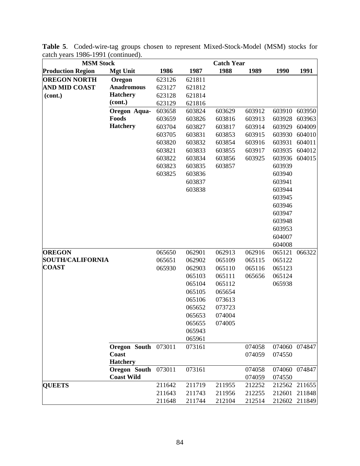| <b>MSM Stock</b>         |                     |        |        | <b>Catch Year</b> |        |        |        |
|--------------------------|---------------------|--------|--------|-------------------|--------|--------|--------|
| <b>Production Region</b> | <b>Mgt Unit</b>     | 1986   | 1987   | 1988              | 1989   | 1990   | 1991   |
| <b>OREGON NORTH</b>      | Oregon              | 623126 | 621811 |                   |        |        |        |
| <b>AND MID COAST</b>     | <b>Anadromous</b>   | 623127 | 621812 |                   |        |        |        |
| (cont.)                  | <b>Hatchery</b>     | 623128 | 621814 |                   |        |        |        |
|                          | (cont.)             | 623129 | 621816 |                   |        |        |        |
|                          | Oregon Aqua-        | 603658 | 603824 | 603629            | 603912 | 603910 | 603950 |
|                          | Foods               | 603659 | 603826 | 603816            | 603913 | 603928 | 603963 |
|                          | <b>Hatchery</b>     | 603704 | 603827 | 603817            | 603914 | 603929 | 604009 |
|                          |                     | 603705 | 603831 | 603853            | 603915 | 603930 | 604010 |
|                          |                     | 603820 | 603832 | 603854            | 603916 | 603931 | 604011 |
|                          |                     | 603821 | 603833 | 603855            | 603917 | 603935 | 604012 |
|                          |                     | 603822 | 603834 | 603856            | 603925 | 603936 | 604015 |
|                          |                     | 603823 | 603835 | 603857            |        | 603939 |        |
|                          |                     | 603825 | 603836 |                   |        | 603940 |        |
|                          |                     |        | 603837 |                   |        | 603941 |        |
|                          |                     |        | 603838 |                   |        | 603944 |        |
|                          |                     |        |        |                   |        | 603945 |        |
|                          |                     |        |        |                   |        | 603946 |        |
|                          |                     |        |        |                   |        | 603947 |        |
|                          |                     |        |        |                   |        | 603948 |        |
|                          |                     |        |        |                   |        | 603953 |        |
|                          |                     |        |        |                   |        | 604007 |        |
|                          |                     |        |        |                   |        | 604008 |        |
| <b>OREGON</b>            |                     | 065650 | 062901 | 062913            | 062916 | 065121 | 066322 |
| <b>SOUTH/CALIFORNIA</b>  |                     | 065651 | 062902 | 065109            | 065115 | 065122 |        |
| <b>COAST</b>             |                     | 065930 | 062903 | 065110            | 065116 | 065123 |        |
|                          |                     |        | 065103 | 065111            | 065656 | 065124 |        |
|                          |                     |        | 065104 | 065112            |        | 065938 |        |
|                          |                     |        | 065105 | 065654            |        |        |        |
|                          |                     |        | 065106 | 073613            |        |        |        |
|                          |                     |        | 065652 | 073723            |        |        |        |
|                          |                     |        | 065653 | 074004            |        |        |        |
|                          |                     |        | 065655 | 074005            |        |        |        |
|                          |                     |        | 065943 |                   |        |        |        |
|                          |                     |        | 065961 |                   |        |        |        |
|                          | Oregon South 073011 |        | 073161 |                   | 074058 | 074060 | 074847 |
|                          | Coast               |        |        |                   | 074059 | 074550 |        |
|                          | <b>Hatchery</b>     |        |        |                   |        |        |        |
|                          | Oregon South        | 073011 | 073161 |                   | 074058 | 074060 | 074847 |
|                          | <b>Coast Wild</b>   |        |        |                   | 074059 | 074550 |        |
| <b>QUEETS</b>            |                     | 211642 | 211719 | 211955            | 212252 | 212562 | 211655 |
|                          |                     | 211643 | 211743 | 211956            | 212255 | 212601 | 211848 |
|                          |                     | 211648 | 211744 | 212104            | 212514 | 212602 | 211849 |

**Table 5**. Coded-wire-tag groups chosen to represent Mixed-Stock-Model (MSM) stocks for catch years 1986-1991 (continued).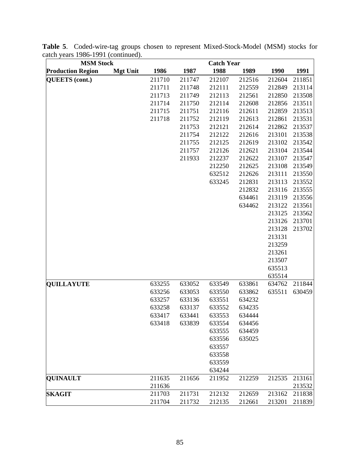| <b>MSM Stock</b>         |                 |        |        | <b>Catch Year</b> |        |        |        |
|--------------------------|-----------------|--------|--------|-------------------|--------|--------|--------|
| <b>Production Region</b> | <b>Mgt Unit</b> | 1986   | 1987   | 1988              | 1989   | 1990   | 1991   |
| <b>QUEETS</b> (cont.)    |                 | 211710 | 211747 | 212107            | 212516 | 212604 | 211851 |
|                          |                 | 211711 | 211748 | 212111            | 212559 | 212849 | 213114 |
|                          |                 | 211713 | 211749 | 212113            | 212561 | 212850 | 213508 |
|                          |                 | 211714 | 211750 | 212114            | 212608 | 212856 | 213511 |
|                          |                 | 211715 | 211751 | 212116            | 212611 | 212859 | 213513 |
|                          |                 | 211718 | 211752 | 212119            | 212613 | 212861 | 213531 |
|                          |                 |        | 211753 | 212121            | 212614 | 212862 | 213537 |
|                          |                 |        | 211754 | 212122            | 212616 | 213101 | 213538 |
|                          |                 |        | 211755 | 212125            | 212619 | 213102 | 213542 |
|                          |                 |        | 211757 | 212126            | 212621 | 213104 | 213544 |
|                          |                 |        | 211933 | 212237            | 212622 | 213107 | 213547 |
|                          |                 |        |        | 212250            | 212625 | 213108 | 213549 |
|                          |                 |        |        | 632512            | 212626 | 213111 | 213550 |
|                          |                 |        |        | 633245            | 212831 | 213113 | 213552 |
|                          |                 |        |        |                   | 212832 | 213116 | 213555 |
|                          |                 |        |        |                   | 634461 | 213119 | 213556 |
|                          |                 |        |        |                   | 634462 | 213122 | 213561 |
|                          |                 |        |        |                   |        | 213125 | 213562 |
|                          |                 |        |        |                   |        | 213126 | 213701 |
|                          |                 |        |        |                   |        | 213128 | 213702 |
|                          |                 |        |        |                   |        | 213131 |        |
|                          |                 |        |        |                   |        | 213259 |        |
|                          |                 |        |        |                   |        | 213261 |        |
|                          |                 |        |        |                   |        | 213507 |        |
|                          |                 |        |        |                   |        | 635513 |        |
|                          |                 |        |        |                   |        | 635514 |        |
| <b>QUILLAYUTE</b>        |                 | 633255 | 633052 | 633549            | 633861 | 634762 | 211844 |
|                          |                 | 633256 | 633053 | 633550            | 633862 | 635511 | 630459 |
|                          |                 | 633257 | 633136 | 633551            | 634232 |        |        |
|                          |                 | 633258 | 633137 | 633552            | 634235 |        |        |
|                          |                 | 633417 | 633441 | 633553            | 634444 |        |        |
|                          |                 | 633418 | 633839 | 633554            | 634456 |        |        |
|                          |                 |        |        | 633555            | 634459 |        |        |
|                          |                 |        |        | 633556            | 635025 |        |        |
|                          |                 |        |        | 633557            |        |        |        |
|                          |                 |        |        | 633558            |        |        |        |
|                          |                 |        |        | 633559            |        |        |        |
|                          |                 |        |        | 634244            |        |        |        |
| <b>QUINAULT</b>          |                 | 211635 | 211656 | 211952            | 212259 | 212535 | 213161 |
|                          |                 | 211636 |        |                   |        |        | 213532 |
| <b>SKAGIT</b>            |                 | 211703 | 211731 | 212132            | 212659 | 213162 | 211838 |
|                          |                 | 211704 | 211732 | 212135            | 212661 | 213201 | 211839 |

**Table 5**. Coded-wire-tag groups chosen to represent Mixed-Stock-Model (MSM) stocks for catch years 1986-1991 (continued).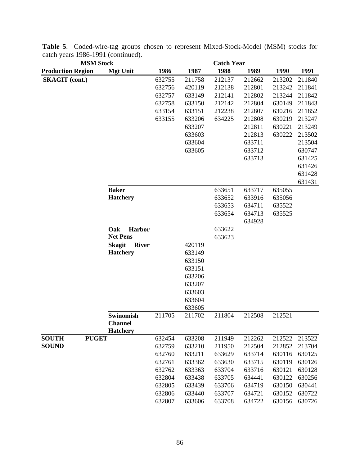| <b>MSM Stock</b>             |                               | <b>Catch Year</b> |        |        |        |        |        |
|------------------------------|-------------------------------|-------------------|--------|--------|--------|--------|--------|
| <b>Production Region</b>     | <b>Mgt Unit</b>               | 1986              | 1987   | 1988   | 1989   | 1990   | 1991   |
| <b>SKAGIT</b> (cont.)        |                               | 632755            | 211758 | 212137 | 212662 | 213202 | 211840 |
|                              |                               | 632756            | 420119 | 212138 | 212801 | 213242 | 211841 |
|                              |                               | 632757            | 633149 | 212141 | 212802 | 213244 | 211842 |
|                              |                               | 632758            | 633150 | 212142 | 212804 | 630149 | 211843 |
|                              |                               | 633154            | 633151 | 212238 | 212807 | 630216 | 211852 |
|                              |                               | 633155            | 633206 | 634225 | 212808 | 630219 | 213247 |
|                              |                               |                   | 633207 |        | 212811 | 630221 | 213249 |
|                              |                               |                   | 633603 |        | 212813 | 630222 | 213502 |
|                              |                               |                   | 633604 |        | 633711 |        | 213504 |
|                              |                               |                   | 633605 |        | 633712 |        | 630747 |
|                              |                               |                   |        |        | 633713 |        | 631425 |
|                              |                               |                   |        |        |        |        | 631426 |
|                              |                               |                   |        |        |        |        | 631428 |
|                              |                               |                   |        |        |        |        | 631431 |
|                              | <b>Baker</b>                  |                   |        | 633651 | 633717 | 635055 |        |
|                              | <b>Hatchery</b>               |                   |        | 633652 | 633916 | 635056 |        |
|                              |                               |                   |        | 633653 | 634711 | 635522 |        |
|                              |                               |                   |        | 633654 | 634713 | 635525 |        |
|                              | Oak<br>Harbor                 |                   |        | 633622 | 634928 |        |        |
|                              | <b>Net Pens</b>               |                   |        | 633623 |        |        |        |
|                              | <b>River</b><br><b>Skagit</b> |                   | 420119 |        |        |        |        |
|                              | <b>Hatchery</b>               |                   | 633149 |        |        |        |        |
|                              |                               |                   | 633150 |        |        |        |        |
|                              |                               |                   | 633151 |        |        |        |        |
|                              |                               |                   | 633206 |        |        |        |        |
|                              |                               |                   | 633207 |        |        |        |        |
|                              |                               |                   | 633603 |        |        |        |        |
|                              |                               |                   | 633604 |        |        |        |        |
|                              |                               |                   | 633605 |        |        |        |        |
|                              | <b>Swinomish</b>              | 211705            | 211702 | 211804 | 212508 | 212521 |        |
|                              | <b>Channel</b>                |                   |        |        |        |        |        |
|                              | <b>Hatchery</b>               |                   |        |        |        |        |        |
| <b>SOUTH</b><br><b>PUGET</b> |                               | 632454            | 633208 | 211949 | 212262 | 212522 | 213522 |
| <b>SOUND</b>                 |                               | 632759            | 633210 | 211950 | 212504 | 212852 | 213704 |
|                              |                               | 632760            | 633211 | 633629 | 633714 | 630116 | 630125 |
|                              |                               | 632761            | 633362 | 633630 | 633715 | 630119 | 630126 |
|                              |                               | 632762            | 633363 | 633704 | 633716 | 630121 | 630128 |
|                              |                               | 632804            | 633438 | 633705 | 634441 | 630122 | 630256 |
|                              |                               | 632805            | 633439 | 633706 | 634719 | 630150 | 630441 |
|                              |                               | 632806            | 633440 | 633707 | 634721 | 630152 | 630722 |
|                              |                               | 632807            | 633606 | 633708 | 634722 | 630156 | 630726 |

**Table 5**. Coded-wire-tag groups chosen to represent Mixed-Stock-Model (MSM) stocks for catch years 1986-1991 (continued).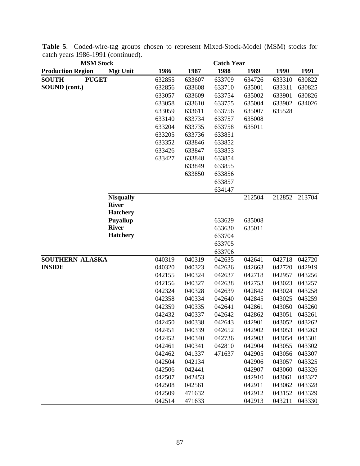| <b>MSM Stock</b>             |                  |        |        | <b>Catch Year</b> |        |        |        |
|------------------------------|------------------|--------|--------|-------------------|--------|--------|--------|
| <b>Production Region</b>     | <b>Mgt Unit</b>  | 1986   | 1987   | 1988              | 1989   | 1990   | 1991   |
| <b>PUGET</b><br><b>SOUTH</b> |                  | 632855 | 633607 | 633709            | 634726 | 633310 | 630822 |
| SOUND (cont.)                |                  | 632856 | 633608 | 633710            | 635001 | 633311 | 630825 |
|                              |                  | 633057 | 633609 | 633754            | 635002 | 633901 | 630826 |
|                              |                  | 633058 | 633610 | 633755            | 635004 | 633902 | 634026 |
|                              |                  | 633059 | 633611 | 633756            | 635007 | 635528 |        |
|                              |                  | 633140 | 633734 | 633757            | 635008 |        |        |
|                              |                  | 633204 | 633735 | 633758            | 635011 |        |        |
|                              |                  | 633205 | 633736 | 633851            |        |        |        |
|                              |                  | 633352 | 633846 | 633852            |        |        |        |
|                              |                  | 633426 | 633847 | 633853            |        |        |        |
|                              |                  | 633427 | 633848 | 633854            |        |        |        |
|                              |                  |        | 633849 | 633855            |        |        |        |
|                              |                  |        | 633850 | 633856            |        |        |        |
|                              |                  |        |        | 633857            |        |        |        |
|                              |                  |        |        | 634147            |        |        |        |
|                              | <b>Nisqually</b> |        |        |                   | 212504 | 212852 | 213704 |
|                              | <b>River</b>     |        |        |                   |        |        |        |
|                              | <b>Hatchery</b>  |        |        |                   |        |        |        |
|                              | <b>Puyallup</b>  |        |        | 633629            | 635008 |        |        |
|                              | <b>River</b>     |        |        | 633630            | 635011 |        |        |
|                              | <b>Hatchery</b>  |        |        | 633704            |        |        |        |
|                              |                  |        |        | 633705            |        |        |        |
|                              |                  |        |        | 633706            |        |        |        |
| <b>SOUTHERN ALASKA</b>       |                  | 040319 | 040319 | 042635            | 042641 | 042718 | 042720 |
| <b>INSIDE</b>                |                  | 040320 | 040323 | 042636            | 042663 | 042720 | 042919 |
|                              |                  | 042155 | 040324 | 042637            | 042718 | 042957 | 043256 |
|                              |                  | 042156 | 040327 | 042638            | 042753 | 043023 | 043257 |
|                              |                  | 042324 | 040328 | 042639            | 042842 | 043024 | 043258 |
|                              |                  | 042358 | 040334 | 042640            | 042845 | 043025 | 043259 |
|                              |                  | 042359 | 040335 | 042641            | 042861 | 043050 | 043260 |
|                              |                  | 042432 | 040337 | 042642            | 042862 | 043051 | 043261 |
|                              |                  | 042450 | 040338 | 042643            | 042901 | 043052 | 043262 |
|                              |                  | 042451 | 040339 | 042652            | 042902 | 043053 | 043263 |
|                              |                  | 042452 | 040340 | 042736            | 042903 | 043054 | 043301 |
|                              |                  | 042461 | 040341 | 042810            | 042904 | 043055 | 043302 |
|                              |                  | 042462 | 041337 | 471637            | 042905 | 043056 | 043307 |
|                              |                  | 042504 | 042134 |                   | 042906 | 043057 | 043325 |
|                              |                  | 042506 | 042441 |                   | 042907 | 043060 | 043326 |
|                              |                  | 042507 | 042453 |                   | 042910 | 043061 | 043327 |
|                              |                  | 042508 | 042561 |                   | 042911 | 043062 | 043328 |
|                              |                  | 042509 | 471632 |                   | 042912 | 043152 | 043329 |
|                              |                  | 042514 | 471633 |                   | 042913 | 043211 | 043330 |

**Table 5**. Coded-wire-tag groups chosen to represent Mixed-Stock-Model (MSM) stocks for catch years 1986-1991 (continued).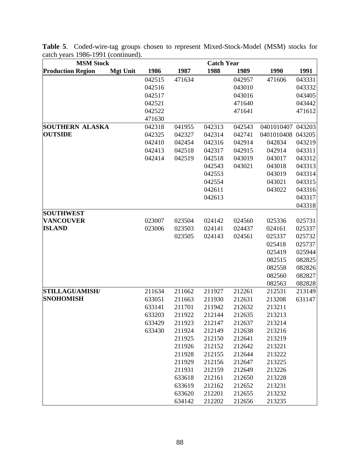| <b>MSM Stock</b><br><b>Catch Year</b>       |                  |                  |                  |                  |                  |                  |
|---------------------------------------------|------------------|------------------|------------------|------------------|------------------|------------------|
| <b>Production Region</b><br><b>Mgt Unit</b> | 1986             | 1987             | 1988             | 1989             | 1990             | 1991             |
|                                             | 042515           | 471634           |                  | 042957           | 471606           | 043331           |
|                                             | 042516           |                  |                  | 043010           |                  | 043332           |
|                                             | 042517           |                  |                  | 043016           |                  | 043405           |
|                                             | 042521           |                  |                  | 471640           |                  | 043442           |
|                                             | 042522           |                  |                  | 471641           |                  | 471612           |
|                                             | 471630           |                  |                  |                  |                  |                  |
| <b>SOUTHERN ALASKA</b>                      | 042318           | 041955           | 042313           | 042543           | 0401010407       | 043203           |
| <b>OUTSIDE</b>                              | 042325           | 042327           | 042314           | 042741           | 0401010408       | 043205           |
|                                             | 042410           | 042454           | 042316           | 042914           | 042834           | 043219           |
|                                             | 042413           | 042518           | 042317           | 042915           | 042914           | 043311           |
|                                             | 042414           | 042519           | 042518           | 043019           | 043017           | 043312           |
|                                             |                  |                  | 042543           | 043021           | 043018           | 043313           |
|                                             |                  |                  | 042553           |                  | 043019           | 043314           |
|                                             |                  |                  | 042554           |                  | 043021           | 043315           |
|                                             |                  |                  | 042611           |                  | 043022           | 043316           |
|                                             |                  |                  | 042613           |                  |                  | 043317           |
|                                             |                  |                  |                  |                  |                  | 043318           |
| <b>SOUTHWEST</b>                            |                  |                  |                  |                  |                  |                  |
| <b>VANCOUVER</b>                            | 023007           | 023504           | 024142           | 024560           | 025336           | 025731           |
| <b>ISLAND</b>                               | 023006           | 023503           | 024141           | 024437           | 024161           | 025337           |
|                                             |                  | 023505           | 024143           | 024561           | 025337           | 025732           |
|                                             |                  |                  |                  |                  | 025418           | 025737           |
|                                             |                  |                  |                  |                  | 025419           | 025944           |
|                                             |                  |                  |                  |                  | 082515           | 082825           |
|                                             |                  |                  |                  |                  | 082558           | 082826           |
|                                             |                  |                  |                  |                  | 082560           | 082827           |
|                                             |                  |                  |                  |                  | 082563           | 082828           |
| <b>STILLAGUAMISH/</b><br><b>SNOHOMISH</b>   | 211634           | 211662           | 211927           | 212261           | 212531<br>213208 | 213149<br>631147 |
|                                             | 633051           | 211663           | 211930<br>211942 | 212631<br>212632 |                  |                  |
|                                             | 633141<br>633203 | 211701<br>211922 | 212144           | 212635           | 213211<br>213213 |                  |
|                                             | 633429           | 211923           | 212147           | 212637           | 213214           |                  |
|                                             | 633430           | 211924           | 212149           | 212638           | 213216           |                  |
|                                             |                  | 211925           | 212150           | 212641           | 213219           |                  |
|                                             |                  | 211926           | 212152           | 212642           | 213221           |                  |
|                                             |                  | 211928           | 212155           | 212644           | 213222           |                  |
|                                             |                  | 211929           | 212156           | 212647           | 213225           |                  |
|                                             |                  | 211931           | 212159           | 212649           | 213226           |                  |
|                                             |                  | 633618           | 212161           | 212650           | 213228           |                  |
|                                             |                  | 633619           | 212162           | 212652           | 213231           |                  |
|                                             |                  | 633620           | 212201           | 212655           | 213232           |                  |
|                                             |                  | 634142           | 212202           | 212656           | 213235           |                  |

**Table 5**. Coded-wire-tag groups chosen to represent Mixed-Stock-Model (MSM) stocks for catch years 1986-1991 (continued).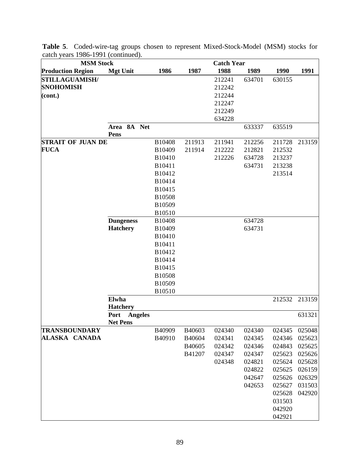| <b>MSM Stock</b>         |                        |        |        | <b>Catch Year</b> |        |        |        |
|--------------------------|------------------------|--------|--------|-------------------|--------|--------|--------|
| <b>Production Region</b> | <b>Mgt Unit</b>        | 1986   | 1987   | 1988              | 1989   | 1990   | 1991   |
| <b>STILLAGUAMISH/</b>    |                        |        |        | 212241            | 634701 | 630155 |        |
| <b>SNOHOMISH</b>         |                        |        |        | 212242            |        |        |        |
| (cont.)                  |                        |        |        | 212244            |        |        |        |
|                          |                        |        |        | 212247            |        |        |        |
|                          |                        |        |        | 212249            |        |        |        |
|                          |                        |        |        | 634228            |        |        |        |
|                          | Area 8A Net            |        |        |                   | 633337 | 635519 |        |
|                          | Pens                   |        |        |                   |        |        |        |
| <b>STRAIT OF JUAN DE</b> |                        | B10408 | 211913 | 211941            | 212256 | 211728 | 213159 |
| <b>FUCA</b>              |                        | B10409 | 211914 | 212222            | 212821 | 212532 |        |
|                          |                        | B10410 |        | 212226            | 634728 | 213237 |        |
|                          |                        | B10411 |        |                   | 634731 | 213238 |        |
|                          |                        | B10412 |        |                   |        | 213514 |        |
|                          |                        | B10414 |        |                   |        |        |        |
|                          |                        | B10415 |        |                   |        |        |        |
|                          |                        | B10508 |        |                   |        |        |        |
|                          |                        | B10509 |        |                   |        |        |        |
|                          |                        | B10510 |        |                   |        |        |        |
|                          | <b>Dungeness</b>       | B10408 |        |                   | 634728 |        |        |
|                          | <b>Hatchery</b>        | B10409 |        |                   | 634731 |        |        |
|                          |                        | B10410 |        |                   |        |        |        |
|                          |                        | B10411 |        |                   |        |        |        |
|                          |                        | B10412 |        |                   |        |        |        |
|                          |                        | B10414 |        |                   |        |        |        |
|                          |                        | B10415 |        |                   |        |        |        |
|                          |                        | B10508 |        |                   |        |        |        |
|                          |                        | B10509 |        |                   |        |        |        |
|                          |                        | B10510 |        |                   |        |        |        |
|                          | Elwha                  |        |        |                   |        | 212532 | 213159 |
|                          | <b>Hatchery</b>        |        |        |                   |        |        |        |
|                          | <b>Angeles</b><br>Port |        |        |                   |        |        | 631321 |
| <b>TRANSBOUNDARY</b>     | <b>Net Pens</b>        | B40909 | B40603 | 024340            | 024340 | 024345 | 025048 |
| ALASKA CANADA            |                        | B40910 | B40604 | 024341            | 024345 | 024346 | 025623 |
|                          |                        |        | B40605 | 024342            | 024346 | 024843 | 025625 |
|                          |                        |        | B41207 | 024347            | 024347 | 025623 | 025626 |
|                          |                        |        |        | 024348            | 024821 | 025624 | 025628 |
|                          |                        |        |        |                   | 024822 | 025625 | 026159 |
|                          |                        |        |        |                   | 042647 | 025626 | 026329 |
|                          |                        |        |        |                   | 042653 | 025627 | 031503 |
|                          |                        |        |        |                   |        | 025628 | 042920 |
|                          |                        |        |        |                   |        | 031503 |        |
|                          |                        |        |        |                   |        | 042920 |        |
|                          |                        |        |        |                   |        |        |        |
|                          |                        |        |        |                   |        | 042921 |        |

**Table 5**. Coded-wire-tag groups chosen to represent Mixed-Stock-Model (MSM) stocks for catch years 1986-1991 (continued).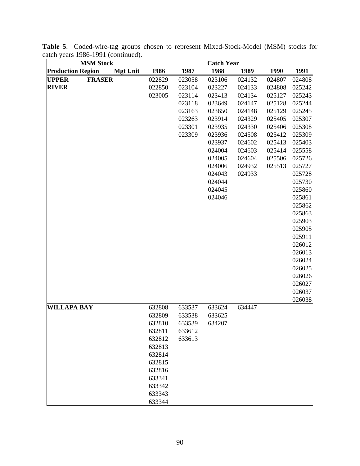| <b>MSM Stock</b>              | <b>Catch Year</b>       |        |        |        |        |        |
|-------------------------------|-------------------------|--------|--------|--------|--------|--------|
| <b>Production Region</b>      | 1986<br><b>Mgt Unit</b> | 1987   | 1988   | 1989   | 1990   | 1991   |
| <b>FRASER</b><br><b>UPPER</b> | 022829                  | 023058 | 023106 | 024132 | 024807 | 024808 |
| <b>RIVER</b>                  | 022850                  | 023104 | 023227 | 024133 | 024808 | 025242 |
|                               | 023005                  | 023114 | 023413 | 024134 | 025127 | 025243 |
|                               |                         | 023118 | 023649 | 024147 | 025128 | 025244 |
|                               |                         | 023163 | 023650 | 024148 | 025129 | 025245 |
|                               |                         | 023263 | 023914 | 024329 | 025405 | 025307 |
|                               |                         | 023301 | 023935 | 024330 | 025406 | 025308 |
|                               |                         | 023309 | 023936 | 024508 | 025412 | 025309 |
|                               |                         |        | 023937 | 024602 | 025413 | 025403 |
|                               |                         |        | 024004 | 024603 | 025414 | 025558 |
|                               |                         |        | 024005 | 024604 | 025506 | 025726 |
|                               |                         |        | 024006 | 024932 | 025513 | 025727 |
|                               |                         |        | 024043 | 024933 |        | 025728 |
|                               |                         |        | 024044 |        |        | 025730 |
|                               |                         |        | 024045 |        |        | 025860 |
|                               |                         |        | 024046 |        |        | 025861 |
|                               |                         |        |        |        |        | 025862 |
|                               |                         |        |        |        |        | 025863 |
|                               |                         |        |        |        |        | 025903 |
|                               |                         |        |        |        |        | 025905 |
|                               |                         |        |        |        |        | 025911 |
|                               |                         |        |        |        |        | 026012 |
|                               |                         |        |        |        |        | 026013 |
|                               |                         |        |        |        |        | 026024 |
|                               |                         |        |        |        |        | 026025 |
|                               |                         |        |        |        |        | 026026 |
|                               |                         |        |        |        |        | 026027 |
|                               |                         |        |        |        |        | 026037 |
|                               |                         |        |        |        |        | 026038 |
| <b>WILLAPA BAY</b>            | 632808                  | 633537 | 633624 | 634447 |        |        |
|                               | 632809                  | 633538 | 633625 |        |        |        |
|                               | 632810                  | 633539 | 634207 |        |        |        |
|                               | 632811                  | 633612 |        |        |        |        |
|                               | 632812                  | 633613 |        |        |        |        |
|                               | 632813                  |        |        |        |        |        |
|                               | 632814                  |        |        |        |        |        |
|                               | 632815                  |        |        |        |        |        |
|                               | 632816                  |        |        |        |        |        |
|                               | 633341                  |        |        |        |        |        |
|                               | 633342                  |        |        |        |        |        |
|                               | 633343                  |        |        |        |        |        |
|                               | 633344                  |        |        |        |        |        |

**Table 5**. Coded-wire-tag groups chosen to represent Mixed-Stock-Model (MSM) stocks for catch years 1986-1991 (continued).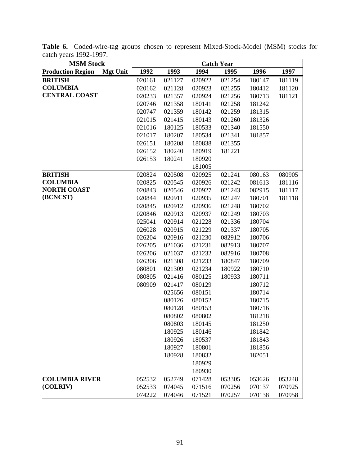| <b>MSM Stock</b>         |                 |        |        |        | <b>Catch Year</b> |        |        |
|--------------------------|-----------------|--------|--------|--------|-------------------|--------|--------|
| <b>Production Region</b> | <b>Mgt Unit</b> | 1992   | 1993   | 1994   | 1995              | 1996   | 1997   |
| <b>BRITISH</b>           |                 | 020161 | 021127 | 020922 | 021254            | 180147 | 181119 |
| <b>COLUMBIA</b>          |                 | 020162 | 021128 | 020923 | 021255            | 180412 | 181120 |
| <b>CENTRAL COAST</b>     |                 | 020233 | 021357 | 020924 | 021256            | 180713 | 181121 |
|                          |                 | 020746 | 021358 | 180141 | 021258            | 181242 |        |
|                          |                 | 020747 | 021359 | 180142 | 021259            | 181315 |        |
|                          |                 | 021015 | 021415 | 180143 | 021260            | 181326 |        |
|                          |                 | 021016 | 180125 | 180533 | 021340            | 181550 |        |
|                          |                 | 021017 | 180207 | 180534 | 021341            | 181857 |        |
|                          |                 | 026151 | 180208 | 180838 | 021355            |        |        |
|                          |                 | 026152 | 180240 | 180919 | 181221            |        |        |
|                          |                 | 026153 | 180241 | 180920 |                   |        |        |
|                          |                 |        |        | 181005 |                   |        |        |
| <b>BRITISH</b>           |                 | 020824 | 020508 | 020925 | 021241            | 080163 | 080905 |
| <b>COLUMBIA</b>          |                 | 020825 | 020545 | 020926 | 021242            | 081613 | 181116 |
| <b>NORTH COAST</b>       |                 | 020843 | 020546 | 020927 | 021243            | 082915 | 181117 |
| (BCNCST)                 |                 | 020844 | 020911 | 020935 | 021247            | 180701 | 181118 |
|                          |                 | 020845 | 020912 | 020936 | 021248            | 180702 |        |
|                          |                 | 020846 | 020913 | 020937 | 021249            | 180703 |        |
|                          |                 | 025041 | 020914 | 021228 | 021336            | 180704 |        |
|                          |                 | 026028 | 020915 | 021229 | 021337            | 180705 |        |
|                          |                 | 026204 | 020916 | 021230 | 082912            | 180706 |        |
|                          |                 | 026205 | 021036 | 021231 | 082913            | 180707 |        |
|                          |                 | 026206 | 021037 | 021232 | 082916            | 180708 |        |
|                          |                 | 026306 | 021308 | 021233 | 180847            | 180709 |        |
|                          |                 | 080801 | 021309 | 021234 | 180922            | 180710 |        |
|                          |                 | 080805 | 021416 | 080125 | 180933            | 180711 |        |
|                          |                 | 080909 | 021417 | 080129 |                   | 180712 |        |
|                          |                 |        | 025656 | 080151 |                   | 180714 |        |
|                          |                 |        | 080126 | 080152 |                   | 180715 |        |
|                          |                 |        | 080128 | 080153 |                   | 180716 |        |
|                          |                 |        | 080802 | 080802 |                   | 181218 |        |
|                          |                 |        | 080803 | 180145 |                   | 181250 |        |
|                          |                 |        | 180925 | 180146 |                   | 181842 |        |
|                          |                 |        | 180926 | 180537 |                   | 181843 |        |
|                          |                 |        | 180927 | 180801 |                   | 181856 |        |
|                          |                 |        | 180928 | 180832 |                   | 182051 |        |
|                          |                 |        |        | 180929 |                   |        |        |
|                          |                 |        |        | 180930 |                   |        |        |
| <b>COLUMBIA RIVER</b>    |                 | 052532 | 052749 | 071428 | 053305            | 053626 | 053248 |
| (COLRIV)                 |                 | 052533 | 074045 | 071516 | 070256            | 070137 | 070925 |
|                          |                 | 074222 | 074046 | 071521 | 070257            | 070138 | 070958 |

**Table 6.** Coded-wire-tag groups chosen to represent Mixed-Stock-Model (MSM) stocks for catch years 1992-1997.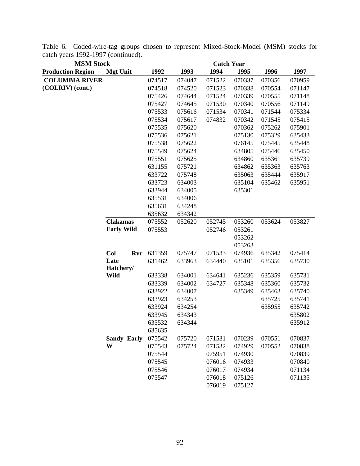| <b>MSM Stock</b>         |                         |            |                  |                  | <b>Catch Year</b> |                  |                  |                  |
|--------------------------|-------------------------|------------|------------------|------------------|-------------------|------------------|------------------|------------------|
| <b>Production Region</b> | <b>Mgt Unit</b>         |            | 1992             | 1993             | 1994              | 1995             | 1996             | 1997             |
| <b>COLUMBIA RIVER</b>    |                         |            | 074517           | 074047           | 071522            | 070337           | 070356           | 070959           |
| (COLRIV) (cont.)         |                         |            | 074518           | 074520           | 071523            | 070338           | 070554           | 071147           |
|                          |                         |            | 075426           | 074644           | 071524            | 070339           | 070555           | 071148           |
|                          |                         |            | 075427           | 074645           | 071530            | 070340           | 070556           | 071149           |
|                          |                         |            | 075533           | 075616           | 071534            | 070341           | 071544           | 075334           |
|                          |                         |            | 075534           | 075617           | 074832            | 070342           | 071545           | 075415           |
|                          |                         |            | 075535           | 075620           |                   | 070362           | 075262           | 075901           |
|                          |                         |            | 075536           | 075621           |                   | 075130           | 075329           | 635433           |
|                          |                         |            | 075538           | 075622           |                   | 076145           | 075445           | 635448           |
|                          |                         |            | 075549           | 075624           |                   | 634805           | 075446           | 635450           |
|                          |                         |            | 075551           | 075625           |                   | 634860           | 635361           | 635739           |
|                          |                         |            | 631155           | 075721           |                   | 634862           | 635363           | 635763           |
|                          |                         |            | 633722           | 075748           |                   | 635063           | 635444           | 635917           |
|                          |                         |            | 633723           | 634003           |                   | 635104           | 635462           | 635951           |
|                          |                         |            | 633944           | 634005           |                   | 635301           |                  |                  |
|                          |                         |            | 635531           | 634006           |                   |                  |                  |                  |
|                          |                         |            | 635631           | 634248           |                   |                  |                  |                  |
|                          |                         |            | 635632           | 634342           |                   |                  |                  |                  |
|                          | <b>Clakamas</b>         |            | 075552           | 052620           | 052745            | 053260           | 053624           | 053827           |
|                          | <b>Early Wild</b>       |            | 075553           |                  | 052746            | 053261           |                  |                  |
|                          |                         |            |                  |                  |                   | 053262           |                  |                  |
|                          |                         |            |                  |                  |                   | 053263           |                  |                  |
|                          | Col                     | <b>Rvr</b> | 631359           | 075747           | 071533            | 074936           | 635342           | 075414           |
|                          | Late                    |            | 631462           | 633963           | 634440            | 635101           | 635356           | 635730           |
|                          | Hatchery/               |            |                  |                  |                   |                  |                  |                  |
|                          | <b>Wild</b>             |            | 633338           | 634001           | 634641            | 635236           | 635359           | 635731           |
|                          |                         |            | 633339           | 634002           | 634727            | 635348           | 635360           | 635732           |
|                          |                         |            | 633922           | 634007           |                   | 635349           | 635463           | 635740<br>635741 |
|                          |                         |            | 633923           | 634253<br>634254 |                   |                  | 635725           |                  |
|                          |                         |            | 633924<br>633945 | 634343           |                   |                  | 635955           | 635742<br>635802 |
|                          |                         |            | 635532           |                  |                   |                  |                  | 635912           |
|                          |                         |            |                  | 634344           |                   |                  |                  |                  |
|                          |                         |            | 635635           | 075720           |                   |                  |                  | 070837           |
|                          | <b>Sandy Early</b><br>W |            | 075542<br>075543 | 075724           | 071531<br>071532  | 070239<br>074929 | 070551<br>070552 | 070838           |
|                          |                         |            | 075544           |                  | 075951            | 074930           |                  | 070839           |
|                          |                         |            | 075545           |                  | 076016            | 074933           |                  | 070840           |
|                          |                         |            | 075546           |                  | 076017            | 074934           |                  | 071134           |
|                          |                         |            | 075547           |                  | 076018            | 075126           |                  | 071135           |
|                          |                         |            |                  |                  | 076019            | 075127           |                  |                  |
|                          |                         |            |                  |                  |                   |                  |                  |                  |

Table 6. Coded-wire-tag groups chosen to represent Mixed-Stock-Model (MSM) stocks for catch years 1992-1997 (continued).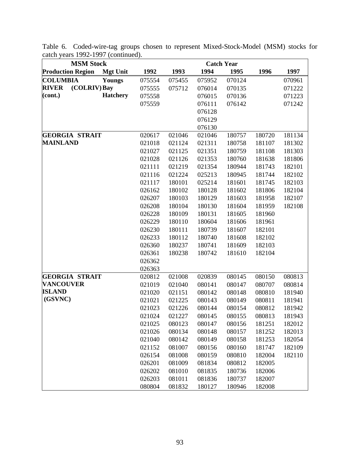| <b>MSM Stock</b>             |                 | <b>Catch Year</b> |        |        |        |        |        |
|------------------------------|-----------------|-------------------|--------|--------|--------|--------|--------|
| <b>Production Region</b>     | <b>Mgt Unit</b> | 1992              | 1993   | 1994   | 1995   | 1996   | 1997   |
| <b>COLUMBIA</b>              | Youngs          | 075554            | 075455 | 075952 | 070124 |        | 070961 |
| <b>RIVER</b><br>(COLRIV) Bay |                 | 075555            | 075712 | 076014 | 070135 |        | 071222 |
| (cont.)                      | <b>Hatchery</b> | 075558            |        | 076015 | 070136 |        | 071223 |
|                              |                 | 075559            |        | 076111 | 076142 |        | 071242 |
|                              |                 |                   |        | 076128 |        |        |        |
|                              |                 |                   |        | 076129 |        |        |        |
|                              |                 |                   |        | 076130 |        |        |        |
| <b>GEORGIA STRAIT</b>        |                 | 020617            | 021046 | 021046 | 180757 | 180720 | 181134 |
| <b>MAINLAND</b>              |                 | 021018            | 021124 | 021311 | 180758 | 181107 | 181302 |
|                              |                 | 021027            | 021125 | 021351 | 180759 | 181108 | 181303 |
|                              |                 | 021028            | 021126 | 021353 | 180760 | 181638 | 181806 |
|                              |                 | 021111            | 021219 | 021354 | 180944 | 181743 | 182101 |
|                              |                 | 021116            | 021224 | 025213 | 180945 | 181744 | 182102 |
|                              |                 | 021117            | 180101 | 025214 | 181601 | 181745 | 182103 |
|                              |                 | 026162            | 180102 | 180128 | 181602 | 181806 | 182104 |
|                              |                 | 026207            | 180103 | 180129 | 181603 | 181958 | 182107 |
|                              |                 | 026208            | 180104 | 180130 | 181604 | 181959 | 182108 |
|                              |                 | 026228            | 180109 | 180131 | 181605 | 181960 |        |
|                              |                 | 026229            | 180110 | 180604 | 181606 | 181961 |        |
|                              |                 | 026230            | 180111 | 180739 | 181607 | 182101 |        |
|                              |                 | 026233            | 180112 | 180740 | 181608 | 182102 |        |
|                              |                 | 026360            | 180237 | 180741 | 181609 | 182103 |        |
|                              |                 | 026361            | 180238 | 180742 | 181610 | 182104 |        |
|                              |                 | 026362            |        |        |        |        |        |
|                              |                 | 026363            |        |        |        |        |        |
| <b>GEORGIA STRAIT</b>        |                 | 020812            | 021008 | 020839 | 080145 | 080150 | 080813 |
| <b>VANCOUVER</b>             |                 | 021019            | 021040 | 080141 | 080147 | 080707 | 080814 |
| <b>ISLAND</b>                |                 | 021020            | 021151 | 080142 | 080148 | 080810 | 181940 |
| (GSVNC)                      |                 | 021021            | 021225 | 080143 | 080149 | 080811 | 181941 |
|                              |                 | 021023            | 021226 | 080144 | 080154 | 080812 | 181942 |
|                              |                 | 021024            | 021227 | 080145 | 080155 | 080813 | 181943 |
|                              |                 | 021025            | 080123 | 080147 | 080156 | 181251 | 182012 |
|                              |                 | 021026            | 080134 | 080148 | 080157 | 181252 | 182013 |
|                              |                 | 021040            | 080142 | 080149 | 080158 | 181253 | 182054 |
|                              |                 | 021152            | 081007 | 080156 | 080160 | 181747 | 182109 |
|                              |                 | 026154            | 081008 | 080159 | 080810 | 182004 | 182110 |
|                              |                 | 026201            | 081009 | 081834 | 080812 | 182005 |        |
|                              |                 | 026202            | 081010 | 081835 | 180736 | 182006 |        |
|                              |                 | 026203            | 081011 | 081836 | 180737 | 182007 |        |
|                              |                 | 080804            | 081832 | 180127 | 180946 | 182008 |        |

Table 6. Coded-wire-tag groups chosen to represent Mixed-Stock-Model (MSM) stocks for catch years 1992-1997 (continued).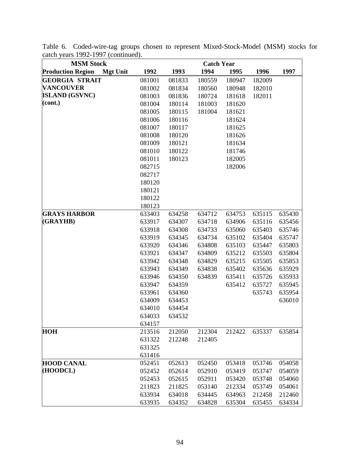| <b>MSM Stock</b>                            | <b>Catch Year</b> |        |        |        |        |        |  |
|---------------------------------------------|-------------------|--------|--------|--------|--------|--------|--|
| <b>Production Region</b><br><b>Mgt Unit</b> | 1992              | 1993   | 1994   | 1995   | 1996   | 1997   |  |
| <b>GEORGIA STRAIT</b>                       | 081001            | 081833 | 180559 | 180947 | 182009 |        |  |
| <b>VANCOUVER</b>                            | 081002            | 081834 | 180560 | 180948 | 182010 |        |  |
| <b>ISLAND (GSVNC)</b>                       | 081003            | 081836 | 180724 | 181618 | 182011 |        |  |
| $\left( \text{cont.} \right)$               | 081004            | 180114 | 181003 | 181620 |        |        |  |
|                                             | 081005            | 180115 | 181004 | 181621 |        |        |  |
|                                             | 081006            | 180116 |        | 181624 |        |        |  |
|                                             | 081007            | 180117 |        | 181625 |        |        |  |
|                                             | 081008            | 180120 |        | 181626 |        |        |  |
|                                             | 081009            | 180121 |        | 181634 |        |        |  |
|                                             | 081010            | 180122 |        | 181746 |        |        |  |
|                                             | 081011            | 180123 |        | 182005 |        |        |  |
|                                             | 082715            |        |        | 182006 |        |        |  |
|                                             | 082717            |        |        |        |        |        |  |
|                                             | 180120            |        |        |        |        |        |  |
|                                             | 180121            |        |        |        |        |        |  |
|                                             | 180122            |        |        |        |        |        |  |
|                                             | 180123            |        |        |        |        |        |  |
| <b>GRAYS HARBOR</b>                         | 633403            | 634258 | 634712 | 634753 | 635115 | 635430 |  |
| (GRAYHB)                                    | 633917            | 634307 | 634718 | 634906 | 635116 | 635456 |  |
|                                             | 633918            | 634308 | 634733 | 635060 | 635403 | 635746 |  |
|                                             | 633919            | 634345 | 634734 | 635102 | 635404 | 635747 |  |
|                                             | 633920            | 634346 | 634808 | 635103 | 635447 | 635803 |  |
|                                             | 633921            | 634347 | 634809 | 635212 | 635503 | 635804 |  |
|                                             | 633942            | 634348 | 634829 | 635215 | 635505 | 635853 |  |
|                                             | 633943            | 634349 | 634838 | 635402 | 635636 | 635929 |  |
|                                             | 633946            | 634350 | 634839 | 635411 | 635726 | 635933 |  |
|                                             | 633947            | 634359 |        | 635412 | 635727 | 635945 |  |
|                                             | 633961            | 634360 |        |        | 635743 | 635954 |  |
|                                             | 634009            | 634453 |        |        |        | 636010 |  |
|                                             | 634010            | 634454 |        |        |        |        |  |
|                                             | 634033            | 634532 |        |        |        |        |  |
|                                             | 634157            |        |        |        |        |        |  |
| <b>HOH</b>                                  | 213516            | 212050 | 212304 | 212422 | 635337 | 635854 |  |
|                                             | 631322            | 212248 | 212405 |        |        |        |  |
|                                             | 631325            |        |        |        |        |        |  |
|                                             | 631416            |        |        |        |        |        |  |
| <b>HOOD CANAL</b>                           | 052451            | 052613 | 052450 | 053418 | 053746 | 054058 |  |
| (HOODCL)                                    | 052452            | 052614 | 052910 | 053419 | 053747 | 054059 |  |
|                                             | 052453            | 052615 | 052911 | 053420 | 053748 | 054060 |  |
|                                             | 211823            | 211825 | 053140 | 212334 | 053749 | 054061 |  |
|                                             | 633934            | 634018 | 634445 | 634963 | 212458 | 212460 |  |
|                                             | 633935            | 634352 | 634828 | 635304 | 635455 | 634334 |  |

Table 6. Coded-wire-tag groups chosen to represent Mixed-Stock-Model (MSM) stocks for catch years 1992-1997 (continued).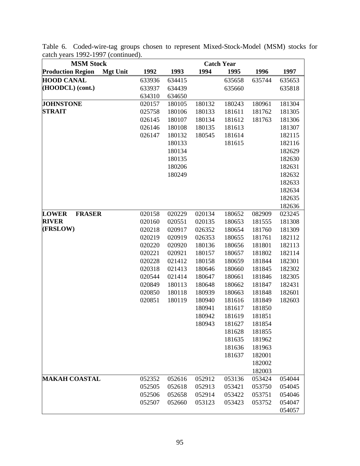| <b>MSM Stock</b>                            |                  |        |        | <b>Catch Year</b> |        |                  |
|---------------------------------------------|------------------|--------|--------|-------------------|--------|------------------|
| <b>Production Region</b><br><b>Mgt Unit</b> | 1992             | 1993   | 1994   | 1995              | 1996   | 1997             |
| <b>HOOD CANAL</b>                           | 633936           | 634415 |        | 635658            | 635744 | 635653           |
| (HOODCL) (cont.)                            | 633937           | 634439 |        | 635660            |        | 635818           |
|                                             | 634310           | 634650 |        |                   |        |                  |
| <b>JOHNSTONE</b>                            | 020157           | 180105 | 180132 | 180243            | 180961 | 181304           |
| <b>STRAIT</b>                               | 025758           | 180106 | 180133 | 181611            | 181762 | 181305           |
|                                             | 026145           | 180107 | 180134 | 181612            | 181763 | 181306           |
|                                             | 026146           | 180108 | 180135 | 181613            |        | 181307           |
|                                             | 026147           | 180132 | 180545 | 181614            |        | 182115           |
|                                             |                  | 180133 |        | 181615            |        | 182116           |
|                                             |                  | 180134 |        |                   |        | 182629           |
|                                             |                  | 180135 |        |                   |        | 182630           |
|                                             |                  | 180206 |        |                   |        | 182631           |
|                                             |                  | 180249 |        |                   |        | 182632           |
|                                             |                  |        |        |                   |        | 182633           |
|                                             |                  |        |        |                   |        | 182634           |
|                                             |                  |        |        |                   |        | 182635           |
|                                             |                  |        |        |                   |        | 182636           |
| <b>FRASER</b><br><b>LOWER</b>               | 020158           | 020229 | 020134 | 180652            | 082909 | 023245           |
| <b>RIVER</b>                                | 020160           | 020551 | 020135 | 180653            | 181555 | 181308           |
| (FRSLOW)                                    | 020218           | 020917 | 026352 | 180654            | 181760 | 181309           |
|                                             | 020219           | 020919 | 026353 | 180655            | 181761 | 182112           |
|                                             | 020220           | 020920 | 180136 | 180656            | 181801 | 182113           |
|                                             | 020221           | 020921 | 180157 | 180657            | 181802 | 182114           |
|                                             | 020228           | 021412 | 180158 | 180659            | 181844 | 182301           |
|                                             | 020318           | 021413 | 180646 | 180660            | 181845 | 182302           |
|                                             | 020544           | 021414 | 180647 | 180661            | 181846 | 182305           |
|                                             | 020849           | 180113 | 180648 | 180662            | 181847 | 182431           |
|                                             | 020850           | 180118 | 180939 | 180663            | 181848 | 182601           |
|                                             | 020851           | 180119 | 180940 | 181616            | 181849 | 182603           |
|                                             |                  |        | 180941 | 181617            | 181850 |                  |
|                                             |                  |        | 180942 | 181619            | 181851 |                  |
|                                             |                  |        | 180943 | 181627            | 181854 |                  |
|                                             |                  |        |        | 181628            | 181855 |                  |
|                                             |                  |        |        | 181635            | 181962 |                  |
|                                             |                  |        |        | 181636            | 181963 |                  |
|                                             |                  |        |        | 181637            | 182001 |                  |
|                                             |                  |        |        |                   | 182002 |                  |
| <b>MAKAH COASTAL</b>                        |                  |        |        |                   | 182003 |                  |
|                                             | 052352<br>052505 | 052616 | 052912 | 053136<br>053421  | 053424 | 054044<br>054045 |
|                                             |                  | 052618 | 052913 |                   | 053750 |                  |
|                                             | 052506           | 052658 | 052914 | 053422            | 053751 | 054046           |
|                                             | 052507           | 052660 | 053123 | 053423            | 053752 | 054047           |
|                                             |                  |        |        |                   |        | 054057           |

Table 6. Coded-wire-tag groups chosen to represent Mixed-Stock-Model (MSM) stocks for catch years 1992-1997 (continued).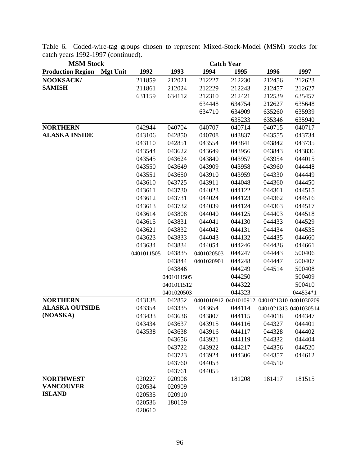| <b>MSM Stock</b>                            | <b>Catch Year</b> |            |            |                                             |        |                       |
|---------------------------------------------|-------------------|------------|------------|---------------------------------------------|--------|-----------------------|
| <b>Production Region</b><br><b>Mgt Unit</b> | 1992              | 1993       | 1994       | 1995                                        | 1996   | 1997                  |
| <b>NOOKSACK/</b>                            | 211859            | 212021     | 212227     | 212230                                      | 212456 | 212623                |
| <b>SAMISH</b>                               | 211861            | 212024     | 212229     | 212243                                      | 212457 | 212627                |
|                                             | 631159            | 634112     | 212310     | 212421                                      | 212539 | 635457                |
|                                             |                   |            | 634448     | 634754                                      | 212627 | 635648                |
|                                             |                   |            | 634710     | 634909                                      | 635260 | 635939                |
|                                             |                   |            |            | 635233                                      | 635346 | 635940                |
| <b>NORTHERN</b>                             | 042944            | 040704     | 040707     | 040714                                      | 040715 | 040717                |
| <b>ALASKA INSIDE</b>                        | 043106            | 042850     | 040708     | 043837                                      | 043555 | 043734                |
|                                             | 043110            | 042851     | 043554     | 043841                                      | 043842 | 043735                |
|                                             | 043544            | 043622     | 043649     | 043956                                      | 043843 | 043836                |
|                                             | 043545            | 043624     | 043840     | 043957                                      | 043954 | 044015                |
|                                             | 043550            | 043649     | 043909     | 043958                                      | 043960 | 044448                |
|                                             | 043551            | 043650     | 043910     | 043959                                      | 044330 | 044449                |
|                                             | 043610            | 043725     | 043911     | 044048                                      | 044360 | 044450                |
|                                             | 043611            | 043730     | 044023     | 044122                                      | 044361 | 044515                |
|                                             | 043612            | 043731     | 044024     | 044123                                      | 044362 | 044516                |
|                                             | 043613            | 043732     | 044039     | 044124                                      | 044363 | 044517                |
|                                             | 043614            | 043808     | 044040     | 044125                                      | 044403 | 044518                |
|                                             | 043615            | 043831     | 044041     | 044130                                      | 044433 | 044529                |
|                                             | 043621            | 043832     | 044042     | 044131                                      | 044434 | 044535                |
|                                             | 043623            | 043833     | 044043     | 044132                                      | 044435 | 044660                |
|                                             | 043634            | 043834     | 044054     | 044246                                      | 044436 | 044661                |
|                                             | 0401011505        | 043835     | 0401020503 | 044247                                      | 044443 | 500406                |
|                                             |                   | 043844     | 0401020901 | 044248                                      | 044447 | 500407                |
|                                             |                   | 043846     |            | 044249                                      | 044514 | 500408                |
|                                             |                   | 0401011505 |            | 044250                                      |        | 500409                |
|                                             |                   | 0401011512 |            | 044322                                      |        | 500410                |
|                                             |                   | 0401020503 |            | 044323                                      |        | 044534*1              |
| <b>NORTHERN</b>                             | 043138            | 042852     |            | 0401010912 0401010912 0401021310 0401030209 |        |                       |
| <b>ALASKA OUTSIDE</b>                       | 043354            | 043335     | 043654     | 044114                                      |        | 0401021313 0401030514 |
| (NOASKA)                                    | 043433            | 043636     | 043807     | 044115                                      | 044018 | 044347                |
|                                             | 043434            | 043637     | 043915     | 044116                                      | 044327 | 044401                |
|                                             | 043538            | 043638     | 043916     | 044117                                      | 044328 | 044402                |
|                                             |                   | 043656     | 043921     | 044119                                      | 044332 | 044404                |
|                                             |                   | 043722     | 043922     | 044217                                      | 044356 | 044520                |
|                                             |                   | 043723     | 043924     | 044306                                      | 044357 | 044612                |
|                                             |                   | 043760     | 044053     |                                             | 044510 |                       |
|                                             |                   | 043761     | 044055     |                                             |        |                       |
| <b>NORTHWEST</b>                            | 020227            | 020908     |            | 181208                                      | 181417 | 181515                |
| <b>VANCOUVER</b>                            | 020534            | 020909     |            |                                             |        |                       |
| <b>ISLAND</b>                               | 020535            | 020910     |            |                                             |        |                       |
|                                             | 020536            | 180159     |            |                                             |        |                       |
|                                             | 020610            |            |            |                                             |        |                       |

Table 6. Coded-wire-tag groups chosen to represent Mixed-Stock-Model (MSM) stocks for catch years 1992-1997 (continued).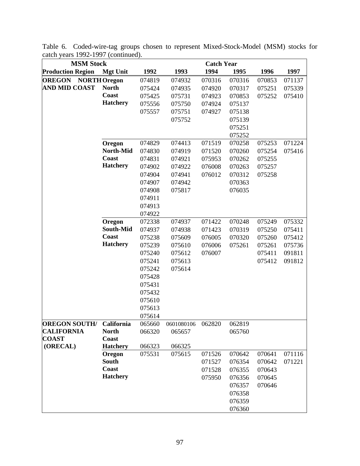| <b>MSM Stock</b>                  | <b>Catch Year</b>     |        |            |        |        |        |        |  |  |
|-----------------------------------|-----------------------|--------|------------|--------|--------|--------|--------|--|--|
| <b>Production Region</b>          | <b>Mgt Unit</b>       | 1992   | 1993       | 1994   | 1995   | 1996   | 1997   |  |  |
| <b>OREGON</b>                     | <b>NORTH Oregon</b>   | 074819 | 074932     | 070316 | 070316 | 070853 | 071137 |  |  |
| <b>AND MID COAST</b>              | <b>North</b>          | 075424 | 074935     | 074920 | 070317 | 075251 | 075339 |  |  |
|                                   | Coast                 | 075425 | 075731     | 074923 | 070853 | 075252 | 075410 |  |  |
|                                   | <b>Hatchery</b>       | 075556 | 075750     | 074924 | 075137 |        |        |  |  |
|                                   |                       | 075557 | 075751     | 074927 | 075138 |        |        |  |  |
|                                   |                       |        | 075752     |        | 075139 |        |        |  |  |
|                                   |                       |        |            |        | 075251 |        |        |  |  |
|                                   |                       |        |            |        | 075252 |        |        |  |  |
|                                   | Oregon                | 074829 | 074413     | 071519 | 070258 | 075253 | 071224 |  |  |
|                                   | North-Mid             | 074830 | 074919     | 071520 | 070260 | 075254 | 075416 |  |  |
|                                   | Coast                 | 074831 | 074921     | 075953 | 070262 | 075255 |        |  |  |
|                                   | <b>Hatchery</b>       | 074902 | 074922     | 076008 | 070263 | 075257 |        |  |  |
|                                   |                       | 074904 | 074941     | 076012 | 070312 | 075258 |        |  |  |
|                                   |                       | 074907 | 074942     |        | 070363 |        |        |  |  |
|                                   |                       | 074908 | 075817     |        | 076035 |        |        |  |  |
|                                   |                       | 074911 |            |        |        |        |        |  |  |
|                                   |                       | 074913 |            |        |        |        |        |  |  |
|                                   |                       | 074922 |            |        |        |        |        |  |  |
|                                   | Oregon                | 072338 | 074937     | 071422 | 070248 | 075249 | 075332 |  |  |
|                                   | South-Mid             | 074937 | 074938     | 071423 | 070319 | 075250 | 075411 |  |  |
|                                   | Coast                 | 075238 | 075609     | 076005 | 070320 | 075260 | 075412 |  |  |
|                                   | <b>Hatchery</b>       | 075239 | 075610     | 076006 | 075261 | 075261 | 075736 |  |  |
|                                   |                       | 075240 | 075612     | 076007 |        | 075411 | 091811 |  |  |
|                                   |                       | 075241 | 075613     |        |        | 075412 | 091812 |  |  |
|                                   |                       | 075242 | 075614     |        |        |        |        |  |  |
|                                   |                       | 075428 |            |        |        |        |        |  |  |
|                                   |                       | 075431 |            |        |        |        |        |  |  |
|                                   |                       | 075432 |            |        |        |        |        |  |  |
|                                   |                       | 075610 |            |        |        |        |        |  |  |
|                                   |                       | 075613 |            |        |        |        |        |  |  |
|                                   |                       | 075614 |            |        |        |        |        |  |  |
| <b>OREGON SOUTH/</b>              | California            | 065660 | 0601080106 | 062820 | 062819 |        |        |  |  |
| <b>CALIFORNIA</b><br><b>COAST</b> | <b>North</b><br>Coast | 066320 | 065657     |        | 065760 |        |        |  |  |
| (ORECAL)                          | <b>Hatchery</b>       | 066323 | 066325     |        |        |        |        |  |  |
|                                   | Oregon                | 075531 | 075615     | 071526 | 070642 | 070641 | 071116 |  |  |
|                                   | <b>South</b>          |        |            | 071527 | 076354 | 070642 | 071221 |  |  |
|                                   | Coast                 |        |            | 071528 | 076355 | 070643 |        |  |  |
|                                   | <b>Hatchery</b>       |        |            | 075950 | 076356 | 070645 |        |  |  |
|                                   |                       |        |            |        | 076357 | 070646 |        |  |  |
|                                   |                       |        |            |        | 076358 |        |        |  |  |
|                                   |                       |        |            |        | 076359 |        |        |  |  |
|                                   |                       |        |            |        | 076360 |        |        |  |  |
|                                   |                       |        |            |        |        |        |        |  |  |

Table 6. Coded-wire-tag groups chosen to represent Mixed-Stock-Model (MSM) stocks for catch years 1992-1997 (continued).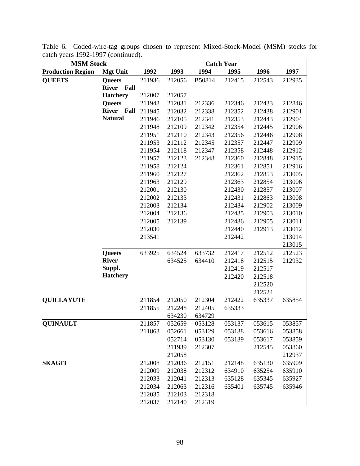| <b>MSM Stock</b>         |                      | <b>Catch Year</b> |        |        |        |        |        |  |  |
|--------------------------|----------------------|-------------------|--------|--------|--------|--------|--------|--|--|
| <b>Production Region</b> | <b>Mgt Unit</b>      | 1992              | 1993   | 1994   | 1995   | 1996   | 1997   |  |  |
| <b>QUEETS</b>            | <b>Queets</b>        | 211936            | 212056 | B50814 | 212415 | 212543 | 212935 |  |  |
|                          | <b>River</b><br>Fall |                   |        |        |        |        |        |  |  |
|                          | <b>Hatchery</b>      | 212007            | 212057 |        |        |        |        |  |  |
|                          | <b>Queets</b>        | 211943            | 212031 | 212336 | 212346 | 212433 | 212846 |  |  |
|                          | <b>River</b><br>Fall | 211945            | 212032 | 212338 | 212352 | 212438 | 212901 |  |  |
|                          | <b>Natural</b>       | 211946            | 212105 | 212341 | 212353 | 212443 | 212904 |  |  |
|                          |                      | 211948            | 212109 | 212342 | 212354 | 212445 | 212906 |  |  |
|                          |                      | 211951            | 212110 | 212343 | 212356 | 212446 | 212908 |  |  |
|                          |                      | 211953            | 212112 | 212345 | 212357 | 212447 | 212909 |  |  |
|                          |                      | 211954            | 212118 | 212347 | 212358 | 212448 | 212912 |  |  |
|                          |                      | 211957            | 212123 | 212348 | 212360 | 212848 | 212915 |  |  |
|                          |                      | 211958            | 212124 |        | 212361 | 212851 | 212916 |  |  |
|                          |                      | 211960            | 212127 |        | 212362 | 212853 | 213005 |  |  |
|                          |                      | 211963            | 212129 |        | 212363 | 212854 | 213006 |  |  |
|                          |                      | 212001            | 212130 |        | 212430 | 212857 | 213007 |  |  |
|                          |                      | 212002            | 212133 |        | 212431 | 212863 | 213008 |  |  |
|                          |                      | 212003            | 212134 |        | 212434 | 212902 | 213009 |  |  |
|                          |                      | 212004            | 212136 |        | 212435 | 212903 | 213010 |  |  |
|                          |                      | 212005            | 212139 |        | 212436 | 212905 | 213011 |  |  |
|                          |                      | 212030            |        |        | 212440 | 212913 | 213012 |  |  |
|                          |                      | 213541            |        |        | 212442 |        | 213014 |  |  |
|                          |                      |                   |        |        |        |        | 213015 |  |  |
|                          | <b>Queets</b>        | 633925            | 634524 | 633732 | 212417 | 212512 | 212523 |  |  |
|                          | <b>River</b>         |                   | 634525 | 634410 | 212418 | 212515 | 212932 |  |  |
|                          | Suppl.               |                   |        |        | 212419 | 212517 |        |  |  |
|                          | <b>Hatchery</b>      |                   |        |        | 212420 | 212518 |        |  |  |
|                          |                      |                   |        |        |        | 212520 |        |  |  |
|                          |                      |                   |        |        |        | 212524 |        |  |  |
| <b>QUILLAYUTE</b>        |                      | 211854            | 212050 | 212304 | 212422 | 635337 | 635854 |  |  |
|                          |                      | 211855            | 212248 | 212405 | 635333 |        |        |  |  |
|                          |                      |                   | 634230 | 634729 |        |        |        |  |  |
| <b>QUINAULT</b>          |                      | 211857            | 052659 | 053128 | 053137 | 053615 | 053857 |  |  |
|                          |                      | 211863            | 052661 | 053129 | 053138 | 053616 | 053858 |  |  |
|                          |                      |                   | 052714 | 053130 | 053139 | 053617 | 053859 |  |  |
|                          |                      |                   | 211939 | 212307 |        | 212545 | 053860 |  |  |
|                          |                      |                   | 212058 |        |        |        | 212937 |  |  |
| <b>SKAGIT</b>            |                      | 212008            | 212036 | 212151 | 212148 | 635130 | 635909 |  |  |
|                          |                      | 212009            | 212038 | 212312 | 634910 | 635254 | 635910 |  |  |
|                          |                      | 212033            | 212041 | 212313 | 635128 | 635345 | 635927 |  |  |
|                          |                      | 212034            | 212063 | 212316 | 635401 | 635745 | 635946 |  |  |
|                          |                      | 212035            | 212103 | 212318 |        |        |        |  |  |
|                          |                      | 212037            | 212140 | 212319 |        |        |        |  |  |

Table 6. Coded-wire-tag groups chosen to represent Mixed-Stock-Model (MSM) stocks for catch years 1992-1997 (continued).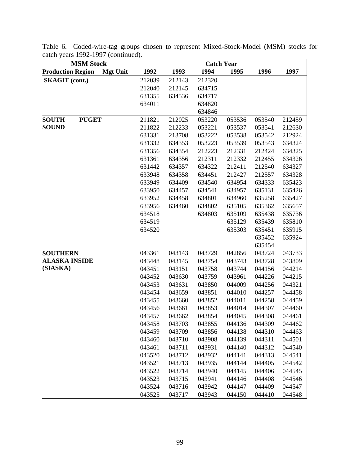| <b>MSM Stock</b>                            | <b>Catch Year</b> |        |        |        |        |        |
|---------------------------------------------|-------------------|--------|--------|--------|--------|--------|
| <b>Production Region</b><br><b>Mgt Unit</b> | 1992              | 1993   | 1994   | 1995   | 1996   | 1997   |
| <b>SKAGIT</b> (cont.)                       | 212039            | 212143 | 212320 |        |        |        |
|                                             | 212040            | 212145 | 634715 |        |        |        |
|                                             | 631355            | 634536 | 634717 |        |        |        |
|                                             | 634011            |        | 634820 |        |        |        |
|                                             |                   |        | 634846 |        |        |        |
| <b>PUGET</b><br><b>SOUTH</b>                | 211821            | 212025 | 053220 | 053536 | 053540 | 212459 |
| <b>SOUND</b>                                | 211822            | 212233 | 053221 | 053537 | 053541 | 212630 |
|                                             | 631331            | 213708 | 053222 | 053538 | 053542 | 212924 |
|                                             | 631332            | 634353 | 053223 | 053539 | 053543 | 634324 |
|                                             | 631356            | 634354 | 212223 | 212331 | 212424 | 634325 |
|                                             | 631361            | 634356 | 212311 | 212332 | 212455 | 634326 |
|                                             | 631442            | 634357 | 634322 | 212411 | 212540 | 634327 |
|                                             | 633948            | 634358 | 634451 | 212427 | 212557 | 634328 |
|                                             | 633949            | 634409 | 634540 | 634954 | 634333 | 635423 |
|                                             | 633950            | 634457 | 634541 | 634957 | 635131 | 635426 |
|                                             | 633952            | 634458 | 634801 | 634960 | 635258 | 635427 |
|                                             | 633956            | 634460 | 634802 | 635105 | 635362 | 635657 |
|                                             | 634518            |        | 634803 | 635109 | 635438 | 635736 |
|                                             | 634519            |        |        | 635129 | 635439 | 635810 |
|                                             | 634520            |        |        | 635303 | 635451 | 635915 |
|                                             |                   |        |        |        | 635452 | 635924 |
|                                             |                   |        |        |        | 635454 |        |
| <b>SOUTHERN</b>                             | 043361            | 043143 | 043729 | 042856 | 043724 | 043733 |
| <b>ALASKA INSIDE</b>                        | 043448            | 043145 | 043754 | 043743 | 043728 | 043809 |
| (SIASKA)                                    | 043451            | 043151 | 043758 | 043744 | 044156 | 044214 |
|                                             | 043452            | 043630 | 043759 | 043961 | 044226 | 044215 |
|                                             | 043453            | 043631 | 043850 | 044009 | 044256 | 044321 |
|                                             | 043454            | 043659 | 043851 | 044010 | 044257 | 044458 |
|                                             | 043455            | 043660 | 043852 | 044011 | 044258 | 044459 |
|                                             | 043456            | 043661 | 043853 | 044014 | 044307 | 044460 |
|                                             | 043457            | 043662 | 043854 | 044045 | 044308 | 044461 |
|                                             | 043458            | 043703 | 043855 | 044136 | 044309 | 044462 |
|                                             | 043459            | 043709 | 043856 | 044138 | 044310 | 044463 |
|                                             | 043460            | 043710 | 043908 | 044139 | 044311 | 044501 |
|                                             | 043461            | 043711 | 043931 | 044140 | 044312 | 044540 |
|                                             | 043520            | 043712 | 043932 | 044141 | 044313 | 044541 |
|                                             | 043521            | 043713 | 043935 | 044144 | 044405 | 044542 |
|                                             | 043522            | 043714 | 043940 | 044145 | 044406 | 044545 |
|                                             | 043523            | 043715 | 043941 | 044146 | 044408 | 044546 |
|                                             | 043524            | 043716 | 043942 | 044147 | 044409 | 044547 |
|                                             | 043525            | 043717 | 043943 | 044150 | 044410 | 044548 |

Table 6. Coded-wire-tag groups chosen to represent Mixed-Stock-Model (MSM) stocks for catch years 1992-1997 (continued).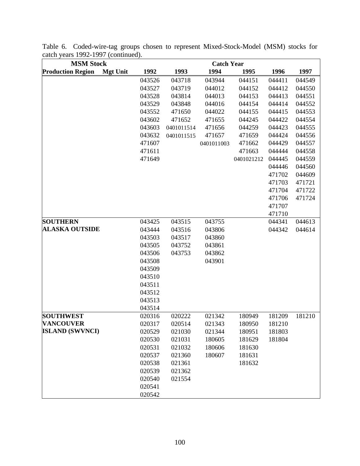| <b>MSM Stock</b>         |                 | <b>Catch Year</b> |            |            |            |        |        |
|--------------------------|-----------------|-------------------|------------|------------|------------|--------|--------|
| <b>Production Region</b> | <b>Mgt Unit</b> | 1992              | 1993       | 1994       | 1995       | 1996   | 1997   |
|                          |                 | 043526            | 043718     | 043944     | 044151     | 044411 | 044549 |
|                          |                 | 043527            | 043719     | 044012     | 044152     | 044412 | 044550 |
|                          |                 | 043528            | 043814     | 044013     | 044153     | 044413 | 044551 |
|                          |                 | 043529            | 043848     | 044016     | 044154     | 044414 | 044552 |
|                          |                 | 043552            | 471650     | 044022     | 044155     | 044415 | 044553 |
|                          |                 | 043602            | 471652     | 471655     | 044245     | 044422 | 044554 |
|                          |                 | 043603            | 0401011514 | 471656     | 044259     | 044423 | 044555 |
|                          |                 | 043632            | 0401011515 | 471657     | 471659     | 044424 | 044556 |
|                          |                 | 471607            |            | 0401011003 | 471662     | 044429 | 044557 |
|                          |                 | 471611            |            |            | 471663     | 044444 | 044558 |
|                          |                 | 471649            |            |            | 0401021212 | 044445 | 044559 |
|                          |                 |                   |            |            |            | 044446 | 044560 |
|                          |                 |                   |            |            |            | 471702 | 044609 |
|                          |                 |                   |            |            |            | 471703 | 471721 |
|                          |                 |                   |            |            |            | 471704 | 471722 |
|                          |                 |                   |            |            |            | 471706 | 471724 |
|                          |                 |                   |            |            |            | 471707 |        |
|                          |                 |                   |            |            |            | 471710 |        |
| <b>SOUTHERN</b>          |                 | 043425            | 043515     | 043755     |            | 044341 | 044613 |
| <b>ALASKA OUTSIDE</b>    |                 | 043444            | 043516     | 043806     |            | 044342 | 044614 |
|                          |                 | 043503            | 043517     | 043860     |            |        |        |
|                          |                 | 043505            | 043752     | 043861     |            |        |        |
|                          |                 | 043506            | 043753     | 043862     |            |        |        |
|                          |                 | 043508            |            | 043901     |            |        |        |
|                          |                 | 043509            |            |            |            |        |        |
|                          |                 | 043510            |            |            |            |        |        |
|                          |                 | 043511            |            |            |            |        |        |
|                          |                 | 043512            |            |            |            |        |        |
|                          |                 | 043513            |            |            |            |        |        |
|                          |                 | 043514            |            |            |            |        |        |
| <b>SOUTHWEST</b>         |                 | 020316            | 020222     | 021342     | 180949     | 181209 | 181210 |
| <b>VANCOUVER</b>         |                 | 020317            | 020514     | 021343     | 180950     | 181210 |        |
| <b>ISLAND (SWVNCI)</b>   |                 | 020529            | 021030     | 021344     | 180951     | 181803 |        |
|                          |                 | 020530            | 021031     | 180605     | 181629     | 181804 |        |
|                          |                 | 020531            | 021032     | 180606     | 181630     |        |        |
|                          |                 | 020537            | 021360     | 180607     | 181631     |        |        |
|                          |                 | 020538            | 021361     |            | 181632     |        |        |
|                          |                 | 020539            | 021362     |            |            |        |        |
|                          |                 | 020540            | 021554     |            |            |        |        |
|                          |                 | 020541            |            |            |            |        |        |
|                          |                 | 020542            |            |            |            |        |        |

Table 6. Coded-wire-tag groups chosen to represent Mixed-Stock-Model (MSM) stocks for catch years 1992-1997 (continued).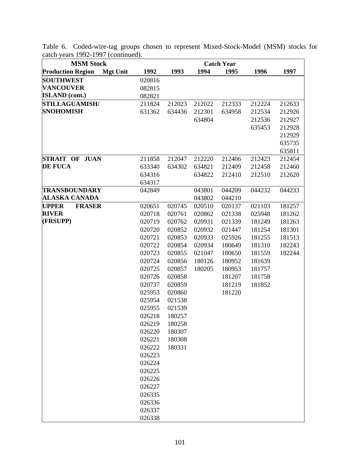| <b>MSM Stock</b>              |                 |        |        |        | <b>Catch Year</b> |        |        |
|-------------------------------|-----------------|--------|--------|--------|-------------------|--------|--------|
| <b>Production Region</b>      | <b>Mgt Unit</b> | 1992   | 1993   | 1994   | 1995              | 1996   | 1997   |
| <b>SOUTHWEST</b>              |                 | 020816 |        |        |                   |        |        |
| <b>VANCOUVER</b>              |                 | 082815 |        |        |                   |        |        |
| <b>ISLAND</b> (cont.)         |                 | 082821 |        |        |                   |        |        |
| <b>STILLAGUAMISH/</b>         |                 | 211824 | 212023 | 212022 | 212333            | 212224 | 212633 |
| <b>SNOHOMISH</b>              |                 | 631362 | 634436 | 212301 | 634958            | 212534 | 212926 |
|                               |                 |        |        | 634804 |                   | 212536 | 212927 |
|                               |                 |        |        |        |                   | 635453 | 212928 |
|                               |                 |        |        |        |                   |        | 212929 |
|                               |                 |        |        |        |                   |        | 635735 |
|                               |                 |        |        |        |                   |        | 635811 |
| <b>STRAIT OF JUAN</b>         |                 | 211858 | 212047 | 212220 | 212406            | 212423 | 212454 |
| <b>DE FUCA</b>                |                 | 633340 | 634302 | 634821 | 212409            | 212458 | 212460 |
|                               |                 | 634316 |        | 634822 | 212410            | 212510 | 212620 |
|                               |                 | 634317 |        |        |                   |        |        |
| <b>TRANSBOUNDARY</b>          |                 | 042849 |        | 043801 | 044209            | 044232 | 044233 |
| <b>ALASKA CANADA</b>          |                 |        |        | 043802 | 044210            |        |        |
| <b>UPPER</b><br><b>FRASER</b> |                 | 020651 | 020745 | 020510 | 020137            | 021103 | 181257 |
| <b>RIVER</b>                  |                 | 020718 | 020761 | 020862 | 021338            | 025948 | 181262 |
| (FRSUPP)                      |                 | 020719 | 020762 | 020931 | 021339            | 181249 | 181263 |
|                               |                 | 020720 | 020852 | 020932 | 021447            | 181254 | 181301 |
|                               |                 | 020721 | 020853 | 020933 | 025926            | 181255 | 181513 |
|                               |                 | 020722 | 020854 | 020934 | 180649            | 181310 | 182243 |
|                               |                 | 020723 | 020855 | 021047 | 180650            | 181559 | 182244 |
|                               |                 | 020724 | 020856 | 180126 | 180952            | 181639 |        |
|                               |                 | 020725 | 020857 | 180205 | 180953            | 181757 |        |
|                               |                 | 020726 | 020858 |        | 181207            | 181758 |        |
|                               |                 | 020737 | 020859 |        | 181219            | 181852 |        |
|                               |                 | 025953 | 020860 |        | 181220            |        |        |
|                               |                 | 025954 | 021538 |        |                   |        |        |
|                               |                 | 025955 | 021539 |        |                   |        |        |
|                               |                 | 026218 | 180257 |        |                   |        |        |
|                               |                 | 026219 | 180258 |        |                   |        |        |
|                               |                 | 026220 | 180307 |        |                   |        |        |
|                               |                 | 026221 | 180308 |        |                   |        |        |
|                               |                 | 026222 | 180331 |        |                   |        |        |
|                               |                 | 026223 |        |        |                   |        |        |
|                               |                 | 026224 |        |        |                   |        |        |
|                               |                 | 026225 |        |        |                   |        |        |
|                               |                 | 026226 |        |        |                   |        |        |
|                               |                 | 026227 |        |        |                   |        |        |
|                               |                 | 026335 |        |        |                   |        |        |
|                               |                 | 026336 |        |        |                   |        |        |
|                               |                 | 026337 |        |        |                   |        |        |
|                               |                 | 026338 |        |        |                   |        |        |

Table 6. Coded-wire-tag groups chosen to represent Mixed-Stock-Model (MSM) stocks for catch years 1992-1997 (continued).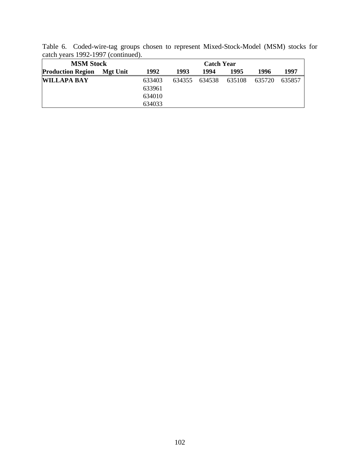| catch years 1992-1997 (continued). |          |        |        |        |        |        |        |
|------------------------------------|----------|--------|--------|--------|--------|--------|--------|
| <b>MSM Stock</b>                   |          |        |        |        |        |        |        |
| <b>Production Region</b>           | Mgt Unit | 1992   | 1993   | 1994   | 1995   | 1996   | 1997   |
| <b>WILLAPA BAY</b>                 |          | 633403 | 634355 | 634538 | 635108 | 635720 | 635857 |
|                                    |          | 633961 |        |        |        |        |        |
|                                    |          | 634010 |        |        |        |        |        |
|                                    |          | 634033 |        |        |        |        |        |

Table 6. Coded-wire-tag groups chosen to represent Mixed-Stock-Model (MSM) stocks for catch years 1992-1997 (continued).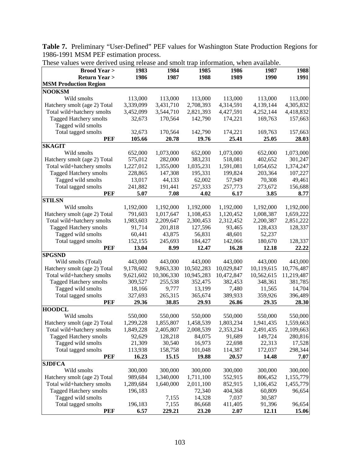**Table 7.** Preliminary "User-Defined" PEF values for Washington State Production Regions for 1986-1991 MSM PEF estimation process.

| <b>Brood Year &gt;</b>        | 1983      | 1984                   | 1985       | 1986       | 1987       | 1988       |
|-------------------------------|-----------|------------------------|------------|------------|------------|------------|
| <b>Return Year &gt;</b>       | 1986      | 1987                   | 1988       | 1989       | 1990       | 1991       |
| <b>MSM Production Region</b>  |           |                        |            |            |            |            |
| <b>NOOKSM</b>                 |           |                        |            |            |            |            |
| Wild smolts                   | 113,000   | 113,000                | 113,000    | 113,000    | 113,000    | 113,000    |
| Hatchery smolt (age 2) Total  | 3,339,099 | 3,431,710              | 2,708,393  | 4,314,591  | 4,139,144  | 4,305,832  |
| Total wild+hatchery smolts    | 3,452,099 | 3,544,710              | 2,821,393  | 4,427,591  | 4,252,144  | 4,418,832  |
| <b>Tagged Hatchery smolts</b> | 32,673    | 170,564                | 142,790    | 174,221    | 169,763    | 157,663    |
| Tagged wild smolts            |           |                        |            |            |            |            |
| Total tagged smolts           | 32,673    | 170,564                | 142,790    | 174,221    | 169,763    | 157,663    |
| <b>PEF</b>                    | 105.66    | 20.78                  | 19.76      | 25.41      | 25.05      | 28.03      |
| <b>SKAGIT</b>                 |           |                        |            |            |            |            |
| Wild smolts                   | 652,000   | 1,073,000              | 652,000    | 1,073,000  | 652,000    | 1,073,000  |
| Hatchery smolt (age 2) Total  | 575,012   | 282,000                | 383,231    | 518,081    | 402,652    | 301,247    |
| Total wild+hatchery smolts    | 1,227,012 | 1,355,000              | 1,035,231  | 1,591,081  | 1,054,652  | 1,374,247  |
| Tagged Hatchery smolts        | 228,865   | 147,308                | 195,331    | 199,824    | 203,364    | 107,227    |
| Tagged wild smolts            | 13,017    | 44,133                 | 62,002     | 57,949     | 70,308     | 49,461     |
| Total tagged smolts           | 241,882   | 191,441                | 257,333    | 257,773    | 273,672    | 156,688    |
| <b>PEF</b>                    | 5.07      | 7.08                   | 4.02       | 6.17       | 3.85       | 8.77       |
| <b>STILSN</b>                 |           |                        |            |            |            |            |
| Wild smolts                   |           |                        |            |            |            |            |
| Hatchery smolt (age 2) Total  | 1,192,000 | 1,192,000<br>1,017,647 | 1,192,000  | 1,192,000  | 1,192,000  | 1,192,000  |
|                               | 791,603   |                        | 1,108,453  | 1,120,452  | 1,008,387  | 1,659,222  |
| Total wild+hatchery smolts    | 1,983,603 | 2,209,647              | 2,300,453  | 2,312,452  | 2,200,387  | 2,851,222  |
| Tagged Hatchery smolts        | 91,714    | 201,818                | 127,596    | 93,465     | 128,433    | 128,337    |
| Tagged wild smolts            | 60,441    | 43,875                 | 56,831     | 48,601     | 52,237     |            |
| Total tagged smolts           | 152,155   | 245,693                | 184,427    | 142,066    | 180,670    | 128,337    |
| <b>PEF</b>                    | 13.04     | 8.99                   | 12.47      | 16.28      | 12.18      | 22.22      |
| <b>SPGSND</b>                 |           |                        |            |            |            |            |
| Wild smolts (Total)           | 443,000   | 443,000                | 443,000    | 443,000    | 443,000    | 443,000    |
| Hatchery smolt (age 2) Total  | 9,178,602 | 9,863,330              | 10,502,283 | 10,029,847 | 10,119,615 | 10,776,487 |
| Total wild+hatchery smolts    | 9,621,602 | 10,306,330             | 10,945,283 | 10,472,847 | 10,562,615 | 11,219,487 |
| Tagged Hatchery smolts        | 309,527   | 255,538                | 352,475    | 382,453    | 348,361    | 381,785    |
| Tagged wild smolts            | 18,166    | 9,777                  | 13,199     | 7,480      | 11,565     | 14,704     |
| Total tagged smolts           | 327,693   | 265,315                | 365,674    | 389,933    | 359,926    | 396,489    |
| PEF                           | 29.36     | 38.85                  | 29.93      | 26.86      | 29.35      | 28.30      |
| <b>HOODCL</b>                 |           |                        |            |            |            |            |
| Wild smolts                   | 550,000   | 550,000                | 550,000    | 550,000    | 550,000    | 550,000    |
| Hatchery smolt (age 2) Total  | 1,299,228 | 1,855,807              | 1,458,539  | 1,803,234  | 1,941,435  | 1,559,663  |
| Total wild+hatchery smolts    | 1,849,228 | 2,405,807              | 2,008,539  | 2,353,234  | 2,491,435  | 2,109,663  |
| Tagged Hatchery smolts        | 92,629    | 128,218                | 84,075     | 91,689     | 149,724    | 280,816    |
| Tagged wild smolts            | 21,309    | 30,540                 | 16,973     | 22,698     | 22,313     | 17,528     |
| Total tagged smolts           | 113,938   | 158,758                | 101,048    | 114,387    | 172,037    | 298,344    |
| <b>PEF</b>                    | 16.23     | 15.15                  | 19.88      | 20.57      | 14.48      | 7.07       |
| <b>SJDFCA</b>                 |           |                        |            |            |            |            |
| Wild smolts                   | 300,000   | 300,000                | 300,000    | 300,000    | 300,000    | 300,000    |
| Hatchery smolt (age 2) Total  | 989,684   | 1,340,000              | 1,711,100  | 552,915    | 806,452    | 1,155,779  |
|                               |           |                        |            | 852,915    |            | 1,455,779  |
| Total wild+hatchery smolts    | 1,289,684 | 1,640,000              | 2,011,100  |            | 1,106,452  |            |
| Tagged Hatchery smolts        | 196,183   |                        | 72,340     | 404,368    | 60,809     | 96,654     |
| Tagged wild smolts            |           | 7,155                  | 14,328     | 7,037      | 30,587     |            |
| Total tagged smolts           | 196,183   | 7,155                  | 86,668     | 411,405    | 91,396     | 96,654     |
| <b>PEF</b>                    | 6.57      | 229.21                 | 23.20      | 2.07       | 12.11      | 15.06      |

These values were derived using release and smolt trap information, when available.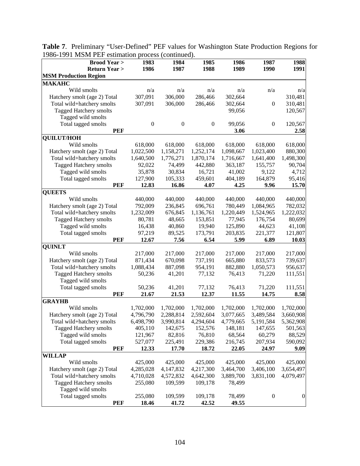| $1221$ month $1 \text{ H}$ communion process (<br><b>Brood Year &gt;</b> | 1983             | $v$ <sub>u</sub><br>1984 | 1985             | 1986      | 1987             | 1988             |
|--------------------------------------------------------------------------|------------------|--------------------------|------------------|-----------|------------------|------------------|
| <b>Return Year &gt;</b>                                                  | 1986             | 1987                     | 1988             | 1989      | 1990             | 1991             |
| <b>MSM Production Region</b>                                             |                  |                          |                  |           |                  |                  |
| <b>МАКАНС</b>                                                            |                  |                          |                  |           |                  |                  |
| Wild smolts                                                              | n/a              | n/a                      | n/a              | n/a       | n/a              | n/a              |
| Hatchery smolt (age 2) Total                                             | 307,091          | 306,000                  | 286,466          | 302,664   |                  | 310,481          |
| Total wild+hatchery smolts                                               | 307,091          | 306,000                  | 286,466          | 302,664   | $\boldsymbol{0}$ | 310,481          |
| <b>Tagged Hatchery smolts</b>                                            |                  |                          |                  | 99,056    |                  | 120,567          |
| Tagged wild smolts                                                       |                  |                          |                  |           |                  |                  |
| Total tagged smolts                                                      | $\boldsymbol{0}$ | $\boldsymbol{0}$         | $\boldsymbol{0}$ | 99,056    | $\boldsymbol{0}$ | 120,567          |
| <b>PEF</b>                                                               |                  |                          |                  | 3.06      |                  | 2.58             |
| <b>QUILUT/HOH</b>                                                        |                  |                          |                  |           |                  |                  |
| Wild smolts                                                              | 618,000          | 618,000                  | 618,000          | 618,000   | 618,000          | 618,000          |
| Hatchery smolt (age 2) Total                                             | 1,022,500        | 1,158,271                | 1,252,174        | 1,098,667 | 1,023,400        | 880,300          |
| Total wild+hatchery smolts                                               | 1,640,500        | 1,776,271                | 1,870,174        | 1,716,667 | 1,641,400        | 1,498,300        |
| Tagged Hatchery smolts                                                   | 92,022           | 74,499                   | 442,880          | 363,187   | 155,757          | 90,704           |
| Tagged wild smolts                                                       | 35,878           | 30,834                   | 16,721           | 41,002    | 9,122            | 4,712            |
| Total tagged smolts                                                      | 127,900          | 105,333                  | 459,601          | 404,189   | 164,879          | 95,416           |
| <b>PEF</b>                                                               | 12.83            | 16.86                    | 4.07             | 4.25      | 9.96             | 15.70            |
| <b>QUEETS</b>                                                            |                  |                          |                  |           |                  |                  |
| Wild smolts                                                              | 440,000          | 440,000                  | 440,000          | 440,000   | 440,000          | 440,000          |
| Hatchery smolt (age 2) Total                                             | 792,009          | 236,845                  | 696,761          | 780,449   | 1,084,965        | 782,032          |
| Total wild+hatchery smolts                                               | 1,232,009        | 676,845                  | 1,136,761        | 1,220,449 | 1,524,965        | 1,222,032        |
| Tagged Hatchery smolts                                                   | 80,781           | 48,665                   | 153,851          | 77,945    | 176,754          | 80,699           |
| Tagged wild smolts                                                       | 16,438           | 40,860                   | 19,940           | 125,890   | 44,623           | 41,108           |
| Total tagged smolts                                                      | 97,219           | 89,525                   | 173,791          | 203,835   | 221,377          | 121,807          |
| <b>PEF</b>                                                               | 12.67            | 7.56                     | 6.54             | 5.99      | 6.89             | 10.03            |
| <b>QUINLT</b>                                                            |                  |                          |                  |           |                  |                  |
| Wild smolts                                                              | 217,000          | 217,000                  | 217,000          | 217,000   | 217,000          | 217,000          |
| Hatchery smolt (age 2) Total                                             | 871,434          | 670,098                  | 737,191          | 665,880   | 833,573          | 739,637          |
| Total wild+hatchery smolts                                               | 1,088,434        | 887,098                  | 954,191          | 882,880   | 1,050,573        | 956,637          |
| Tagged Hatchery smolts                                                   | 50,236           | 41,201                   | 77,132           | 76,413    | 71,220           | 111,551          |
| Tagged wild smolts                                                       |                  |                          |                  |           |                  |                  |
| Total tagged smolts                                                      | 50,236           | 41,201                   | 77,132           | 76,413    | 71,220           | 111,551          |
| <b>PEF</b>                                                               | 21.67            | 21.53                    | 12.37            | 11.55     | 14.75            | 8.58             |
| <b>GRAYHB</b>                                                            |                  |                          |                  |           |                  |                  |
| Wild smolts                                                              | 1,702,000        | 1,702,000                | 1,702,000        | 1,702,000 | 1,702,000        | 1,702,000        |
| Hatchery smolt (age 2) Total                                             | 4,796,790        | 2,288,814                | 2,592,604        | 3,077,665 | 3,489,584        | 3,660,908        |
| Total wild+hatchery smolts                                               | 6,498,790        | 3,990,814                | 4,294,604        | 4,779,665 | 5,191,584        | 5,362,908        |
| Tagged Hatchery smolts                                                   | 405,110          | 142,675                  | 152,576          | 148,181   | 147,655          | 501,563          |
| Tagged wild smolts                                                       | 121,967          | 82,816                   | 76,810           | 68,564    | 60,279           | 88,529           |
| Total tagged smolts                                                      | 527,077          | 225,491                  | 229,386          | 216,745   | 207,934          | 590,092          |
| <b>PEF</b>                                                               | 12.33            | 17.70                    | 18.72            | 22.05     | 24.97            | 9.09             |
| <b>WILLAP</b>                                                            |                  |                          |                  |           |                  |                  |
| Wild smolts                                                              | 425,000          | 425,000                  | 425,000          | 425,000   | 425,000          | 425,000          |
| Hatchery smolt (age 2) Total                                             | 4,285,028        | 4,147,832                | 4,217,300        | 3,464,700 | 3,406,100        | 3,654,497        |
| Total wild+hatchery smolts                                               | 4,710,028        | 4,572,832                | 4,642,300        | 3,889,700 | 3,831,100        | 4,079,497        |
| Tagged Hatchery smolts                                                   | 255,080          | 109,599                  | 109,178          | 78,499    |                  |                  |
| Tagged wild smolts                                                       |                  |                          |                  |           |                  |                  |
| Total tagged smolts                                                      | 255,080          | 109,599                  | 109,178          | 78,499    | $\boldsymbol{0}$ | $\boldsymbol{0}$ |
| <b>PEF</b>                                                               | 18.46            | 41.72                    | 42.52            | 49.55     |                  |                  |

**Table 7**. Preliminary "User-Defined" PEF values for Washington State Production Regions for 1986-1991 MSM PEF estimation process (continued).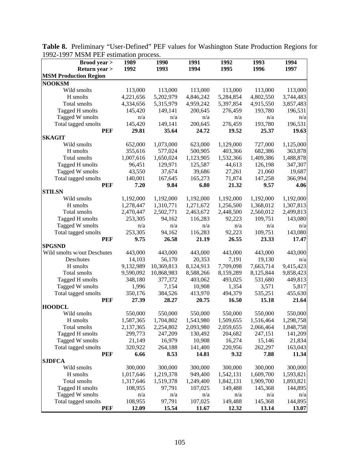| <b>Brood</b> year >          | 1989      | 1990       | 1991      | 1992      | 1993      | 1994      |
|------------------------------|-----------|------------|-----------|-----------|-----------|-----------|
| Return year >                | 1992      | 1993       | 1994      | 1995      | 1996      | 1997      |
| <b>MSM Production Region</b> |           |            |           |           |           |           |
| <b>NOOKSM</b>                |           |            |           |           |           |           |
| Wild smolts                  | 113,000   | 113,000    | 113,000   | 113,000   | 113,000   | 113,000   |
| H smolts                     | 4,221,656 | 5,202,979  | 4,846,242 | 5,284,854 | 4,802,550 | 3,744,483 |
| Total smolts                 | 4,334,656 | 5,315,979  | 4,959,242 | 5,397,854 | 4,915,550 | 3,857,483 |
| Tagged H smolts              | 145,420   | 149,141    | 200,645   | 276,459   | 193,780   | 196,531   |
| Tagged W smolts              | n/a       | n/a        | n/a       | n/a       | n/a       | n/a       |
| Total tagged smolts          | 145,420   | 149,141    | 200,645   | 276,459   | 193,780   | 196,531   |
| <b>PEF</b>                   | 29.81     | 35.64      | 24.72     | 19.52     | 25.37     | 19.63     |
| <b>SKAGIT</b>                |           |            |           |           |           |           |
| Wild smolts                  | 652,000   | 1,073,000  | 623,000   | 1,129,000 | 727,000   | 1,125,000 |
| H smolts                     | 355,616   | 577,024    | 500,905   | 403,366   | 682,386   | 363,878   |
| Total smolts                 | 1,007,616 | 1,650,024  | 1,123,905 | 1,532,366 | 1,409,386 | 1,488,878 |
| Tagged H smolts              | 96,451    | 129,971    | 125,587   | 44,613    | 126,198   | 347,307   |
| Tagged W smolts              | 43,550    | 37,674     | 39,686    | 27,261    | 21,060    | 19,687    |
| Total tagged smolts          | 140,001   | 167,645    | 165,273   | 71,874    | 147,258   | 366,994   |
| <b>PEF</b>                   | 7.20      | 9.84       | 6.80      | 21.32     | 9.57      | 4.06      |
| <b>STILSN</b>                |           |            |           |           |           |           |
| Wild smolts                  | 1,192,000 | 1,192,000  | 1,192,000 | 1,192,000 | 1,192,000 | 1,192,000 |
| H smolts                     | 1,278,447 | 1,310,771  | 1,271,672 | 1,256,500 | 1,368,012 | 1,307,813 |
| Total smolts                 | 2,470,447 | 2,502,771  | 2,463,672 | 2,448,500 | 2,560,012 | 2,499,813 |
| Tagged H smolts              | 253,305   | 94,162     | 116,283   | 92,223    | 109,751   | 143,080   |
| Tagged W smolts              | n/a       | n/a        | n/a       | n/a       | n/a       | n/a       |
| Total tagged smolts          | 253,305   | 94,162     | 116,283   | 92,223    | 109,751   | 143,080   |
| <b>PEF</b>                   | 9.75      | 26.58      | 21.19     | 26.55     | 23.33     | 17.47     |
| <b>SPGSND</b>                |           |            |           |           |           |           |
| Wild smolts w/out Deschutes  | 443,000   | 443,000    | 443,000   | 443,000   | 443,000   | 443,000   |
| Deschutes                    | 14,103    | 56,170     | 20,353    | 7,191     | 19,130    | n/a       |
| H smolts                     | 9,132,989 | 10,369,813 | 8,124,913 | 7,709,098 | 7,663,714 | 9,415,423 |
| Total smolts                 | 9,590,092 | 10,868,983 | 8,588,266 | 8,159,289 | 8,125,844 | 9,858,423 |
| Tagged H smolts              | 348,180   | 377,372    | 403,062   | 493,025   | 531,680   | 449,813   |
| Tagged W smolts              | 1,996     | 7,154      | 10,908    | 1,354     | 3,571     | 5,817     |
| Total tagged smolts          | 350,176   | 384,526    | 413,970   | 494,379   | 535,251   | 455,630   |
| <b>PEF</b>                   | 27.39     | 28.27      | 20.75     | 16.50     | 15.18     | 21.64     |
| <b>HOODCL</b>                |           |            |           |           |           |           |
| Wild smolts                  | 550,000   | 550,000    | 550,000   | 550,000   | 550,000   | 550,000   |
| H smolts                     | 1,587,365 | 1,704,802  | 1,543,980 | 1,509,655 | 1,516,464 | 1,298,758 |
| Total smolts                 | 2,137,365 | 2,254,802  | 2,093,980 | 2,059,655 | 2,066,464 | 1,848,758 |
| Tagged H smolts              | 299,773   | 247,209    | 130,492   | 204,682   | 247,151   | 141,209   |
| Tagged W smolts              | 21,149    | 16,979     | 10,908    | 16,274    | 15,146    | 21,834    |
| Total tagged smolts          | 320,922   | 264,188    | 141,400   | 220,956   | 262,297   | 163,043   |
| <b>PEF</b>                   | 6.66      | 8.53       | 14.81     | 9.32      | 7.88      | 11.34     |
| <b>SJDFCA</b>                |           |            |           |           |           |           |
| Wild smolts                  | 300,000   | 300,000    | 300,000   | 300,000   | 300,000   | 300,000   |
| H smolts                     | 1,017,646 | 1,219,378  | 949,400   | 1,542,131 | 1,609,700 | 1,593,821 |
| Total smolts                 | 1,317,646 | 1,519,378  | 1,249,400 | 1,842,131 | 1,909,700 | 1,893,821 |
| Tagged H smolts              | 108,955   | 97,791     | 107,025   | 149,488   | 145,368   | 144,895   |
| Tagged W smolts              | n/a       | n/a        | n/a       | n/a       | n/a       | n/a       |
| Total tagged smolts          | 108,955   | 97,791     | 107,025   | 149,488   | 145,368   | 144,895   |
| <b>PEF</b>                   | 12.09     | 15.54      | 11.67     | 12.32     | 13.14     | 13.07     |

**Table 8.** Preliminary "User-Defined" PEF values for Washington State Production Regions for 1992-1997 MSM PEF estimation process.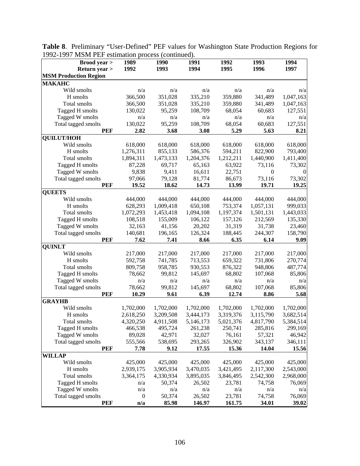| <b>Brood</b> year >          | 1989                 | 1990                 | 1991                 | 1992                 | 1993                 | 1994                 |
|------------------------------|----------------------|----------------------|----------------------|----------------------|----------------------|----------------------|
| <b>Return year &gt;</b>      | 1992                 | 1993                 | 1994                 | 1995                 | 1996                 | 1997                 |
| <b>MSM Production Region</b> |                      |                      |                      |                      |                      |                      |
| <b>МАКАНС</b>                |                      |                      |                      |                      |                      |                      |
| Wild smolts                  | n/a                  | n/a                  | n/a                  | n/a                  | n/a                  | n/a                  |
| H smolts                     | 366,500              | 351,028              | 335,210              | 359,880              | 341,489              | 1,047,163            |
| Total smolts                 | 366,500              | 351,028              | 335,210              | 359,880              | 341,489              | 1,047,163            |
| Tagged H smolts              | 130,022              | 95,259               | 108,709              | 68,054               | 60,683               | 127,551              |
| Tagged W smolts              | n/a                  | n/a                  | n/a                  | n/a                  | n/a                  | n/a                  |
| Total tagged smolts          | 130,022              | 95,259               | 108,709              | 68,054               | 60,683               | 127,551              |
| <b>PEF</b>                   | 2.82                 | 3.68                 | 3.08                 | 5.29                 | 5.63                 | 8.21                 |
| <b>QUILUT/HOH</b>            |                      |                      |                      |                      |                      |                      |
| Wild smolts                  | 618,000              | 618,000              | 618,000              | 618,000              | 618,000              | 618,000              |
| H smolts                     | 1,276,311            | 855,133              | 586,376              | 594,211              | 822,900              | 793,400              |
| Total smolts                 | 1,894,311            | 1,473,133            | 1,204,376            | 1,212,211            | 1,440,900            | 1,411,400            |
| Tagged H smolts              | 87,228               | 69,717               | 65,163               | 63,922               | 73,116               | 73,302               |
| Tagged W smolts              | 9,838                | 9,411                | 16,611               | 22,751               | $\mathbf{0}$         | $\Omega$             |
| Total tagged smolts          | 97,066               | 79,128               | 81,774               | 86,673               | 73,116               | 73,302               |
| <b>PEF</b>                   | 19.52                | 18.62                | 14.73                | 13.99                | 19.71                | 19.25                |
| <b>QUEETS</b>                |                      |                      |                      |                      |                      |                      |
| Wild smolts                  | 444,000              | 444,000              | 444,000              | 444,000              | 444,000              | 444,000              |
| H smolts                     | 628,293              | 1,009,418            | 650,108              | 753,374              | 1,057,131            | 999,033              |
| Total smolts                 | 1,072,293            | 1,453,418            | 1,094,108            | 1,197,374            | 1,501,131            | 1,443,033            |
| Tagged H smolts              | 108,518              | 155,009              | 106,122              | 157,126              | 212,569              | 135,330              |
| Tagged W smolts              | 32,163               | 41,156               | 20,202               | 31,319               | 31,738               | 23,460               |
| Total tagged smolts          | 140,681              | 196,165              | 126,324              | 188,445              | 244,307              | 158,790              |
| <b>PEF</b>                   | 7.62                 | 7.41                 | 8.66                 | 6.35                 | 6.14                 | 9.09                 |
| <b>QUINLT</b>                |                      |                      |                      |                      |                      |                      |
| Wild smolts                  | 217,000              | 217,000              | 217,000              | 217,000              | 217,000              | 217,000              |
| H smolts                     | 592,758              | 741,785              | 713,553              | 659,322              | 731,806              | 270,774              |
| Total smolts                 | 809,758              | 958,785              | 930,553              | 876,322              | 948,806              | 487,774              |
| Tagged H smolts              | 78,662               | 99,812               | 145,697              | 68,802               | 107,068              | 85,806               |
| Tagged W smolts              | n/a                  | n/a                  | n/a                  | n/a                  | n/a                  | n/a                  |
| Total tagged smolts          | 78,662               | 99,812               | 145,697              | 68,802               | 107,068              | 85,806               |
| <b>PEF</b>                   | 10.29                | 9.61                 | 6.39                 | 12.74                | 8.86                 | 5.68                 |
| <b>GRAYHB</b>                |                      |                      |                      |                      |                      |                      |
| Wild smolts                  | 1,702,000            | 1,702,000            | 1,702,000            | 1,702,000            | 1,702,000            | 1,702,000            |
| H smolts                     | 2,618,250            | 3,209,508            | 3,444,173            | 3,319,376            | 3,115,790            | 3,682,514            |
| Total smolts                 | 4,320,250            | 4,911,508            | 5,146,173            | 5,021,376            | 4,817,790            | 5,384,514            |
| Tagged H smolts              | 466,538              | 495,724              | 261,238              | 250,741              | 285,816              | 299,169              |
| Tagged W smolts              | 89,028               | 42,971               | 32,027               | 76,161               | 57,321               | 46,942               |
| Total tagged smolts          | 555,566              | 538,695              | 293,265              | 326,902              | 343,137              | 346,111              |
| <b>PEF</b>                   | 7.78                 | 9.12                 | 17.55                | 15.36                | 14.04                | 15.56                |
| <b>WILLAP</b>                |                      |                      |                      |                      |                      |                      |
| Wild smolts<br>H smolts      | 425,000<br>2,939,175 | 425,000<br>3,905,934 | 425,000<br>3,470,035 | 425,000<br>3,421,495 | 425,000<br>2,117,300 | 425,000<br>2,543,000 |
| Total smolts                 |                      | 4,330,934            | 3,895,035            | 3,846,495            | 2,542,300            |                      |
| Tagged H smolts              | 3,364,175<br>n/a     | 50,374               | 26,502               | 23,781               | 74,758               | 2,968,000<br>76,069  |
| Tagged W smolts              | n/a                  | n/a                  | n/a                  |                      | n/a                  |                      |
| Total tagged smolts          | $\boldsymbol{0}$     | 50,374               | 26,502               | n/a<br>23,781        | 74,758               | n/a<br>76,069        |
| <b>PEF</b>                   | n/a                  | 85.98                | 146.97               | 161.75               | 34.01                | 39.02                |

**Table 8**. Preliminary "User-Defined" PEF values for Washington State Production Regions for 1992-1997 MSM PEF estimation process (continued).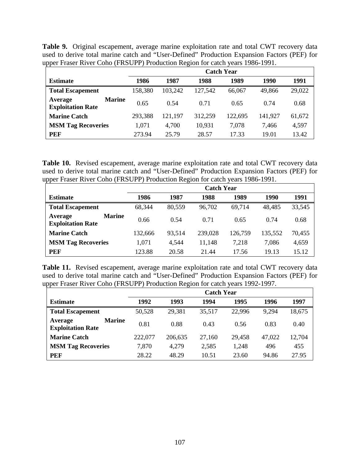| <b>Table 9.</b> Original escapement, average marine exploitation rate and total CWT recovery data |  |
|---------------------------------------------------------------------------------------------------|--|
| used to derive total marine catch and "User-Defined" Production Expansion Factors (PEF) for       |  |
| upper Fraser River Coho (FRSUPP) Production Region for catch years 1986-1991.                     |  |

|                                                      |         | <b>Catch Year</b> |         |         |         |        |  |  |  |  |
|------------------------------------------------------|---------|-------------------|---------|---------|---------|--------|--|--|--|--|
| <b>Estimate</b>                                      | 1986    | 1987              | 1988    | 1989    | 1990    | 1991   |  |  |  |  |
| <b>Total Escapement</b>                              | 158,380 | 103,242           | 127,542 | 66,067  | 49,866  | 29,022 |  |  |  |  |
| <b>Marine</b><br>Average<br><b>Exploitation Rate</b> | 0.65    | 0.54              | 0.71    | 0.65    | 0.74    | 0.68   |  |  |  |  |
| <b>Marine Catch</b>                                  | 293,388 | 121,197           | 312,259 | 122,695 | 141,927 | 61,672 |  |  |  |  |
| <b>MSM Tag Recoveries</b>                            | 1,071   | 4,700             | 10,931  | 7,078   | 7.466   | 4,597  |  |  |  |  |
| <b>PEF</b>                                           | 273.94  | 25.79             | 28.57   | 17.33   | 19.01   | 13.42  |  |  |  |  |

**Table 10.** Revised escapement, average marine exploitation rate and total CWT recovery data used to derive total marine catch and "User-Defined" Production Expansion Factors (PEF) for upper Fraser River Coho (FRSUPP) Production Region for catch years 1986-1991.

|                                                      | <b>Catch Year</b> |        |         |         |         |        |  |  |  |  |
|------------------------------------------------------|-------------------|--------|---------|---------|---------|--------|--|--|--|--|
| <b>Estimate</b>                                      | 1986              | 1987   | 1988    | 1989    | 1990    | 1991   |  |  |  |  |
| <b>Total Escapement</b>                              | 68,344            | 80,559 | 96,702  | 69,714  | 48,485  | 33,545 |  |  |  |  |
| <b>Marine</b><br>Average<br><b>Exploitation Rate</b> | 0.66              | 0.54   | 0.71    | 0.65    | 0.74    | 0.68   |  |  |  |  |
| <b>Marine Catch</b>                                  | 132,666           | 93,514 | 239,028 | 126,759 | 135,552 | 70,455 |  |  |  |  |
| <b>MSM Tag Recoveries</b>                            | 1,071             | 4,544  | 7,218   | 7,086   | 4,659   |        |  |  |  |  |
| <b>PEF</b>                                           | 123.88            | 20.58  | 21.44   | 17.56   | 19.13   | 15.12  |  |  |  |  |

**Table 11.** Revised escapement, average marine exploitation rate and total CWT recovery data used to derive total marine catch and "User-Defined" Production Expansion Factors (PEF) for upper Fraser River Coho (FRSUPP) Production Region for catch years 1992-1997.

|                                                      | <b>Catch Year</b> |         |        |        |        |        |  |  |  |
|------------------------------------------------------|-------------------|---------|--------|--------|--------|--------|--|--|--|
| <b>Estimate</b>                                      | 1992              | 1993    | 1994   | 1995   | 1996   | 1997   |  |  |  |
| <b>Total Escapement</b>                              | 50,528            | 29,381  | 35,517 | 22,996 | 9,294  | 18,675 |  |  |  |
| <b>Marine</b><br>Average<br><b>Exploitation Rate</b> | 0.81              | 0.88    | 0.43   | 0.56   | 0.83   | 0.40   |  |  |  |
| <b>Marine Catch</b>                                  | 222,077           | 206,635 | 27,160 | 29,458 | 47,022 | 12,704 |  |  |  |
| <b>MSM Tag Recoveries</b>                            | 7,870             | 4,279   | 2,585  | 1,248  | 496    | 455    |  |  |  |
| PEF                                                  | 28.22             | 48.29   | 10.51  | 23.60  | 94.86  | 27.95  |  |  |  |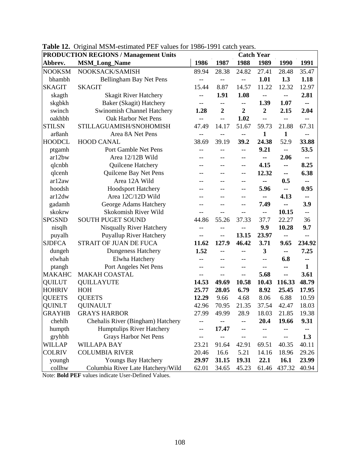| <b>PRODUCTION REGIONS / Management Units</b> | <b>Catch Year</b>                 |                |                          |                |                          |                                       |                                       |
|----------------------------------------------|-----------------------------------|----------------|--------------------------|----------------|--------------------------|---------------------------------------|---------------------------------------|
| Abbrev.                                      | <b>MSM_Long_Name</b>              | 1986           | 1987                     | 1988           | 1989                     | 1990                                  | 1991                                  |
| <b>NOOKSM</b>                                | NOOKSACK/SAMISH                   | 89.94          | 28.38                    | 24.82          | 27.41                    | 28.48                                 | 35.47                                 |
| bhambh                                       | Bellingham Bay Net Pens           | --             | $\overline{\phantom{m}}$ | $-$            | 1.01                     | 1.3                                   | 1.18                                  |
| <b>SKAGIT</b>                                | <b>SKAGIT</b>                     | 15.44          | 8.87                     | 14.57          | 11.22                    | 12.32                                 | 12.97                                 |
| skagth                                       | <b>Skagit River Hatchery</b>      | --             | 1.91                     | 1.08           | $- -$                    | $\hspace{0.05cm}$ – $\hspace{0.05cm}$ | 2.81                                  |
| skgbkh                                       | Baker (Skagit) Hatchery           | --             | --                       | --             | 1.39                     | 1.07                                  | --                                    |
| swinch                                       | <b>Swinomish Channel Hatchery</b> | 1.28           | $\overline{2}$           | $\overline{2}$ | $\overline{2}$           | 2.15                                  | 2.04                                  |
| oakhbh                                       | Oak Harbor Net Pens               | $\overline{a}$ | $\overline{\phantom{a}}$ | 1.02           | $-$                      |                                       |                                       |
| <b>STILSN</b>                                | STILLAGUAMISH/SNOHOMISH           | 47.49          | 14.17                    | 51.67          | 59.73                    | 21.88                                 | 67.31                                 |
| ar8anh                                       | Area 8A Net Pens                  | $\overline{a}$ | $-$                      | $-$            | $\mathbf{1}$             | $\mathbf{1}$                          | $-$                                   |
| <b>HOODCL</b>                                | <b>HOOD CANAL</b>                 | 38.69          | 39.19                    | 39.2           | 24.38                    | 52.9                                  | 33.88                                 |
| ptgamh                                       | Port Gamble Net Pens              | --             |                          | $-$            | 9.21                     | $- -$                                 | 53.5                                  |
| ar12bw                                       | Area 12/12B Wild                  |                |                          | --             |                          | 2.06                                  | $\sim$ $\sim$                         |
| qlcnbh                                       | Quilcene Hatchery                 | --             |                          | --             | 4.15                     | --                                    | 8.25                                  |
| qlcenh                                       | Quilcene Bay Net Pens             | --             |                          | --             | 12.32                    | $\overline{\phantom{a}}$              | 6.38                                  |
| ar12aw                                       | Area 12A Wild                     |                |                          |                | ۰.                       | 0.5                                   | --                                    |
| hoodsh                                       | <b>Hoodsport Hatchery</b>         |                |                          |                | 5.96                     | $-$                                   | 0.95                                  |
| ar12dw                                       | Area 12C/12D Wild                 |                |                          |                | --                       | 4.13                                  | --                                    |
| gadamh                                       | George Adams Hatchery             | --             |                          |                | 7.49                     | --                                    | 3.9                                   |
| skokrw                                       | Skokomish River Wild              | --             | $-$                      | $-$            | $\overline{\phantom{a}}$ | 10.15                                 | $\hspace{0.05cm}$ – $\hspace{0.05cm}$ |
| <b>SPGSND</b>                                | <b>SOUTH PUGET SOUND</b>          | 44.86          | 55.26                    | 37.33          | 37.7                     | 22.27                                 | 36                                    |
| nisqlh                                       | Nisqually River Hatchery          | $-$            |                          |                | 9.9                      | 10.28                                 | 9.7                                   |
| puyalh                                       | <b>Puyallup River Hatchery</b>    | --             | $-$                      | 13.15          | 23.97                    | $ -$                                  | $\overline{\phantom{m}}$              |
| <b>SJDFCA</b>                                | STRAIT OF JUAN DE FUCA            | 11.62          | 127.9                    | 46.42          | 3.71                     | 9.65                                  | 234.92                                |
| dungeh                                       | Dungeness Hatchery                | 1.52           |                          |                | 3                        | --                                    | 7.25                                  |
| elwhah                                       | Elwha Hatchery                    | $-$            |                          |                | $-$                      | 6.8                                   | --                                    |
| ptangh                                       | Port Angeles Net Pens             | --             |                          | $-$            | $-$                      |                                       | $\mathbf{1}$                          |
| <b>MAKAHC</b>                                | <b>MAKAH COASTAL</b>              |                |                          | $-$            | 5.68                     | --                                    | 3.61                                  |
| <b>QUILUT</b>                                | <b>QUILLAYUTE</b>                 | 14.53          | 49.69                    | 10.58          | 10.43                    | 116.33                                | 48.79                                 |
| <b>HOHRIV</b>                                | <b>HOH</b>                        | 25.77          | 28.05                    | 6.79           | 8.92                     | 25.45                                 | 17.95                                 |
| <b>QUEETS</b>                                | <b>QUEETS</b>                     | 12.29          | 9.66                     | 4.68           | 8.06                     | 6.88                                  | 10.59                                 |
| <b>QUINLT</b>                                | <b>QUINAULT</b>                   | 42.96          | 70.95                    | 21.35          | 37.54                    | 42.47                                 | 18.03                                 |
| <b>GRAYHB</b>                                | <b>GRAYS HARBOR</b>               | 27.99          | 49.99                    | 28.9           | 18.03                    | 21.85                                 | 19.38                                 |
| chehlh                                       | Chehalis River (Bingham) Hatchery | --             | --                       | --             | 20.4                     | 19.66                                 | 9.31                                  |
| humpth                                       | <b>Humptulips River Hatchery</b>  | --             | 17.47                    |                |                          |                                       |                                       |
| gryhbh                                       | Grays Harbor Net Pens             | --             |                          | --             |                          |                                       | 1.3                                   |
| WILLAP                                       | <b>WILLAPA BAY</b>                | 23.21          | 91.64                    | 42.91          | 69.51                    | 40.35                                 | 40.11                                 |
| <b>COLRIV</b>                                | <b>COLUMBIA RIVER</b>             | 20.46          | 16.6                     | 5.21           | 14.16                    | 18.96                                 | 29.26                                 |
| youngh                                       | Youngs Bay Hatchery               | 29.97          | 31.15                    | 19.31          | 22.1                     | 16.1                                  | 23.99                                 |
| collhw                                       | Columbia River Late Hatchery/Wild | 62.01          | 34.65                    | 45.23          | 61.46                    | 437.32                                | 40.94                                 |

**Table 12.** Original MSM-estimated PEF values for 1986-1991 catch years.

Note: **Bold PEF** values indicate User-Defined Values.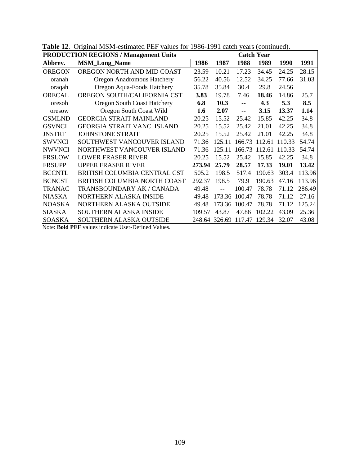|                      | <b>PRODUCTION REGIONS / Management Units</b> | <b>Catch Year</b> |               |                          |        |        |        |
|----------------------|----------------------------------------------|-------------------|---------------|--------------------------|--------|--------|--------|
| Abbrev.              | <b>MSM_Long_Name</b>                         | 1986              | 1987          | 1988                     | 1989   | 1990   | 1991   |
| <b>OREGON</b>        | OREGON NORTH AND MID COAST                   | 23.59             | 10.21         | 17.23                    | 34.45  | 24.25  | 28.15  |
| oranah               | Oregon Anadromous Hatchery                   | 56.22             | 40.56         | 12.52                    | 34.25  | 77.66  | 31.03  |
| oraqah               | Oregon Aqua-Foods Hatchery                   | 35.78             | 35.84         | 30.4                     | 29.8   | 24.56  |        |
| <b>ORECAL</b>        | OREGON SOUTH/CALIFORNIA CST                  | 3.83              | 19.78         | 7.46                     | 18.46  | 14.86  | 25.7   |
| oresoh               | <b>Oregon South Coast Hatchery</b>           | 6.8               | 10.3          | $\overline{\phantom{a}}$ | 4.3    | 5.3    | 8.5    |
| oresow               | Oregon South Coast Wild                      | 1.6               | 2.07          | $\overline{\phantom{a}}$ | 3.15   | 13.37  | 1.14   |
| <b>GSMLND</b>        | <b>GEORGIA STRAIT MAINLAND</b>               | 20.25             | 15.52         | 25.42                    | 15.85  | 42.25  | 34.8   |
| <b>GSVNCI</b>        | <b>GEORGIA STRAIT VANC. ISLAND</b>           | 20.25             | 15.52         | 25.42                    | 21.01  | 42.25  | 34.8   |
| <b>JNSTRT</b>        | JOHNSTONE STRAIT                             | 20.25             | 15.52         | 25.42                    | 21.01  | 42.25  | 34.8   |
| <b>SWVNCI</b>        | SOUTHWEST VANCOUVER ISLAND                   | 71.36             | 125.11        | 166.73                   | 112.61 | 110.33 | 54.74  |
| <b>NWVNCI</b>        | NORTHWEST VANCOUVER ISLAND                   | 71.36             | 125.11        | 166.73                   | 112.61 | 110.33 | 54.74  |
| <b>FRSLOW</b>        | <b>LOWER FRASER RIVER</b>                    | 20.25             | 15.52         | 25.42                    | 15.85  | 42.25  | 34.8   |
| <b>FRSUPP</b>        | <b>UPPER FRASER RIVER</b>                    | 273.94            | 25.79         | 28.57                    | 17.33  | 19.01  | 13.42  |
| <b>BCCNTL</b>        | BRITISH COLUMBIA CENTRAL CST                 | 505.2             | 198.5         | 517.4                    | 190.63 | 303.4  | 113.96 |
| <b>BCNCST</b>        | BRITISH COLUMBIA NORTH COAST                 | 292.37            | 198.5         | 79.9                     | 190.63 | 47.16  | 113.96 |
| <b>TRANAC</b>        | TRANSBOUNDARY AK / CANADA                    | 49.48             | $-$           | 100.47                   | 78.78  | 71.12  | 286.49 |
| <b>NIASKA</b>        | <b>NORTHERN ALASKA INSIDE</b>                | 49.48             |               | 173.36 100.47            | 78.78  | 71.12  | 27.16  |
| <b>NOASKA</b>        | NORTHERN ALASKA OUTSIDE                      | 49.48             |               | 173.36 100.47            | 78.78  | 71.12  | 125.24 |
| <b>SIASKA</b>        | <b>SOUTHERN ALASKA INSIDE</b>                | 109.57            | 43.87         | 47.86                    | 102.22 | 43.09  | 25.36  |
| <b>SOASKA</b>        | SOUTHERN ALASKA OUTSIDE                      |                   | 248.64 326.69 | 117.47                   | 129.34 | 32.07  | 43.08  |
| <b>AT</b><br>ההתונית | $\mathbf{1}$ $\mathbf{1}$ $\mathbf{1}$       |                   |               |                          |        |        |        |

**Table 12**. Original MSM-estimated PEF values for 1986-1991 catch years (continued).

Note: **Bold PEF** values indicate User-Defined Values.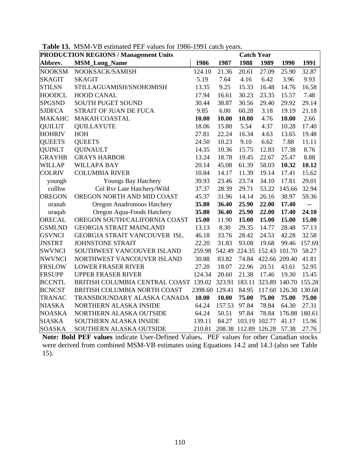| <b>PRODUCTION REGIONS / Management Units</b> | <b>Catch Year</b>                     |                |        |                      |                             |                                    |        |
|----------------------------------------------|---------------------------------------|----------------|--------|----------------------|-----------------------------|------------------------------------|--------|
| Abbrev.                                      | <b>MSM_Long_Name</b>                  | 1986           | 1987   | 1988                 | 1989                        | 1990                               | 1991   |
| <b>NOOKSM</b>                                | NOOKSACK/SAMISH                       | 124.10         | 21.36  | 20.61                | 27.09                       | 25.90                              | 32.87  |
| <b>SKAGIT</b>                                | <b>SKAGIT</b>                         | 5.19           | 7.64   | 4.16                 | 6.42                        | 3.96                               | 9.93   |
| <b>STILSN</b>                                | STILLAGUAMISH/SNOHOMISH               | 13.35          | 9.25   | 15.33                | 16.48                       | 14.76                              | 16.58  |
| <b>HOODCL</b>                                | <b>HOOD CANAL</b>                     | 17.94          | 16.61  | 30.23                | 23.35                       | 15.57                              | 7.48   |
| <b>SPGSND</b>                                | <b>SOUTH PUGET SOUND</b>              | 30.44          | 38.87  | 30.56                | 29.40                       | 29.92                              | 29.14  |
| <b>SJDFCA</b>                                | STRAIT OF JUAN DE FUCA                | 9.85           | 6.00   | 60.28                | 3.18                        | 19.19                              | 21.18  |
| <b>MAKAHC</b>                                | <b>MAKAH COASTAL</b>                  | 10.00          | 10.00  | 10.00                | 4.76                        | 10.00                              | 2.66   |
| <b>QUILUT</b>                                | <b>QUILLAYUTE</b>                     | 18.06          | 15.80  | 5.54                 | 4.37                        | 10.28                              | 17.40  |
| <b>HOHRIV</b>                                | HOH                                   | 27.81          | 22.24  | 16.34                | 4.63                        | 13.65                              | 19.48  |
| <b>QUEETS</b>                                | <b>QUEETS</b>                         | 24.50          | 10.23  | 9.10                 | 6.62                        | 7.88                               | 11.11  |
| <b>QUINLT</b>                                | <b>QUINAULT</b>                       | 14.35          | 10.36  | 15.75                | 12.83                       | 17.38                              | 8.76   |
| <b>GRAYHB</b>                                | <b>GRAYS HARBOR</b>                   | 13.24          | 18.78  | 19.45                | 22.67                       | 25.47                              | 8.88   |
| <b>WILLAP</b>                                | <b>WILLAPA BAY</b>                    | 20.14          | 45.08  | 61.39                | 58.03                       | 10.32                              | 10.12  |
| <b>COLRIV</b>                                | <b>COLUMBIA RIVER</b>                 | 10.84          | 14.17  | 11.39                | 19.14                       | 17.41                              | 15.62  |
| youngh                                       | Youngs Bay Hatchery                   | 39.93          | 23.46  | 23.74                | 34.10                       | 17.81                              | 29.01  |
| collhw                                       | Col Rvr Late Hatchery/Wild            | 37.37          | 28.39  | 29.71                | 53.22                       | 145.66                             | 32.94  |
| <b>OREGON</b>                                | OREGON NORTH AND MID COAST            | 45.37          | 31.96  | 14.14                | 26.16                       | 38.97                              | 59.36  |
| oranah                                       | Oregon Anadromous Hatchery            | 35.80          | 36.40  | 25.90                | 22.00                       | 17.40                              | --     |
| oraqah                                       | Oregon Aqua-Foods Hatchery            | 35.80          | 36.40  | 25.90                | 22.00                       | 17.40                              | 24.10  |
| <b>ORECAL</b>                                | OREGON SOUTH/CALIFORNIA COAST         | 15.00          | 11.90  | 15.00                | 15.00                       | 15.00                              | 15.00  |
| <b>GSMLND</b>                                | <b>GEORGIA STRAIT MAINLAND</b>        | 13.13          | 8.30   | 29.35                | 14.77                       | 28.48                              | 57.13  |
| <b>GSVNCI</b>                                | GEORGIA STRAIT VANCOUVER ISL.         | 46.18          | 33.76  | 28.42                | 24.53                       | 42.28                              | 32.58  |
| <b>JNSTRT</b>                                | <b>JOHNSTONE STRAIT</b>               | 22.20          | 31.83  | 93.08                | 19.68                       | 99.46                              | 157.69 |
| <b>SWVNCI</b>                                | SOUTHWEST VANCOUVER ISLAND            | 259.98         |        |                      | 542.49 224.35 152.43 101.70 |                                    | 58.27  |
| <b>NWVNCI</b>                                | NORTHWEST VANCOUVER ISLAND            | 30.88          | 83.82  | 74.84                | 422.66 209.40               |                                    | 41.81  |
| <b>FRSLOW</b>                                | <b>LOWER FRASER RIVER</b>             | 27.20          | 18.07  | 22.96                | 20.51                       | 43.61                              | 52.95  |
| <b>FRSUPP</b>                                | <b>UPPER FRASER RIVER</b>             | 124.34         | 20.60  | 21.38                | 17.46                       | 19.30                              | 15.45  |
| <b>BCCNTL</b>                                | BRITISH COLUMBIA CENTRAL COAST 139.02 |                |        |                      |                             | 323.91 183.11 323.89 140.70 155.28 |        |
| <b>BCNCST</b>                                | BRITISH COLUMBIA NORTH COAST          | 2398.60 129.41 |        | 84.95                |                             | 117.60 126.38 130.68               |        |
| <b>TRANAC</b>                                | TRANSBOUNDARY ALASKA CANADA           | 10.00          | 10.00  | 75.00                | 75.00                       | 75.00                              | 75.00  |
| <b>NIASKA</b>                                | NORTHERN ALASKA INSIDE                | 64.24          | 157.53 | 97.84                | 78.84                       | 64.30                              | 27.31  |
| <b>NOASKA</b>                                | NORTHERN ALASKA OUTSIDE               | 64.24          | 50.51  | 97.84                | 78.84                       | 176.88                             | 180.61 |
| <b>SIASKA</b>                                | SOUTHERN ALASKA INSIDE                | 139.11         | 84.27  |                      | 103.19 102.77               | 41.17                              | 15.96  |
| <b>SOASKA</b>                                | SOUTHERN ALASKA OUTSIDE               | 210.81         |        | 208.38 112.89 126.28 |                             | 57.38                              | 27.76  |

**Table 13.** MSM-VB estimated PEF values for 1986-1991 catch years.

**Note: Bold PEF values** indicate User-Defined Values**.** PEF values for other Canadian stocks were derived from combined MSM-VB estimates using Equations 14.2 and 14.3 (also see Table 15).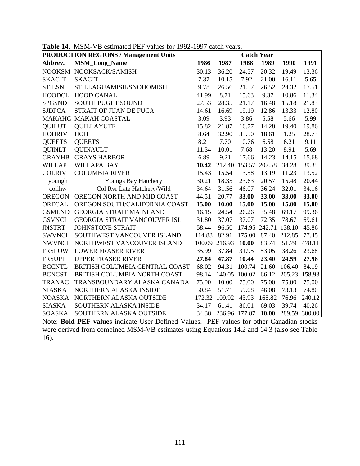| <b>PRODUCTION REGIONS / Management Units</b><br><b>Catch Year</b> |                                     |        |               |                      |               |        |               |
|-------------------------------------------------------------------|-------------------------------------|--------|---------------|----------------------|---------------|--------|---------------|
| Abbrev.                                                           | <b>MSM_Long_Name</b>                | 1986   | 1987          | 1988                 | 1989          | 1990   | 1991          |
|                                                                   | NOOKSM NOOKSACK/SAMISH              | 30.13  | 36.20         | 24.57                | 20.32         | 19.49  | 13.36         |
| <b>SKAGIT</b>                                                     | <b>SKAGIT</b>                       | 7.37   | 10.15         | 7.92                 | 21.00         | 16.11  | 5.65          |
| <b>STILSN</b>                                                     | STILLAGUAMISH/SNOHOMISH             | 9.78   | 26.56         | 21.57                | 26.52         | 24.32  | 17.51         |
| <b>HOODCL</b>                                                     | <b>HOOD CANAL</b>                   | 41.99  | 8.71          | 15.63                | 9.37          | 10.86  | 11.34         |
| <b>SPGSND</b>                                                     | <b>SOUTH PUGET SOUND</b>            | 27.53  | 28.35         | 21.17                | 16.48         | 15.18  | 21.83         |
| <b>SJDFCA</b>                                                     | STRAIT OF JUAN DE FUCA              | 14.61  | 16.69         | 19.19                | 12.86         | 13.33  | 12.80         |
|                                                                   | MAKAHC MAKAH COASTAL                | 3.09   | 3.93          | 3.86                 | 5.58          | 5.66   | 5.99          |
| <b>QUILUT</b>                                                     | <b>QUILLAYUTE</b>                   | 15.82  | 21.87         | 16.77                | 14.28         | 19.40  | 19.86         |
| <b>HOHRIV</b>                                                     | HOH                                 | 8.64   | 32.90         | 35.50                | 18.61         | 1.25   | 28.73         |
| <b>QUEETS</b>                                                     | <b>QUEETS</b>                       | 8.21   | 7.70          | 10.76                | 6.58          | 6.21   | 9.11          |
| <b>QUINLT</b>                                                     | <b>QUINAULT</b>                     | 11.34  | 10.01         | 7.68                 | 13.20         | 8.91   | 5.69          |
| <b>GRAYHB</b>                                                     | <b>GRAYS HARBOR</b>                 | 6.89   | 9.21          | 17.66                | 14.23         | 14.15  | 15.68         |
| <b>WILLAP</b>                                                     | <b>WILLAPA BAY</b>                  | 10.42  |               | 212.40 153.57 207.58 |               | 34.28  | 39.35         |
| <b>COLRIV</b>                                                     | <b>COLUMBIA RIVER</b>               | 15.43  | 15.54         | 13.58                | 13.19         | 11.23  | 13.52         |
| youngh                                                            | Youngs Bay Hatchery                 | 30.21  | 18.35         | 23.63                | 20.57         | 15.48  | 20.44         |
| collhw                                                            | Col Rvr Late Hatchery/Wild          | 34.64  | 31.56         | 46.07                | 36.24         | 32.01  | 34.16         |
| <b>OREGON</b>                                                     | OREGON NORTH AND MID COAST          | 44.51  | 20.77         | 33.00                | 33.00         | 33.00  | 33.00         |
| <b>ORECAL</b>                                                     | OREGON SOUTH/CALIFORNIA COAST       | 15.00  | 10.00         | 15.00                | 15.00         | 15.00  | 15.00         |
| <b>GSMLND</b>                                                     | <b>GEORGIA STRAIT MAINLAND</b>      | 16.15  | 24.54         | 26.26                | 35.48         | 69.17  | 99.36         |
| <b>GSVNCI</b>                                                     | <b>GEORGIA STRAIT VANCOUVER ISL</b> | 31.80  | 37.07         | 37.07                | 72.35         | 78.67  | 69.61         |
| <b>JNSTRT</b>                                                     | <b>JOHNSTONE STRAIT</b>             | 58.44  | 96.50         |                      | 174.95 242.71 | 138.10 | 45.86         |
| <b>SWVNCI</b>                                                     | SOUTHWEST VANCOUVER ISLAND          | 114.83 | 82.91         | 175.00               | 87.40         | 212.85 | 77.45         |
| <b>NWVNCI</b>                                                     | NORTHWEST VANCOUVER ISLAND          |        | 100.09 216.93 | 10.00                | 83.74         | 51.79  | 478.11        |
| <b>FRSLOW</b>                                                     | <b>LOWER FRASER RIVER</b>           | 35.99  | 37.84         | 31.95                | 53.05         | 38.26  | 23.68         |
| <b>FRSUPP</b>                                                     | <b>UPPER FRASER RIVER</b>           | 27.84  | 47.87         | 10.44                | 23.40         | 24.59  | 27.98         |
| <b>BCCNTL</b>                                                     | BRITISH COLUMBIA CENTRAL COAST      | 68.02  | 94.31         | 100.74               | 21.60         | 106.40 | 84.19         |
| <b>BCNCST</b>                                                     | BRITISH COLUMBIA NORTH COAST        | 98.14  | 140.05        | 100.02               | 66.12         | 205.23 | 158.93        |
| <b>TRANAC</b>                                                     | TRANSBOUNDARY ALASKA CANADA         | 75.00  | 10.00         | 75.00                | 75.00         | 75.00  | 75.00         |
| <b>NIASKA</b>                                                     | NORTHERN ALASKA INSIDE              | 50.84  | 51.71         | 59.08                | 46.08         | 73.13  | 74.80         |
| <b>NOASKA</b>                                                     | NORTHERN ALASKA OUTSIDE             |        | 172.32 109.92 | 43.93                | 165.82        | 76.96  | 240.12        |
| <b>SIASKA</b>                                                     | SOUTHERN ALASKA INSIDE              | 34.17  | 61.41         | 86.01                | 69.03         | 39.74  | 40.26         |
| <b>SOASKA</b>                                                     | SOUTHERN ALASKA OUTSIDE             | 34.38  | 236.96 177.87 |                      | 10.00         |        | 289.59 300.00 |

**Table 14.** MSM-VB estimated PEF values for 1992-1997 catch years.

Note: **Bold PEF values** indicate User-Defined Values. PEF values for other Canadian stocks were derived from combined MSM-VB estimates using Equations 14.2 and 14.3 (also see Table 16).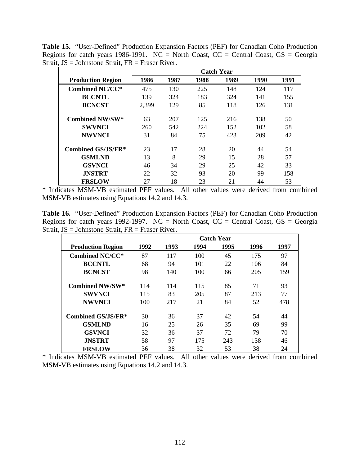**Table 15.** "User-Defined" Production Expansion Factors (PEF) for Canadian Coho Production Regions for catch years 1986-1991. NC = North Coast,  $CC = Central Coast$ ,  $GS = Georgia$ Strait, JS = Johnstone Strait, FR = Fraser River.

|                          | <b>Catch Year</b> |      |      |      |      |      |  |  |  |
|--------------------------|-------------------|------|------|------|------|------|--|--|--|
| <b>Production Region</b> | 1986              | 1987 | 1988 | 1989 | 1990 | 1991 |  |  |  |
| <b>Combined NC/CC*</b>   | 475               | 130  | 225  | 148  | 124  | 117  |  |  |  |
| <b>BCCNTL</b>            | 139               | 324  | 183  | 324  | 141  | 155  |  |  |  |
| <b>BCNCST</b>            | 2,399             | 129  | 85   | 118  | 126  | 131  |  |  |  |
| <b>Combined NW/SW*</b>   | 63                | 207  | 125  | 216  | 138  | 50   |  |  |  |
| <b>SWVNCI</b>            | 260               | 542  | 224  | 152  | 102  | 58   |  |  |  |
| <b>NWVNCI</b>            | 31                | 84   | 75   | 423  | 209  | 42   |  |  |  |
| Combined GS/JS/FR*       | 23                | 17   | 28   | 20   | 44   | 54   |  |  |  |
| <b>GSMLND</b>            | 13                | 8    | 29   | 15   | 28   | 57   |  |  |  |
| <b>GSVNCI</b>            | 46                | 34   | 29   | 25   | 42   | 33   |  |  |  |
| <b>JNSTRT</b>            | 22                | 32   | 93   | 20   | 99   | 158  |  |  |  |
| <b>FRSLOW</b>            | 27                | 18   | 23   | 21   | 44   | 53   |  |  |  |

\* Indicates MSM-VB estimated PEF values. All other values were derived from combined MSM-VB estimates using Equations 14.2 and 14.3.

**Table 16.** "User-Defined" Production Expansion Factors (PEF) for Canadian Coho Production Regions for catch years 1992-1997. NC = North Coast,  $CC =$  Central Coast,  $GS =$  Georgia Strait, JS = Johnstone Strait, FR = Fraser River.

|                          | <b>Catch Year</b> |      |      |      |      |      |
|--------------------------|-------------------|------|------|------|------|------|
| <b>Production Region</b> | 1992              | 1993 | 1994 | 1995 | 1996 | 1997 |
| <b>Combined NC/CC*</b>   | 87                | 117  | 100  | 45   | 175  | 97   |
| <b>BCCNTL</b>            | 68                | 94   | 101  | 22   | 106  | 84   |
| <b>BCNCST</b>            | 98                | 140  | 100  | 66   | 205  | 159  |
| <b>Combined NW/SW*</b>   | 114               | 114  | 115  | 85   | 71   | 93   |
| <b>SWVNCI</b>            | 115               | 83   | 205  | 87   | 213  | 77   |
| <b>NWVNCI</b>            | 100               | 217  | 21   | 84   | 52   | 478  |
| Combined GS/JS/FR*       | 30                | 36   | 37   | 42   | 54   | 44   |
| <b>GSMLND</b>            | 16                | 25   | 26   | 35   | 69   | 99   |
| <b>GSVNCI</b>            | 32                | 36   | 37   | 72   | 79   | 70   |
| <b>JNSTRT</b>            | 58                | 97   | 175  | 243  | 138  | 46   |
| <b>FRSLOW</b>            | 36                | 38   | 32   | 53   | 38   | 24   |

\* Indicates MSM-VB estimated PEF values. All other values were derived from combined MSM-VB estimates using Equations 14.2 and 14.3.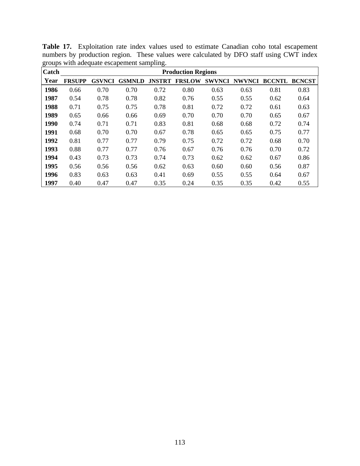| Catch | <b>Production Regions</b> |               |               |               |               |               |               |               |               |
|-------|---------------------------|---------------|---------------|---------------|---------------|---------------|---------------|---------------|---------------|
| Year  | <b>FRSUPP</b>             | <b>GSVNCI</b> | <b>GSMNLD</b> | <b>JNSTRT</b> | <b>FRSLOW</b> | <b>SWVNCI</b> | <b>NWVNCI</b> | <b>BCCNTL</b> | <b>BCNCST</b> |
| 1986  | 0.66                      | 0.70          | 0.70          | 0.72          | 0.80          | 0.63          | 0.63          | 0.81          | 0.83          |
| 1987  | 0.54                      | 0.78          | 0.78          | 0.82          | 0.76          | 0.55          | 0.55          | 0.62          | 0.64          |
| 1988  | 0.71                      | 0.75          | 0.75          | 0.78          | 0.81          | 0.72          | 0.72          | 0.61          | 0.63          |
| 1989  | 0.65                      | 0.66          | 0.66          | 0.69          | 0.70          | 0.70          | 0.70          | 0.65          | 0.67          |
| 1990  | 0.74                      | 0.71          | 0.71          | 0.83          | 0.81          | 0.68          | 0.68          | 0.72          | 0.74          |
| 1991  | 0.68                      | 0.70          | 0.70          | 0.67          | 0.78          | 0.65          | 0.65          | 0.75          | 0.77          |
| 1992  | 0.81                      | 0.77          | 0.77          | 0.79          | 0.75          | 0.72          | 0.72          | 0.68          | 0.70          |
| 1993  | 0.88                      | 0.77          | 0.77          | 0.76          | 0.67          | 0.76          | 0.76          | 0.70          | 0.72          |
| 1994  | 0.43                      | 0.73          | 0.73          | 0.74          | 0.73          | 0.62          | 0.62          | 0.67          | 0.86          |
| 1995  | 0.56                      | 0.56          | 0.56          | 0.62          | 0.63          | 0.60          | 0.60          | 0.56          | 0.87          |
| 1996  | 0.83                      | 0.63          | 0.63          | 0.41          | 0.69          | 0.55          | 0.55          | 0.64          | 0.67          |
| 1997  | 0.40                      | 0.47          | 0.47          | 0.35          | 0.24          | 0.35          | 0.35          | 0.42          | 0.55          |

**Table 17.** Exploitation rate index values used to estimate Canadian coho total escapement numbers by production region. These values were calculated by DFO staff using CWT index groups with adequate escapement sampling.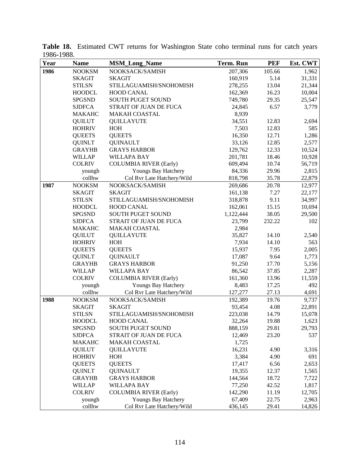| Year | <b>Name</b>   | <b>MSM_Long_Name</b>          | <b>Term. Run</b> | <b>PEF</b> | Est. CWT |
|------|---------------|-------------------------------|------------------|------------|----------|
| 1986 | <b>NOOKSM</b> | NOOKSACK/SAMISH               | 207,306          | 105.66     | 1,962    |
|      | <b>SKAGIT</b> | <b>SKAGIT</b>                 | 160,919          | 5.14       | 31,331   |
|      | <b>STILSN</b> | STILLAGUAMISH/SNOHOMISH       | 278,255          | 13.04      | 21,344   |
|      | <b>HOODCL</b> | <b>HOOD CANAL</b>             | 162,369          | 16.23      | 10,004   |
|      | <b>SPGSND</b> | SOUTH PUGET SOUND             | 749,780          | 29.35      | 25,547   |
|      | <b>SJDFCA</b> | STRAIT OF JUAN DE FUCA        | 24,845           | 6.57       | 3,779    |
|      | <b>MAKAHC</b> | <b>MAKAH COASTAL</b>          | 8,939            |            |          |
|      | <b>QUILUT</b> | <b>QUILLAYUTE</b>             | 34,551           | 12.83      | 2,694    |
|      | <b>HOHRIV</b> | HOH                           | 7,503            | 12.83      | 585      |
|      | <b>QUEETS</b> | <b>QUEETS</b>                 | 16,350           | 12.71      | 1,286    |
|      | <b>QUINLT</b> | <b>QUINAULT</b>               | 33,126           | 12.85      | 2,577    |
|      | <b>GRAYHB</b> | <b>GRAYS HARBOR</b>           | 129,762          | 12.33      | 10,524   |
|      | <b>WILLAP</b> | <b>WILLAPA BAY</b>            | 201,781          | 18.46      | 10,928   |
|      | <b>COLRIV</b> | <b>COLUMBIA RIVER (Early)</b> | 609,494          | 10.74      | 56,719   |
|      | youngh        | Youngs Bay Hatchery           | 84,336           | 29.96      | 2,815    |
|      | collhw        | Col Rvr Late Hatchery/Wild    | 818,798          | 35.78      | 22,879   |
| 1987 | <b>NOOKSM</b> | NOOKSACK/SAMISH               | 269,686          | 20.78      | 12,977   |
|      | <b>SKAGIT</b> | <b>SKAGIT</b>                 | 161,138          | 7.27       | 22,177   |
|      | <b>STILSN</b> | STILLAGUAMISH/SNOHOMISH       | 318,878          | 9.11       | 34,997   |
|      | <b>HOODCL</b> | <b>HOOD CANAL</b>             | 162,061          | 15.15      | 10,694   |
|      | <b>SPGSND</b> | <b>SOUTH PUGET SOUND</b>      | 1,122,444        | 38.05      | 29,500   |
|      | <b>SJDFCA</b> | STRAIT OF JUAN DE FUCA        | 23,799           | 232.22     | 102      |
|      | <b>MAKAHC</b> | <b>MAKAH COASTAL</b>          | 2,984            |            |          |
|      | <b>QUILUT</b> | <b>QUILLAYUTE</b>             | 35,827           | 14.10      | 2,540    |
|      | <b>HOHRIV</b> | HOH                           | 7,934            | 14.10      | 563      |
|      | <b>QUEETS</b> | <b>QUEETS</b>                 | 15,937           | 7.95       | 2,005    |
|      | <b>QUINLT</b> | <b>QUINAULT</b>               | 17,087           | 9.64       | 1,773    |
|      | <b>GRAYHB</b> | <b>GRAYS HARBOR</b>           | 91,250           | 17.70      | 5,156    |
|      | <b>WILLAP</b> | <b>WILLAPA BAY</b>            | 86,542           | 37.85      | 2,287    |
|      | <b>COLRIV</b> | <b>COLUMBIA RIVER (Early)</b> | 161,360          | 13.96      | 11,559   |
|      | youngh        | Youngs Bay Hatchery           | 8,483            | 17.25      | 492      |
|      | collhw        | Col Rvr Late Hatchery/Wild    | 127,277          | 27.13      | 4,691    |
| 1988 | <b>NOOKSM</b> | NOOKSACK/SAMISH               | 192,389          | 19.76      | 9,737    |
|      | <b>SKAGIT</b> | <b>SKAGIT</b>                 | 93,454           | 4.08       | 22,891   |
|      | <b>STILSN</b> | STILLAGUAMISH/SNOHOMISH       | 223,038          | 14.79      | 15,078   |
|      | <b>HOODCL</b> | <b>HOOD CANAL</b>             | 32,264           | 19.88      | 1,623    |
|      | <b>SPGSND</b> | SOUTH PUGET SOUND             | 888,159          | 29.81      | 29,793   |
|      | <b>SJDFCA</b> | STRAIT OF JUAN DE FUCA        | 12,469           | 23.20      | 537      |
|      | <b>MAKAHC</b> | <b>MAKAH COASTAL</b>          | 1,725            |            |          |
|      | <b>QUILUT</b> | <b>QUILLAYUTE</b>             | 16,231           | 4.90       | 3,316    |
|      | <b>HOHRIV</b> | HOH                           | 3,384            | 4.90       | 691      |
|      | <b>QUEETS</b> | <b>QUEETS</b>                 | 17,417           | 6.56       | 2,653    |
|      | <b>QUINLT</b> | <b>QUINAULT</b>               | 19,355           | 12.37      | 1,565    |
|      | <b>GRAYHB</b> | <b>GRAYS HARBOR</b>           | 144,564          | 18.72      | 7,722    |
|      | <b>WILLAP</b> | <b>WILLAPA BAY</b>            | 77,250           | 42.52      | 1,817    |
|      | <b>COLRIV</b> | <b>COLUMBIA RIVER (Early)</b> | 142,290          | 11.19      | 12,705   |
|      | youngh        | Youngs Bay Hatchery           | 67,409           | 22.75      | 2,963    |
|      | collhw        | Col Rvr Late Hatchery/Wild    | 436,145          | 29.41      | 14,826   |

**Table 18.** Estimated CWT returns for Washington State coho terminal runs for catch years 1986-1988.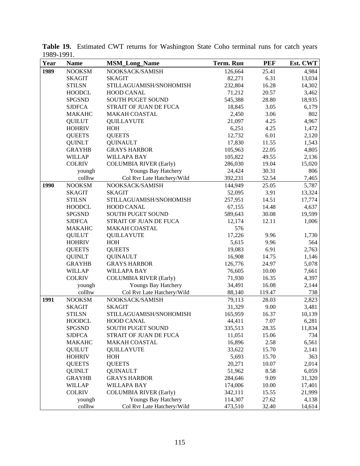| Year | <b>Name</b>   | <b>MSM_Long_Name</b>          | Term. Run | <b>PEF</b> | Est. CWT |
|------|---------------|-------------------------------|-----------|------------|----------|
| 1989 | <b>NOOKSM</b> | NOOKSACK/SAMISH               | 126,664   | 25.41      | 4,984    |
|      | <b>SKAGIT</b> | <b>SKAGIT</b>                 | 82,271    | 6.31       | 13,034   |
|      | <b>STILSN</b> | STILLAGUAMISH/SNOHOMISH       | 232,804   | 16.28      | 14,302   |
|      | <b>HOODCL</b> | HOOD CANAL                    | 71,212    | 20.57      | 3,462    |
|      | <b>SPGSND</b> | <b>SOUTH PUGET SOUND</b>      | 545,388   | 28.80      | 18,935   |
|      | <b>SJDFCA</b> | STRAIT OF JUAN DE FUCA        | 18,845    | 3.05       | 6,179    |
|      | <b>MAKAHC</b> | <b>MAKAH COASTAL</b>          | 2,450     | 3.06       | 802      |
|      | <b>QUILUT</b> | <b>QUILLAYUTE</b>             | 21,097    | 4.25       | 4,967    |
|      | <b>HOHRIV</b> | HOH                           | 6,251     | 4.25       | 1,472    |
|      | <b>QUEETS</b> | <b>QUEETS</b>                 | 12,732    | 6.01       | 2,120    |
|      | <b>QUINLT</b> | <b>QUINAULT</b>               | 17,830    | 11.55      | 1,543    |
|      | <b>GRAYHB</b> | <b>GRAYS HARBOR</b>           | 105,963   | 22.05      | 4,805    |
|      | <b>WILLAP</b> | <b>WILLAPA BAY</b>            | 105,822   | 49.55      | 2,136    |
|      | <b>COLRIV</b> | <b>COLUMBIA RIVER (Early)</b> | 286,030   | 19.04      | 15,020   |
|      | youngh        | Youngs Bay Hatchery           | 24,424    | 30.31      | 806      |
|      | collhw        | Col Rvr Late Hatchery/Wild    | 392,231   | 52.54      | 7,465    |
| 1990 | <b>NOOKSM</b> | NOOKSACK/SAMISH               | 144,949   | 25.05      | 5,787    |
|      | <b>SKAGIT</b> | <b>SKAGIT</b>                 | 52,095    | 3.91       | 13,324   |
|      | <b>STILSN</b> | STILLAGUAMISH/SNOHOMISH       | 257,951   | 14.51      | 17,774   |
|      | <b>HOODCL</b> | <b>HOOD CANAL</b>             | 67,155    | 14.48      | 4,637    |
|      | <b>SPGSND</b> | SOUTH PUGET SOUND             | 589,643   | 30.08      | 19,599   |
|      | <b>SJDFCA</b> | STRAIT OF JUAN DE FUCA        | 12,174    | 12.11      | 1,006    |
|      | <b>MAKAHC</b> | <b>MAKAH COASTAL</b>          | 576       |            |          |
|      | <b>QUILUT</b> | <b>QUILLAYUTE</b>             | 17,226    | 9.96       | 1,730    |
|      | <b>HOHRIV</b> | HOH                           | 5,615     | 9.96       | 564      |
|      | <b>QUEETS</b> | <b>QUEETS</b>                 | 19,083    | 6.91       | 2,763    |
|      | <b>QUINLT</b> | <b>QUINAULT</b>               | 16,908    | 14.75      | 1,146    |
|      | <b>GRAYHB</b> | <b>GRAYS HARBOR</b>           | 126,776   | 24.97      | 5,078    |
|      | <b>WILLAP</b> | <b>WILLAPA BAY</b>            | 76,605    | 10.00      | 7,661    |
|      | <b>COLRIV</b> | <b>COLUMBIA RIVER (Early)</b> | 71,930    | 16.35      | 4,397    |
|      | youngh        | Youngs Bay Hatchery           | 34,491    | 16.08      | 2,144    |
|      | collhw        | Col Rvr Late Hatchery/Wild    | 88,140    | 119.47     | 738      |
| 1991 | <b>NOOKSM</b> | NOOKSACK/SAMISH               | 79,113    | 28.03      | 2,823    |
|      | <b>SKAGIT</b> | <b>SKAGIT</b>                 | 31,329    | 9.00       | 3,481    |
|      | <b>STILSN</b> | STILLAGUAMISH/SNOHOMISH       | 165,959   | 16.37      | 10,139   |
|      | <b>HOODCL</b> | HOOD CANAL                    | 44,411    | 7.07       | 6,281    |
|      | <b>SPGSND</b> | <b>SOUTH PUGET SOUND</b>      | 335,513   | 28.35      | 11,834   |
|      | <b>SJDFCA</b> | STRAIT OF JUAN DE FUCA        | 11,051    | 15.06      | 734      |
|      | <b>MAKAHC</b> | <b>MAKAH COASTAL</b>          | 16,896    | 2.58       | 6,561    |
|      | <b>QUILUT</b> | <b>QUILLAYUTE</b>             | 33,622    | 15.70      | 2,141    |
|      | <b>HOHRIV</b> | HOH                           | 5,693     | 15.70      | 363      |
|      | <b>QUEETS</b> | <b>QUEETS</b>                 | 20,271    | 10.07      | 2,014    |
|      | <b>QUINLT</b> | <b>QUINAULT</b>               | 51,962    | 8.58       | 6,059    |
|      | <b>GRAYHB</b> | <b>GRAYS HARBOR</b>           | 284,646   | 9.09       | 31,320   |
|      | <b>WILLAP</b> | <b>WILLAPA BAY</b>            | 174,006   | 10.00      | 17,401   |
|      | <b>COLRIV</b> | <b>COLUMBIA RIVER (Early)</b> | 342,111   | 15.55      | 21,999   |
|      | youngh        | Youngs Bay Hatchery           | 114,307   | 27.62      | 4,138    |
|      | collhw        | Col Rvr Late Hatchery/Wild    | 473,510   | 32.40      | 14,614   |

**Table 19.** Estimated CWT returns for Washington State Coho terminal runs for catch years 1989-1991.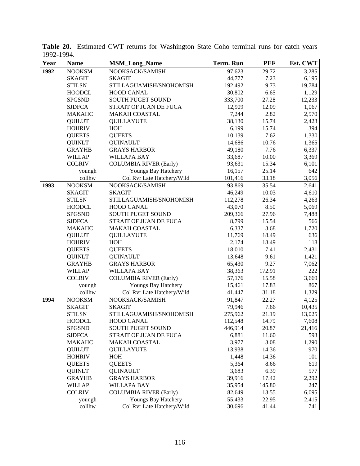| Year | <b>Name</b>   | <b>MSM_Long_Name</b>          | <b>Term. Run</b> | <b>PEF</b> | Est. CWT |
|------|---------------|-------------------------------|------------------|------------|----------|
| 1992 | <b>NOOKSM</b> | NOOKSACK/SAMISH               | 97,623           | 29.72      | 3,285    |
|      | <b>SKAGIT</b> | <b>SKAGIT</b>                 | 44,777           | 7.23       | 6,195    |
|      | <b>STILSN</b> | STILLAGUAMISH/SNOHOMISH       | 192,492          | 9.73       | 19,784   |
|      | <b>HOODCL</b> | <b>HOOD CANAL</b>             | 30,802           | 6.65       | 1,129    |
|      | <b>SPGSND</b> | <b>SOUTH PUGET SOUND</b>      | 333,700          | 27.28      | 12,233   |
|      | <b>SJDFCA</b> | STRAIT OF JUAN DE FUCA        | 12,909           | 12.09      | 1,067    |
|      | <b>MAKAHC</b> | <b>MAKAH COASTAL</b>          | 7,244            | 2.82       | 2,570    |
|      | <b>QUILUT</b> | <b>QUILLAYUTE</b>             | 38,130           | 15.74      | 2,423    |
|      | <b>HOHRIV</b> | HOH                           | 6,199            | 15.74      | 394      |
|      | <b>QUEETS</b> | <b>QUEETS</b>                 | 10,139           | 7.62       | 1,330    |
|      | <b>QUINLT</b> | <b>QUINAULT</b>               | 14,686           | 10.76      | 1,365    |
|      | <b>GRAYHB</b> | <b>GRAYS HARBOR</b>           | 49,180           | 7.76       | 6,337    |
|      | <b>WILLAP</b> | <b>WILLAPA BAY</b>            | 33,687           | 10.00      | 3,369    |
|      | <b>COLRIV</b> | <b>COLUMBIA RIVER (Early)</b> | 93,631           | 15.34      | 6,101    |
|      | youngh        | Youngs Bay Hatchery           | 16,157           | 25.14      | 642      |
|      | collhw        | Col Rvr Late Hatchery/Wild    | 101,416          | 33.18      | 3,056    |
| 1993 | <b>NOOKSM</b> | NOOKSACK/SAMISH               | 93,869           | 35.54      | 2,641    |
|      | <b>SKAGIT</b> | <b>SKAGIT</b>                 | 46,249           | 10.03      | 4,610    |
|      | <b>STILSN</b> | STILLAGUAMISH/SNOHOMISH       | 112,278          | 26.34      | 4,263    |
|      | <b>HOODCL</b> | <b>HOOD CANAL</b>             | 43,070           | 8.50       | 5,069    |
|      | <b>SPGSND</b> | <b>SOUTH PUGET SOUND</b>      | 209,366          | 27.96      | 7,488    |
|      | <b>SJDFCA</b> | STRAIT OF JUAN DE FUCA        | 8,799            | 15.54      | 566      |
|      | <b>MAKAHC</b> | <b>MAKAH COASTAL</b>          | 6,337            | 3.68       | 1,720    |
|      | <b>QUILUT</b> | <b>QUILLAYUTE</b>             | 11,769           | 18.49      | 636      |
|      | <b>HOHRIV</b> | HOH                           | 2,174            | 18.49      | 118      |
|      | <b>QUEETS</b> | <b>QUEETS</b>                 | 18,010           | 7.41       | 2,431    |
|      | <b>QUINLT</b> | <b>QUINAULT</b>               | 13,648           | 9.61       | 1,421    |
|      | <b>GRAYHB</b> | <b>GRAYS HARBOR</b>           | 65,430           | 9.27       | 7,062    |
|      | <b>WILLAP</b> | <b>WILLAPA BAY</b>            | 38,363           | 172.91     | 222      |
|      | <b>COLRIV</b> | <b>COLUMBIA RIVER (Early)</b> | 57,176           | 15.58      | 3,669    |
|      | youngh        | Youngs Bay Hatchery           | 15,461           | 17.83      | 867      |
|      | collhw        | Col Rvr Late Hatchery/Wild    | 41,447           | 31.18      | 1,329    |
| 1994 | <b>NOOKSM</b> | NOOKSACK/SAMISH               | 91,847           | 22.27      | 4,125    |
|      | <b>SKAGIT</b> | <b>SKAGIT</b>                 | 79,946           | 7.66       | 10,435   |
|      | <b>STILSN</b> | STILLAGUAMISH/SNOHOMISH       | 275,962          | 21.19      | 13,025   |
|      | <b>HOODCL</b> | <b>HOOD CANAL</b>             | 112,548          | 14.79      | 7,608    |
|      | <b>SPGSND</b> | SOUTH PUGET SOUND             | 446,914          | 20.87      | 21,416   |
|      | <b>SJDFCA</b> | STRAIT OF JUAN DE FUCA        | 6,881            | 11.60      | 593      |
|      | <b>MAKAHC</b> | <b>MAKAH COASTAL</b>          | 3,977            | 3.08       | 1,290    |
|      | <b>QUILUT</b> | <b>QUILLAYUTE</b>             | 13,938           | 14.36      | 970      |
|      | <b>HOHRIV</b> | HOH                           | 1,448            | 14.36      | 101      |
|      | <b>QUEETS</b> | <b>QUEETS</b>                 | 5,364            | 8.66       | 619      |
|      | <b>QUINLT</b> | <b>QUINAULT</b>               | 3,683            | 6.39       | 577      |
|      | <b>GRAYHB</b> | <b>GRAYS HARBOR</b>           | 39,916           | 17.42      | 2,292    |
|      | <b>WILLAP</b> | <b>WILLAPA BAY</b>            | 35,954           | 145.80     | 247      |
|      | <b>COLRIV</b> | <b>COLUMBIA RIVER (Early)</b> | 82,649           | 13.55      | 6,095    |
|      | youngh        | Youngs Bay Hatchery           | 55,433           | 22.95      | 2,415    |
|      | collhw        | Col Rvr Late Hatchery/Wild    | 30,696           | 41.44      | 741      |

**Table 20.** Estimated CWT returns for Washington State Coho terminal runs for catch years 1992-1994.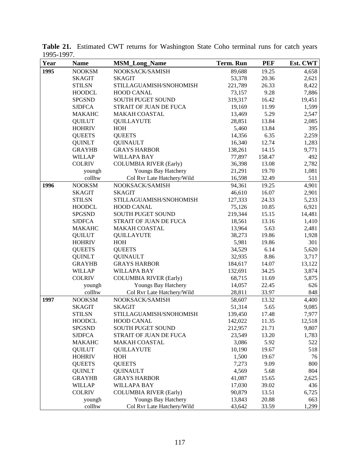| Year | <b>Name</b>   | <b>MSM_Long_Name</b>          | <b>Term. Run</b> | <b>PEF</b> | Est. CWT |
|------|---------------|-------------------------------|------------------|------------|----------|
| 1995 | <b>NOOKSM</b> | NOOKSACK/SAMISH               | 89,688           | 19.25      | 4,658    |
|      | <b>SKAGIT</b> | <b>SKAGIT</b>                 | 53,378           | 20.36      | 2,621    |
|      | <b>STILSN</b> | STILLAGUAMISH/SNOHOMISH       | 221,789          | 26.33      | 8,422    |
|      | <b>HOODCL</b> | HOOD CANAL                    | 73,157           | 9.28       | 7,886    |
|      | <b>SPGSND</b> | SOUTH PUGET SOUND             | 319,317          | 16.42      | 19,451   |
|      | <b>SJDFCA</b> | STRAIT OF JUAN DE FUCA        | 19,169           | 11.99      | 1,599    |
|      | <b>MAKAHC</b> | <b>MAKAH COASTAL</b>          | 13,469           | 5.29       | 2,547    |
|      | <b>QUILUT</b> | <b>QUILLAYUTE</b>             | 28,851           | 13.84      | 2,085    |
|      | <b>HOHRIV</b> | HOH                           | 5,460            | 13.84      | 395      |
|      | <b>QUEETS</b> | <b>QUEETS</b>                 | 14,356           | 6.35       | 2,259    |
|      | <b>QUINLT</b> | <b>QUINAULT</b>               | 16,340           | 12.74      | 1,283    |
|      | <b>GRAYHB</b> | <b>GRAYS HARBOR</b>           | 138,261          | 14.15      | 9,771    |
|      | <b>WILLAP</b> | <b>WILLAPA BAY</b>            | 77,897           | 158.47     | 492      |
|      | <b>COLRIV</b> | <b>COLUMBIA RIVER (Early)</b> | 36,398           | 13.08      | 2,782    |
|      | youngh        | Youngs Bay Hatchery           | 21,291           | 19.70      | 1,081    |
|      | collhw        | Col Rvr Late Hatchery/Wild    | 16,598           | 32.49      | 511      |
| 1996 | <b>NOOKSM</b> | NOOKSACK/SAMISH               | 94,361           | 19.25      | 4,901    |
|      | <b>SKAGIT</b> | <b>SKAGIT</b>                 | 46,610           | 16.07      | 2,901    |
|      | <b>STILSN</b> | STILLAGUAMISH/SNOHOMISH       | 127,333          | 24.33      | 5,233    |
|      | <b>HOODCL</b> | <b>HOOD CANAL</b>             | 75,126           | 10.85      | 6,921    |
|      | <b>SPGSND</b> | SOUTH PUGET SOUND             | 219,344          | 15.15      | 14,481   |
|      | <b>SJDFCA</b> | STRAIT OF JUAN DE FUCA        | 18,561           | 13.16      | 1,410    |
|      | <b>MAKAHC</b> | <b>MAKAH COASTAL</b>          | 13,964           | 5.63       | 2,481    |
|      | <b>QUILUT</b> | <b>QUILLAYUTE</b>             | 38,273           | 19.86      | 1,928    |
|      | <b>HOHRIV</b> | HOH                           | 5,981            | 19.86      | 301      |
|      | <b>QUEETS</b> | <b>QUEETS</b>                 | 34,529           | 6.14       | 5,620    |
|      | <b>QUINLT</b> | <b>QUINAULT</b>               | 32,935           | 8.86       | 3,717    |
|      | <b>GRAYHB</b> | <b>GRAYS HARBOR</b>           | 184,617          | 14.07      | 13,122   |
|      | <b>WILLAP</b> | <b>WILLAPA BAY</b>            | 132,691          | 34.25      | 3,874    |
|      | <b>COLRIV</b> | <b>COLUMBIA RIVER (Early)</b> | 68,715           | 11.69      | 5,875    |
|      | youngh        | Youngs Bay Hatchery           | 14,057           | 22.45      | 626      |
|      | collhw        | Col Rvr Late Hatchery/Wild    | 28,811           | 33.97      | 848      |
| 1997 | <b>NOOKSM</b> | NOOKSACK/SAMISH               | 58,607           | 13.32      | 4,400    |
|      | <b>SKAGIT</b> | <b>SKAGIT</b>                 | 51,314           | 5.65       | 9,085    |
|      | <b>STILSN</b> | STILLAGUAMISH/SNOHOMISH       | 139,450          | 17.48      | 7,977    |
|      | <b>HOODCL</b> | <b>HOOD CANAL</b>             | 142,022          | 11.35      | 12,518   |
|      | <b>SPGSND</b> | SOUTH PUGET SOUND             | 212,957          | 21.71      | 9,807    |
|      | <b>SJDFCA</b> | STRAIT OF JUAN DE FUCA        | 23,549           | 13.20      | 1,783    |
|      | <b>MAKAHC</b> | <b>MAKAH COASTAL</b>          | 3,086            | 5.92       | 522      |
|      | <b>QUILUT</b> | <b>QUILLAYUTE</b>             | 10,190           | 19.67      | 518      |
|      | <b>HOHRIV</b> | HOH                           | 1,500            | 19.67      | 76       |
|      | <b>QUEETS</b> | <b>QUEETS</b>                 | 7,273            | 9.09       | 800      |
|      | <b>QUINLT</b> | <b>QUINAULT</b>               | 4,569            | 5.68       | 804      |
|      | <b>GRAYHB</b> | <b>GRAYS HARBOR</b>           | 41,087           | 15.65      | 2,625    |
|      | <b>WILLAP</b> | <b>WILLAPA BAY</b>            | 17,030           | 39.02      | 436      |
|      | <b>COLRIV</b> | <b>COLUMBIA RIVER (Early)</b> | 90,879           | 13.51      | 6,725    |
|      | youngh        | Youngs Bay Hatchery           | 13,843           | 20.88      | 663      |
|      | collhw        | Col Rvr Late Hatchery/Wild    | 43,642           | 33.59      | 1,299    |

**Table 21.** Estimated CWT returns for Washington State Coho terminal runs for catch years 1995-1997.